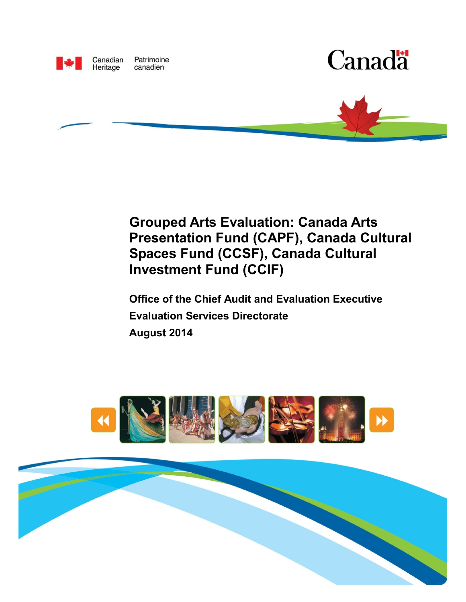

Patrimoine Canadian Heritage canadien





# **Grouped Arts Evaluation: Canada Arts Presentation Fund (CAPF), Canada Cultural Spaces Fund (CCSF), Canada Cultural Investment Fund (CCIF)**

**Office of the Chief Audit and Evaluation Executive Evaluation Services Directorate August 2014** 



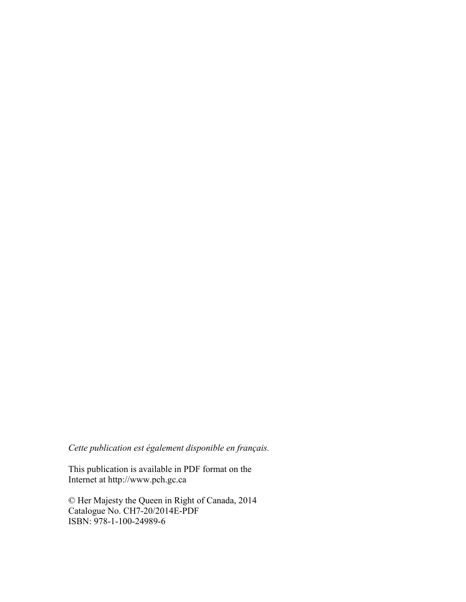*Cette publication est également disponible en français.* 

This publication is available in PDF format on the Internet at http://[www.pch.gc.ca](http://www.pch.gc.ca) 

© Her Majesty the Queen in Right of Canada, 2014 Catalogue No. CH7-20/2014E-PDF ISBN: 978-1-100-24989-6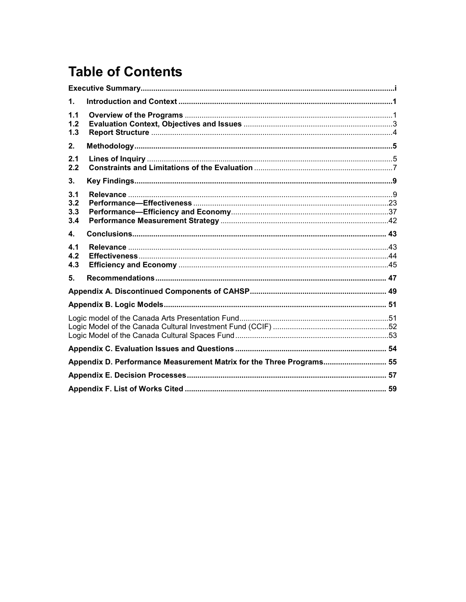# **Table of Contents**

| 1.                       |                                                                      |  |
|--------------------------|----------------------------------------------------------------------|--|
| 1.1<br>1.2<br>1.3        |                                                                      |  |
| 2.                       |                                                                      |  |
| 2.1<br>2.2               |                                                                      |  |
| 3.                       |                                                                      |  |
| 3.1<br>3.2<br>3.3<br>3.4 |                                                                      |  |
| $\mathbf{4}$             |                                                                      |  |
| 4.1<br>4.2<br>4.3        |                                                                      |  |
| 5.                       |                                                                      |  |
|                          |                                                                      |  |
|                          |                                                                      |  |
|                          |                                                                      |  |
|                          |                                                                      |  |
|                          | Appendix D. Performance Measurement Matrix for the Three Programs 55 |  |
|                          |                                                                      |  |
|                          |                                                                      |  |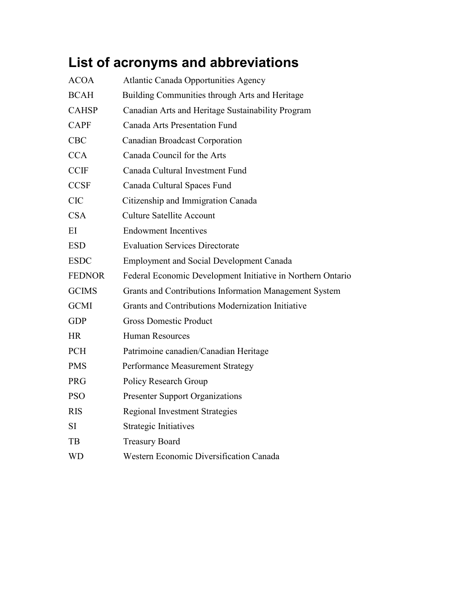# **List of acronyms and abbreviations**

| <b>ACOA</b>   | <b>Atlantic Canada Opportunities Agency</b>                 |
|---------------|-------------------------------------------------------------|
| <b>BCAH</b>   | Building Communities through Arts and Heritage              |
| <b>CAHSP</b>  | Canadian Arts and Heritage Sustainability Program           |
| <b>CAPF</b>   | <b>Canada Arts Presentation Fund</b>                        |
| <b>CBC</b>    | <b>Canadian Broadcast Corporation</b>                       |
| <b>CCA</b>    | Canada Council for the Arts                                 |
| <b>CCIF</b>   | Canada Cultural Investment Fund                             |
| <b>CCSF</b>   | Canada Cultural Spaces Fund                                 |
| <b>CIC</b>    | Citizenship and Immigration Canada                          |
| <b>CSA</b>    | <b>Culture Satellite Account</b>                            |
| EI            | <b>Endowment Incentives</b>                                 |
| <b>ESD</b>    | <b>Evaluation Services Directorate</b>                      |
| <b>ESDC</b>   | <b>Employment and Social Development Canada</b>             |
| <b>FEDNOR</b> | Federal Economic Development Initiative in Northern Ontario |
| <b>GCIMS</b>  | Grants and Contributions Information Management System      |
| <b>GCMI</b>   | Grants and Contributions Modernization Initiative           |
| <b>GDP</b>    | <b>Gross Domestic Product</b>                               |
| <b>HR</b>     | <b>Human Resources</b>                                      |
| <b>PCH</b>    | Patrimoine canadien/Canadian Heritage                       |
| <b>PMS</b>    | Performance Measurement Strategy                            |
| <b>PRG</b>    | Policy Research Group                                       |
| <b>PSO</b>    | <b>Presenter Support Organizations</b>                      |
| <b>RIS</b>    | <b>Regional Investment Strategies</b>                       |
| SI            | <b>Strategic Initiatives</b>                                |
| TB            | <b>Treasury Board</b>                                       |
| <b>WD</b>     | Western Economic Diversification Canada                     |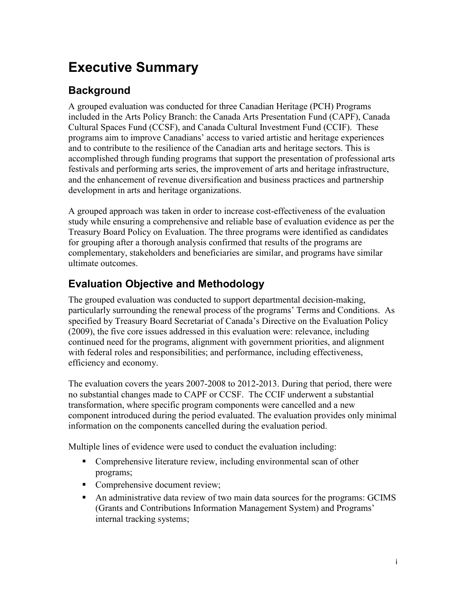# <span id="page-4-0"></span>**Executive Summary**

# **Background**

A grouped evaluation was conducted for three Canadian Heritage (PCH) Programs included in the Arts Policy Branch: the Canada Arts Presentation Fund (CAPF), Canada Cultural Spaces Fund (CCSF), and Canada Cultural Investment Fund (CCIF). These programs aim to improve Canadians' access to varied artistic and heritage experiences and to contribute to the resilience of the Canadian arts and heritage sectors. This is accomplished through funding programs that support the presentation of professional arts festivals and performing arts series, the improvement of arts and heritage infrastructure, and the enhancement of revenue diversification and business practices and partnership development in arts and heritage organizations.

A grouped approach was taken in order to increase cost-effectiveness of the evaluation study while ensuring a comprehensive and reliable base of evaluation evidence as per the Treasury Board Policy on Evaluation. The three programs were identified as candidates for grouping after a thorough analysis confirmed that results of the programs are complementary, stakeholders and beneficiaries are similar, and programs have similar ultimate outcomes.

# **Evaluation Objective and Methodology**

The grouped evaluation was conducted to support departmental decision-making, particularly surrounding the renewal process of the programs' Terms and Conditions. As specified by Treasury Board Secretariat of Canada's Directive on the Evaluation Policy (2009), the five core issues addressed in this evaluation were: relevance, including continued need for the programs, alignment with government priorities, and alignment with federal roles and responsibilities; and performance, including effectiveness, efficiency and economy.

The evaluation covers the years 2007-2008 to 2012-2013. During that period, there were no substantial changes made to CAPF or CCSF. The CCIF underwent a substantial transformation, where specific program components were cancelled and a new component introduced during the period evaluated. The evaluation provides only minimal information on the components cancelled during the evaluation period.

Multiple lines of evidence were used to conduct the evaluation including:

- Comprehensive literature review, including environmental scan of other programs;
- Comprehensive document review;
- An administrative data review of two main data sources for the programs: GCIMS (Grants and Contributions Information Management System) and Programs' internal tracking systems;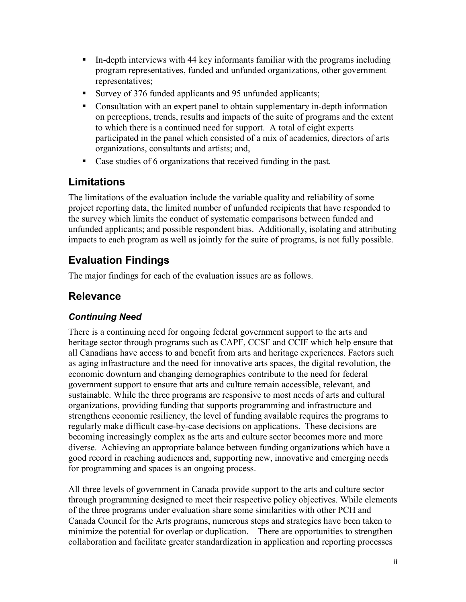- In-depth interviews with 44 key informants familiar with the programs including program representatives, funded and unfunded organizations, other government representatives;
- Survey of 376 funded applicants and 95 unfunded applicants;
- Consultation with an expert panel to obtain supplementary in-depth information on perceptions, trends, results and impacts of the suite of programs and the extent to which there is a continued need for support. A total of eight experts participated in the panel which consisted of a mix of academics, directors of arts organizations, consultants and artists; and,
- Case studies of 6 organizations that received funding in the past.

## **Limitations**

The limitations of the evaluation include the variable quality and reliability of some project reporting data, the limited number of unfunded recipients that have responded to the survey which limits the conduct of systematic comparisons between funded and unfunded applicants; and possible respondent bias. Additionally, isolating and attributing impacts to each program as well as jointly for the suite of programs, is not fully possible.

# **Evaluation Findings**

The major findings for each of the evaluation issues are as follows.

## **Relevance**

### *Continuing Need*

There is a continuing need for ongoing federal government support to the arts and heritage sector through programs such as CAPF, CCSF and CCIF which help ensure that all Canadians have access to and benefit from arts and heritage experiences. Factors such as aging infrastructure and the need for innovative arts spaces, the digital revolution, the economic downturn and changing demographics contribute to the need for federal government support to ensure that arts and culture remain accessible, relevant, and sustainable. While the three programs are responsive to most needs of arts and cultural organizations, providing funding that supports programming and infrastructure and strengthens economic resiliency, the level of funding available requires the programs to regularly make difficult case-by-case decisions on applications. These decisions are becoming increasingly complex as the arts and culture sector becomes more and more diverse. Achieving an appropriate balance between funding organizations which have a good record in reaching audiences and, supporting new, innovative and emerging needs for programming and spaces is an ongoing process.

All three levels of government in Canada provide support to the arts and culture sector through programming designed to meet their respective policy objectives. While elements of the three programs under evaluation share some similarities with other PCH and Canada Council for the Arts programs, numerous steps and strategies have been taken to minimize the potential for overlap or duplication. There are opportunities to strengthen collaboration and facilitate greater standardization in application and reporting processes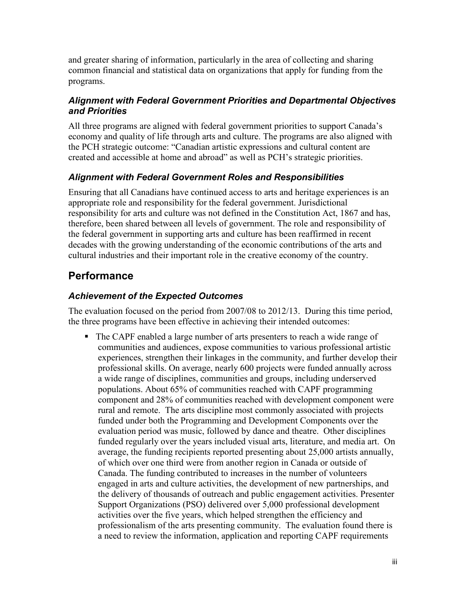and greater sharing of information, particularly in the area of collecting and sharing common financial and statistical data on organizations that apply for funding from the programs.

### *Alignment with Federal Government Priorities and Departmental Objectives and Priorities*

All three programs are aligned with federal government priorities to support Canada's economy and quality of life through arts and culture. The programs are also aligned with the PCH strategic outcome: "Canadian artistic expressions and cultural content are created and accessible at home and abroad" as well as PCH's strategic priorities.

### *Alignment with Federal Government Roles and Responsibilities*

Ensuring that all Canadians have continued access to arts and heritage experiences is an appropriate role and responsibility for the federal government. Jurisdictional responsibility for arts and culture was not defined in the Constitution Act, 1867 and has, therefore, been shared between all levels of government. The role and responsibility of the federal government in supporting arts and culture has been reaffirmed in recent decades with the growing understanding of the economic contributions of the arts and cultural industries and their important role in the creative economy of the country.

# **Performance**

### *Achievement of the Expected Outcomes*

The evaluation focused on the period from 2007/08 to 2012/13. During this time period, the three programs have been effective in achieving their intended outcomes:

 The CAPF enabled a large number of arts presenters to reach a wide range of communities and audiences, expose communities to various professional artistic experiences, strengthen their linkages in the community, and further develop their professional skills. On average, nearly 600 projects were funded annually across a wide range of disciplines, communities and groups, including underserved populations. About 65% of communities reached with CAPF programming component and 28% of communities reached with development component were rural and remote. The arts discipline most commonly associated with projects funded under both the Programming and Development Components over the evaluation period was music, followed by dance and theatre. Other disciplines funded regularly over the years included visual arts, literature, and media art. On average, the funding recipients reported presenting about 25,000 artists annually, of which over one third were from another region in Canada or outside of Canada. The funding contributed to increases in the number of volunteers engaged in arts and culture activities, the development of new partnerships, and the delivery of thousands of outreach and public engagement activities. Presenter Support Organizations (PSO) delivered over 5,000 professional development activities over the five years, which helped strengthen the efficiency and professionalism of the arts presenting community. The evaluation found there is a need to review the information, application and reporting CAPF requirements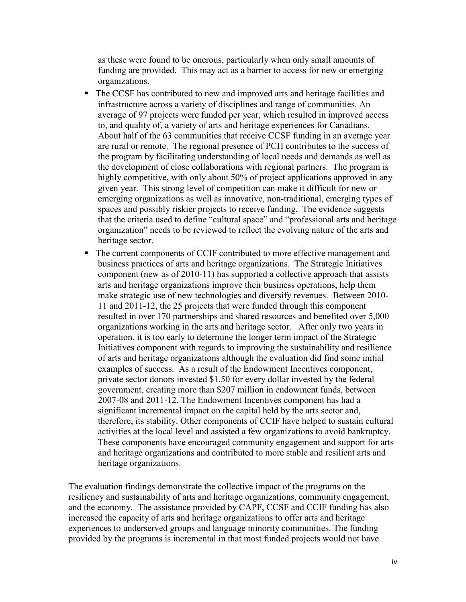as these were found to be onerous, particularly when only small amounts of funding are provided. This may act as a barrier to access for new or emerging organizations.

- The CCSF has contributed to new and improved arts and heritage facilities and infrastructure across a variety of disciplines and range of communities. An average of 97 projects were funded per year, which resulted in improved access to, and quality of, a variety of arts and heritage experiences for Canadians. About half of the 63 communities that receive CCSF funding in an average year are rural or remote. The regional presence of PCH contributes to the success of the program by facilitating understanding of local needs and demands as well as the development of close collaborations with regional partners. The program is highly competitive, with only about 50% of project applications approved in any given year. This strong level of competition can make it difficult for new or emerging organizations as well as innovative, non-traditional, emerging types of spaces and possibly riskier projects to receive funding. The evidence suggests that the criteria used to define "cultural space" and "professional arts and heritage organization" needs to be reviewed to reflect the evolving nature of the arts and heritage sector.
- The current components of CCIF contributed to more effective management and business practices of arts and heritage organizations. The Strategic Initiatives component (new as of 2010-11) has supported a collective approach that assists arts and heritage organizations improve their business operations, help them make strategic use of new technologies and diversify revenues. Between 2010- 11 and 2011-12, the 25 projects that were funded through this component resulted in over 170 partnerships and shared resources and benefited over 5,000 organizations working in the arts and heritage sector. After only two years in operation, it is too early to determine the longer term impact of the Strategic Initiatives component with regards to improving the sustainability and resilience of arts and heritage organizations although the evaluation did find some initial examples of success. As a result of the Endowment Incentives component, private sector donors invested \$1.50 for every dollar invested by the federal government, creating more than \$207 million in endowment funds, between 2007-08 and 2011-12. The Endowment Incentives component has had a significant incremental impact on the capital held by the arts sector and, therefore, its stability. Other components of CCIF have helped to sustain cultural activities at the local level and assisted a few organizations to avoid bankruptcy. These components have encouraged community engagement and support for arts and heritage organizations and contributed to more stable and resilient arts and heritage organizations.

The evaluation findings demonstrate the collective impact of the programs on the resiliency and sustainability of arts and heritage organizations, community engagement, and the economy. The assistance provided by CAPF, CCSF and CCIF funding has also increased the capacity of arts and heritage organizations to offer arts and heritage experiences to underserved groups and language minority communities. The funding provided by the programs is incremental in that most funded projects would not have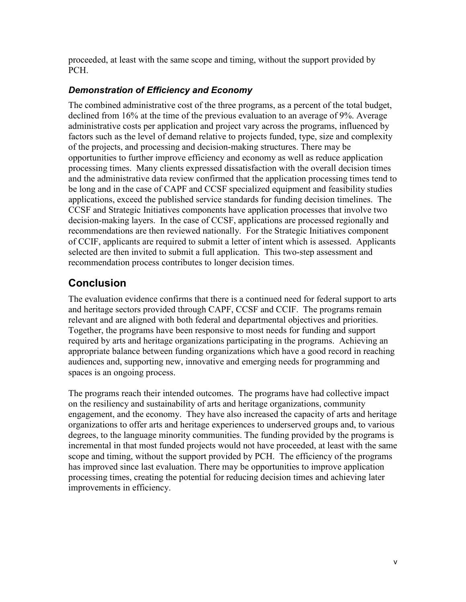proceeded, at least with the same scope and timing, without the support provided by PCH.

### *Demonstration of Efficiency and Economy*

The combined administrative cost of the three programs, as a percent of the total budget, declined from 16% at the time of the previous evaluation to an average of 9%. Average administrative costs per application and project vary across the programs, influenced by factors such as the level of demand relative to projects funded, type, size and complexity of the projects, and processing and decision-making structures. There may be opportunities to further improve efficiency and economy as well as reduce application processing times. Many clients expressed dissatisfaction with the overall decision times and the administrative data review confirmed that the application processing times tend to be long and in the case of CAPF and CCSF specialized equipment and feasibility studies applications, exceed the published service standards for funding decision timelines. The CCSF and Strategic Initiatives components have application processes that involve two decision-making layers. In the case of CCSF, applications are processed regionally and recommendations are then reviewed nationally. For the Strategic Initiatives component of CCIF, applicants are required to submit a letter of intent which is assessed. Applicants selected are then invited to submit a full application. This two-step assessment and recommendation process contributes to longer decision times.

# **Conclusion**

The evaluation evidence confirms that there is a continued need for federal support to arts and heritage sectors provided through CAPF, CCSF and CCIF. The programs remain relevant and are aligned with both federal and departmental objectives and priorities. Together, the programs have been responsive to most needs for funding and support required by arts and heritage organizations participating in the programs. Achieving an appropriate balance between funding organizations which have a good record in reaching audiences and, supporting new, innovative and emerging needs for programming and spaces is an ongoing process.

The programs reach their intended outcomes. The programs have had collective impact on the resiliency and sustainability of arts and heritage organizations, community engagement, and the economy. They have also increased the capacity of arts and heritage organizations to offer arts and heritage experiences to underserved groups and, to various degrees, to the language minority communities. The funding provided by the programs is incremental in that most funded projects would not have proceeded, at least with the same scope and timing, without the support provided by PCH. The efficiency of the programs has improved since last evaluation. There may be opportunities to improve application processing times, creating the potential for reducing decision times and achieving later improvements in efficiency.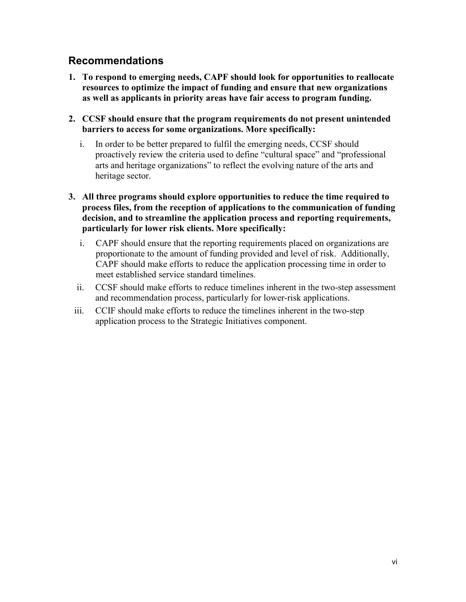## **Recommendations**

- **1. To respond to emerging needs, CAPF should look for opportunities to reallocate resources to optimize the impact of funding and ensure that new organizations as well as applicants in priority areas have fair access to program funding.**
- **2. CCSF should ensure that the program requirements do not present unintended barriers to access for some organizations. More specifically:** 
	- i. In order to be better prepared to fulfil the emerging needs, CCSF should proactively review the criteria used to define "cultural space" and "professional arts and heritage organizations" to reflect the evolving nature of the arts and heritage sector.
- **3. All three programs should explore opportunities to reduce the time required to process files, from the reception of applications to the communication of funding decision, and to streamline the application process and reporting requirements, particularly for lower risk clients. More specifically:**
	- i. CAPF should ensure that the reporting requirements placed on organizations are proportionate to the amount of funding provided and level of risk. Additionally, CAPF should make efforts to reduce the application processing time in order to meet established service standard timelines.
	- ii. CCSF should make efforts to reduce timelines inherent in the two-step assessment and recommendation process, particularly for lower-risk applications.
	- iii. CCIF should make efforts to reduce the timelines inherent in the two-step application process to the Strategic Initiatives component.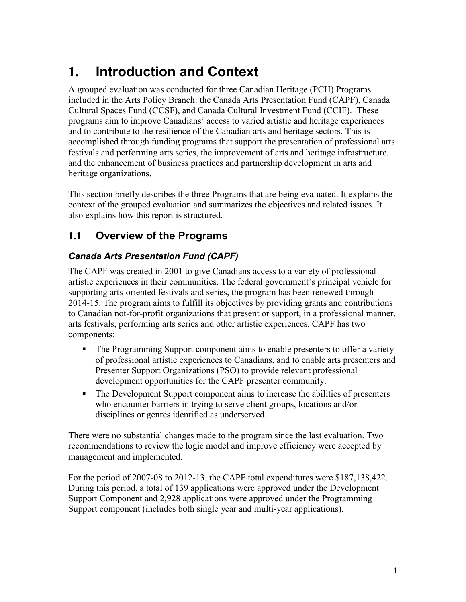# <span id="page-10-0"></span>**1. Introduction and Context**

A grouped evaluation was conducted for three Canadian Heritage (PCH) Programs included in the Arts Policy Branch: the Canada Arts Presentation Fund (CAPF), Canada Cultural Spaces Fund (CCSF), and Canada Cultural Investment Fund (CCIF). These programs aim to improve Canadians' access to varied artistic and heritage experiences and to contribute to the resilience of the Canadian arts and heritage sectors. This is accomplished through funding programs that support the presentation of professional arts festivals and performing arts series, the improvement of arts and heritage infrastructure, and the enhancement of business practices and partnership development in arts and heritage organizations.

This section briefly describes the three Programs that are being evaluated. It explains the context of the grouped evaluation and summarizes the objectives and related issues. It also explains how this report is structured.

## <span id="page-10-1"></span>**1.1 Overview of the Programs**

## *Canada Arts Presentation Fund (CAPF)*

The CAPF was created in 2001 to give Canadians access to a variety of professional artistic experiences in their communities. The federal government's principal vehicle for supporting arts-oriented festivals and series, the program has been renewed through 2014-15. The program aims to fulfill its objectives by providing grants and contributions to Canadian not-for-profit organizations that present or support, in a professional manner, arts festivals, performing arts series and other artistic experiences. CAPF has two components:

- The Programming Support component aims to enable presenters to offer a variety of professional artistic experiences to Canadians, and to enable arts presenters and Presenter Support Organizations (PSO) to provide relevant professional development opportunities for the CAPF presenter community.
- The Development Support component aims to increase the abilities of presenters who encounter barriers in trying to serve client groups, locations and/or disciplines or genres identified as underserved.

There were no substantial changes made to the program since the last evaluation. Two recommendations to review the logic model and improve efficiency were accepted by management and implemented.

For the period of 2007-08 to 2012-13, the CAPF total expenditures were \$187,138,422. During this period, a total of 139 applications were approved under the Development Support Component and 2,928 applications were approved under the Programming Support component (includes both single year and multi-year applications).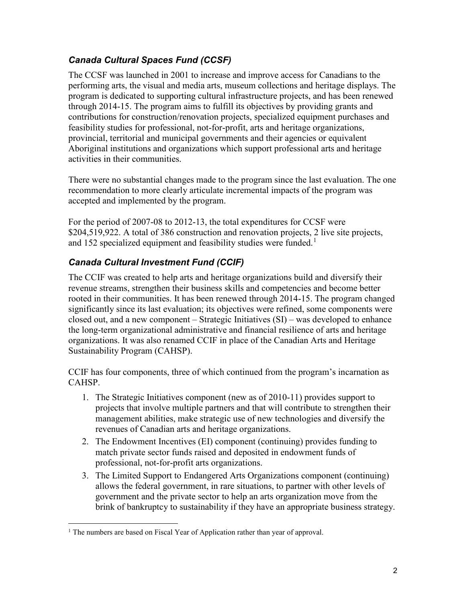## *Canada Cultural Spaces Fund (CCSF)*

The CCSF was launched in 2001 to increase and improve access for Canadians to the performing arts, the visual and media arts, museum collections and heritage displays. The program is dedicated to supporting cultural infrastructure projects, and has been renewed through 2014-15. The program aims to fulfill its objectives by providing grants and contributions for construction/renovation projects, specialized equipment purchases and feasibility studies for professional, not-for-profit, arts and heritage organizations, provincial, territorial and municipal governments and their agencies or equivalent Aboriginal institutions and organizations which support professional arts and heritage activities in their communities.

There were no substantial changes made to the program since the last evaluation. The one recommendation to more clearly articulate incremental impacts of the program was accepted and implemented by the program.

For the period of 2007-08 to 2012-13, the total expenditures for CCSF were \$204,519,922. A total of 386 construction and renovation projects, 2 live site projects, and 152 specialized equipment and feasibility studies were funded.<sup>1</sup>

## *Canada Cultural Investment Fund (CCIF)*

The CCIF was created to help arts and heritage organizations build and diversify their revenue streams, strengthen their business skills and competencies and become better rooted in their communities. It has been renewed through 2014-15. The program changed significantly since its last evaluation; its objectives were refined, some components were closed out, and a new component – Strategic Initiatives (SI) – was developed to enhance the long-term organizational administrative and financial resilience of arts and heritage organizations. It was also renamed CCIF in place of the Canadian Arts and Heritage Sustainability Program (CAHSP).

CCIF has four components, three of which continued from the program's incarnation as CAHSP.

- 1. The Strategic Initiatives component (new as of 2010-11) provides support to projects that involve multiple partners and that will contribute to strengthen their management abilities, make strategic use of new technologies and diversify the revenues of Canadian arts and heritage organizations.
- 2. The Endowment Incentives (EI) component (continuing) provides funding to match private sector funds raised and deposited in endowment funds of professional, not-for-profit arts organizations.
- 3. The Limited Support to Endangered Arts Organizations component (continuing) allows the federal government, in rare situations, to partner with other levels of government and the private sector to help an arts organization move from the brink of bankruptcy to sustainability if they have an appropriate business strategy.

<sup>&</sup>lt;sup>1</sup> The numbers are based on Fiscal Year of Application rather than year of approval.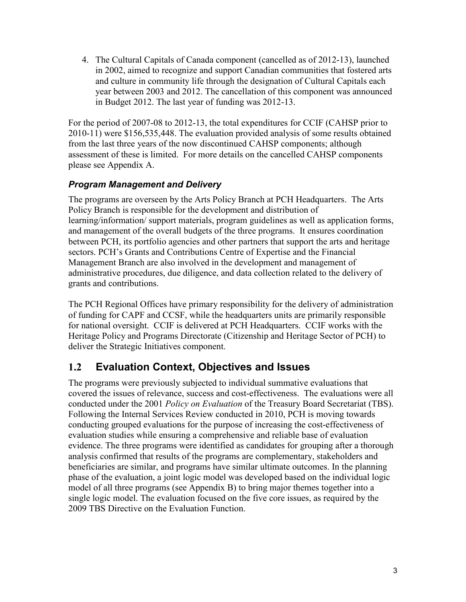4. The Cultural Capitals of Canada component (cancelled as of 2012-13), launched in 2002, aimed to recognize and support Canadian communities that fostered arts and culture in community life through the designation of Cultural Capitals each year between 2003 and 2012. The cancellation of this component was announced in Budget 2012. The last year of funding was 2012-13.

For the period of 2007-08 to 2012-13, the total expenditures for CCIF (CAHSP prior to 2010-11) were \$156,535,448. The evaluation provided analysis of some results obtained from the last three years of the now discontinued CAHSP components; although assessment of these is limited. For more details on the cancelled CAHSP components please see Appendix A.

### *Program Management and Delivery*

The programs are overseen by the Arts Policy Branch at PCH Headquarters. The Arts Policy Branch is responsible for the development and distribution of learning/information/ support materials, program guidelines as well as application forms, and management of the overall budgets of the three programs. It ensures coordination between PCH, its portfolio agencies and other partners that support the arts and heritage sectors. PCH's Grants and Contributions Centre of Expertise and the Financial Management Branch are also involved in the development and management of administrative procedures, due diligence, and data collection related to the delivery of grants and contributions.

The PCH Regional Offices have primary responsibility for the delivery of administration of funding for CAPF and CCSF, while the headquarters units are primarily responsible for national oversight. CCIF is delivered at PCH Headquarters. CCIF works with the Heritage Policy and Programs Directorate (Citizenship and Heritage Sector of PCH) to deliver the Strategic Initiatives component.

## <span id="page-12-0"></span>**1.2 Evaluation Context, Objectives and Issues**

The programs were previously subjected to individual summative evaluations that covered the issues of relevance, success and cost-effectiveness. The evaluations were all conducted under the 2001 *Policy on Evaluation* of the Treasury Board Secretariat (TBS). Following the Internal Services Review conducted in 2010, PCH is moving towards conducting grouped evaluations for the purpose of increasing the cost-effectiveness of evaluation studies while ensuring a comprehensive and reliable base of evaluation evidence. The three programs were identified as candidates for grouping after a thorough analysis confirmed that results of the programs are complementary, stakeholders and beneficiaries are similar, and programs have similar ultimate outcomes. In the planning phase of the evaluation, a joint logic model was developed based on the individual logic model of all three programs (see Appendix B) to bring major themes together into a single logic model. The evaluation focused on the five core issues, as required by the 2009 TBS Directive on the Evaluation Function.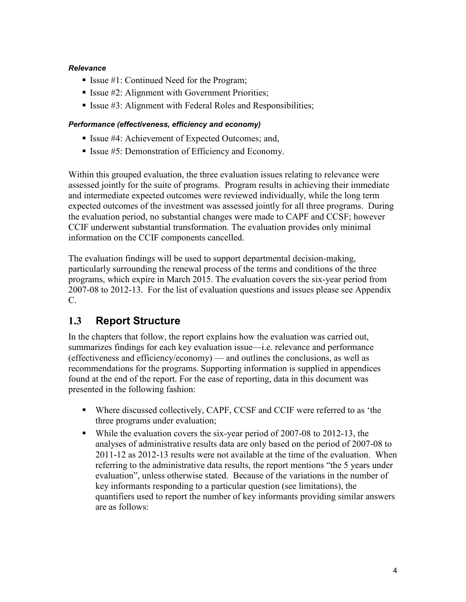#### *Relevance*

- Issue  $#1$ : Continued Need for the Program;
- **Issue #2:** Alignment with Government Priorities;
- **Issue #3: Alignment with Federal Roles and Responsibilities;**

#### *Performance (effectiveness, efficiency and economy)*

- Issue #4: Achievement of Expected Outcomes; and,
- Issue #5: Demonstration of Efficiency and Economy.

Within this grouped evaluation, the three evaluation issues relating to relevance were assessed jointly for the suite of programs. Program results in achieving their immediate and intermediate expected outcomes were reviewed individually, while the long term expected outcomes of the investment was assessed jointly for all three programs. During the evaluation period, no substantial changes were made to CAPF and CCSF; however CCIF underwent substantial transformation. The evaluation provides only minimal information on the CCIF components cancelled.

The evaluation findings will be used to support departmental decision-making, particularly surrounding the renewal process of the terms and conditions of the three programs, which expire in March 2015. The evaluation covers the six-year period from 2007-08 to 2012-13. For the list of evaluation questions and issues please see Appendix C.

## <span id="page-13-0"></span>**1.3 Report Structure**

In the chapters that follow, the report explains how the evaluation was carried out, summarizes findings for each key evaluation issue—i.e. relevance and performance (effectiveness and efficiency/economy) — and outlines the conclusions, as well as recommendations for the programs. Supporting information is supplied in appendices found at the end of the report. For the ease of reporting, data in this document was presented in the following fashion:

- Where discussed collectively, CAPF, CCSF and CCIF were referred to as 'the three programs under evaluation;
- While the evaluation covers the six-year period of 2007-08 to 2012-13, the analyses of administrative results data are only based on the period of 2007-08 to 2011-12 as 2012-13 results were not available at the time of the evaluation. When referring to the administrative data results, the report mentions "the 5 years under evaluation", unless otherwise stated. Because of the variations in the number of key informants responding to a particular question (see limitations), the quantifiers used to report the number of key informants providing similar answers are as follows: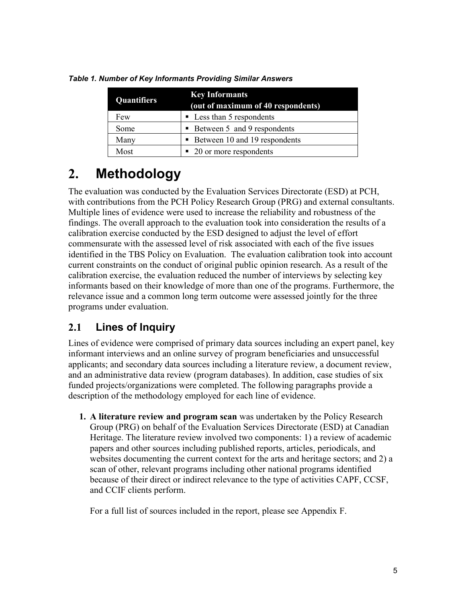| <b>Quantifiers</b> | <b>Key Informants</b><br>(out of maximum of 40 respondents) |  |
|--------------------|-------------------------------------------------------------|--|
| Few                | • Less than 5 respondents                                   |  |
| Some               | • Between 5 and 9 respondents                               |  |
| Many               | Between 10 and 19 respondents                               |  |
| Most               | • 20 or more respondents                                    |  |

*Table 1. Number of Key Informants Providing Similar Answers*

# <span id="page-14-0"></span>**2. Methodology**

The evaluation was conducted by the Evaluation Services Directorate (ESD) at PCH, with contributions from the PCH Policy Research Group (PRG) and external consultants. Multiple lines of evidence were used to increase the reliability and robustness of the findings. The overall approach to the evaluation took into consideration the results of a calibration exercise conducted by the ESD designed to adjust the level of effort commensurate with the assessed level of risk associated with each of the five issues identified in the TBS Policy on Evaluation. The evaluation calibration took into account current constraints on the conduct of original public opinion research. As a result of the calibration exercise, the evaluation reduced the number of interviews by selecting key informants based on their knowledge of more than one of the programs. Furthermore, the relevance issue and a common long term outcome were assessed jointly for the three programs under evaluation.

# <span id="page-14-1"></span>**2.1 Lines of Inquiry**

Lines of evidence were comprised of primary data sources including an expert panel, key informant interviews and an online survey of program beneficiaries and unsuccessful applicants; and secondary data sources including a literature review, a document review, and an administrative data review (program databases). In addition, case studies of six funded projects/organizations were completed. The following paragraphs provide a description of the methodology employed for each line of evidence.

**1. A literature review and program scan** was undertaken by the Policy Research Group (PRG) on behalf of the Evaluation Services Directorate (ESD) at Canadian Heritage. The literature review involved two components: 1) a review of academic papers and other sources including published reports, articles, periodicals, and websites documenting the current context for the arts and heritage sectors; and 2) a scan of other, relevant programs including other national programs identified because of their direct or indirect relevance to the type of activities CAPF, CCSF, and CCIF clients perform.

For a full list of sources included in the report, please see Appendix F.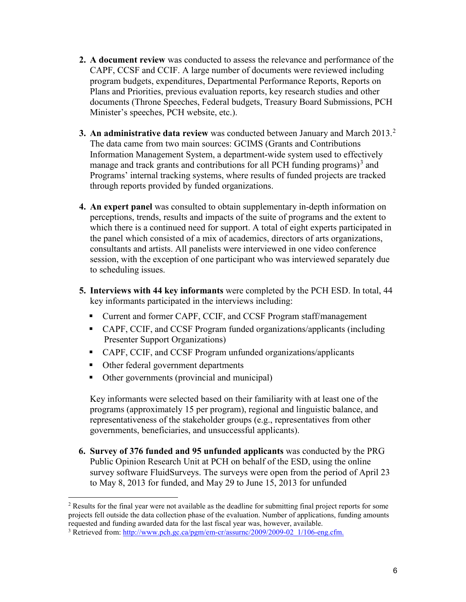- **2. A document review** was conducted to assess the relevance and performance of the CAPF, CCSF and CCIF. A large number of documents were reviewed including program budgets, expenditures, Departmental Performance Reports, Reports on Plans and Priorities, previous evaluation reports, key research studies and other documents (Throne Speeches, Federal budgets, Treasury Board Submissions, PCH Minister's speeches, PCH website, etc.).
- **3. An administrative data review** was conducted between January and March 2013.<sup>2</sup> The data came from two main sources: GCIMS (Grants and Contributions Information Management System, a department-wide system used to effectively manage and track grants and contributions for all PCH funding programs)<sup>3</sup> and Programs' internal tracking systems, where results of funded projects are tracked through reports provided by funded organizations.
- **4. An expert panel** was consulted to obtain supplementary in-depth information on perceptions, trends, results and impacts of the suite of programs and the extent to which there is a continued need for support. A total of eight experts participated in the panel which consisted of a mix of academics, directors of arts organizations, consultants and artists. All panelists were interviewed in one video conference session, with the exception of one participant who was interviewed separately due to scheduling issues.
- **5. Interviews with 44 key informants** were completed by the PCH ESD. In total, 44 key informants participated in the interviews including:
	- Current and former CAPF, CCIF, and CCSF Program staff/management
	- CAPF, CCIF, and CCSF Program funded organizations/applicants (including Presenter Support Organizations)
	- CAPF, CCIF, and CCSF Program unfunded organizations/applicants
	- Other federal government departments
	- Other governments (provincial and municipal)

Key informants were selected based on their familiarity with at least one of the programs (approximately 15 per program), regional and linguistic balance, and representativeness of the stakeholder groups (e.g., representatives from other governments, beneficiaries, and unsuccessful applicants).

**6. Survey of 376 funded and 95 unfunded applicants** was conducted by the PRG Public Opinion Research Unit at PCH on behalf of the ESD, using the online survey software FluidSurveys. The surveys were open from the period of April 23 to May 8, 2013 for funded, and May 29 to June 15, 2013 for unfunded

<sup>&</sup>lt;sup>2</sup> Results for the final year were not available as the deadline for submitting final project reports for some projects fell outside the data collection phase of the evaluation. Number of applications, funding amounts requested and funding awarded data for the last fiscal year was, however, available.

<sup>&</sup>lt;sup>3</sup> Retrieved from: http://www.pch.gc.ca/pgm/em-cr/assurnc/2009/2009-02\_1/106-eng.cfm.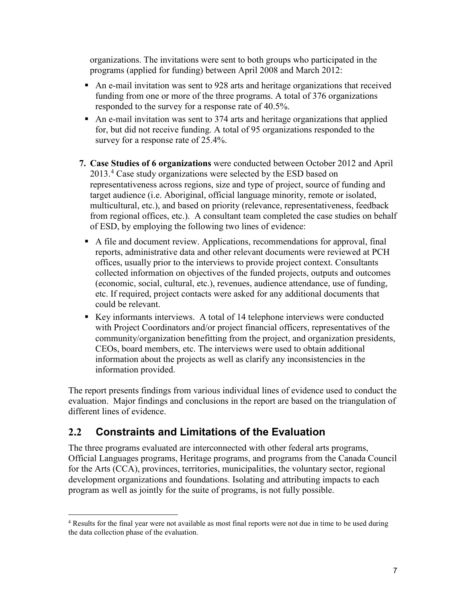organizations. The invitations were sent to both groups who participated in the programs (applied for funding) between April 2008 and March 2012:

- An e-mail invitation was sent to 928 arts and heritage organizations that received funding from one or more of the three programs. A total of 376 organizations responded to the survey for a response rate of 40.5%.
- An e-mail invitation was sent to 374 arts and heritage organizations that applied for, but did not receive funding. A total of 95 organizations responded to the survey for a response rate of 25.4%.
- **7. Case Studies of 6 organizations** were conducted between October 2012 and April 2013.<sup>4</sup> Case study organizations were selected by the ESD based on representativeness across regions, size and type of project, source of funding and target audience (i.e. Aboriginal, official language minority, remote or isolated, multicultural, etc.), and based on priority (relevance, representativeness, feedback from regional offices, etc.). A consultant team completed the case studies on behalf of ESD, by employing the following two lines of evidence:
	- A file and document review. Applications, recommendations for approval, final reports, administrative data and other relevant documents were reviewed at PCH offices, usually prior to the interviews to provide project context. Consultants collected information on objectives of the funded projects, outputs and outcomes (economic, social, cultural, etc.), revenues, audience attendance, use of funding, etc. If required, project contacts were asked for any additional documents that could be relevant.
	- Key informants interviews. A total of 14 telephone interviews were conducted with Project Coordinators and/or project financial officers, representatives of the community/organization benefitting from the project, and organization presidents, CEOs, board members, etc. The interviews were used to obtain additional information about the projects as well as clarify any inconsistencies in the information provided.

The report presents findings from various individual lines of evidence used to conduct the evaluation. Major findings and conclusions in the report are based on the triangulation of different lines of evidence.

# <span id="page-16-0"></span>**2.2 Constraints and Limitations of the Evaluation**

The three programs evaluated are interconnected with other federal arts programs, Official Languages programs, Heritage programs, and programs from the Canada Council for the Arts (CCA), provinces, territories, municipalities, the voluntary sector, regional development organizations and foundations. Isolating and attributing impacts to each program as well as jointly for the suite of programs, is not fully possible.

<sup>&</sup>lt;sup>4</sup> Results for the final year were not available as most final reports were not due in time to be used during the data collection phase of the evaluation.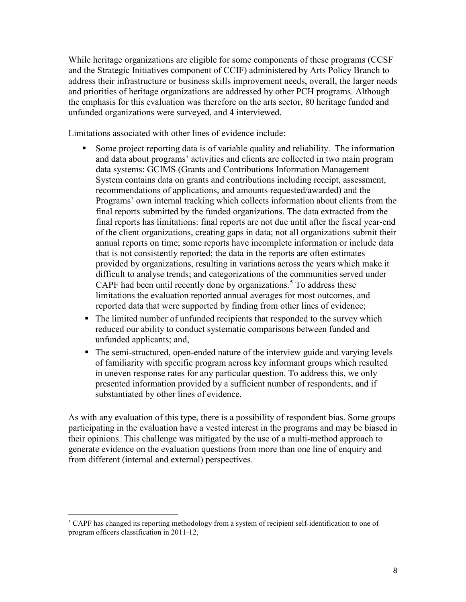While heritage organizations are eligible for some components of these programs (CCSF and the Strategic Initiatives component of CCIF) administered by Arts Policy Branch to address their infrastructure or business skills improvement needs, overall, the larger needs and priorities of heritage organizations are addressed by other PCH programs. Although the emphasis for this evaluation was therefore on the arts sector, 80 heritage funded and unfunded organizations were surveyed, and 4 interviewed.

Limitations associated with other lines of evidence include:

- Some project reporting data is of variable quality and reliability. The information and data about programs' activities and clients are collected in two main program data systems: GCIMS (Grants and Contributions Information Management System contains data on grants and contributions including receipt, assessment, recommendations of applications, and amounts requested/awarded) and the Programs' own internal tracking which collects information about clients from the final reports submitted by the funded organizations. The data extracted from the final reports has limitations: final reports are not due until after the fiscal year-end of the client organizations, creating gaps in data; not all organizations submit their annual reports on time; some reports have incomplete information or include data that is not consistently reported; the data in the reports are often estimates provided by organizations, resulting in variations across the years which make it difficult to analyse trends; and categorizations of the communities served under CAPF had been until recently done by organizations.<sup>5</sup> To address these limitations the evaluation reported annual averages for most outcomes, and reported data that were supported by finding from other lines of evidence;
- The limited number of unfunded recipients that responded to the survey which reduced our ability to conduct systematic comparisons between funded and unfunded applicants; and,
- The semi-structured, open-ended nature of the interview guide and varying levels of familiarity with specific program across key informant groups which resulted in uneven response rates for any particular question. To address this, we only presented information provided by a sufficient number of respondents, and if substantiated by other lines of evidence.

As with any evaluation of this type, there is a possibility of respondent bias. Some groups participating in the evaluation have a vested interest in the programs and may be biased in their opinions. This challenge was mitigated by the use of a multi-method approach to generate evidence on the evaluation questions from more than one line of enquiry and from different (internal and external) perspectives.

<sup>&</sup>lt;sup>5</sup> CAPF has changed its reporting methodology from a system of recipient self-identification to one of program officers classification in 2011-12,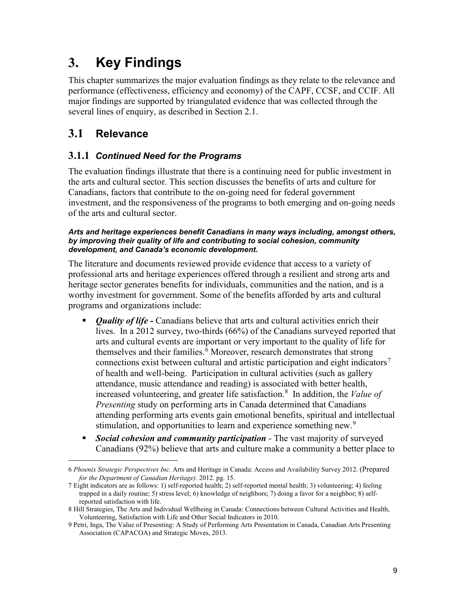# <span id="page-18-0"></span>**3. Key Findings**

This chapter summarizes the major evaluation findings as they relate to the relevance and performance (effectiveness, efficiency and economy) of the CAPF, CCSF, and CCIF. All major findings are supported by triangulated evidence that was collected through the several lines of enquiry, as described in Section 2.1.

# <span id="page-18-1"></span>**3.1 Relevance**

## **3.1.1** *Continued Need for the Programs*

The evaluation findings illustrate that there is a continuing need for public investment in the arts and cultural sector. This section discusses the benefits of arts and culture for Canadians, factors that contribute to the on-going need for federal government investment, and the responsiveness of the programs to both emerging and on-going needs of the arts and cultural sector.

#### *Arts and heritage experiences benefit Canadians in many ways including, amongst others, by improving their quality of life and contributing to social cohesion, community development, and Canada's economic development.*

The literature and documents reviewed provide evidence that access to a variety of professional arts and heritage experiences offered through a resilient and strong arts and heritage sector generates benefits for individuals, communities and the nation, and is a worthy investment for government. Some of the benefits afforded by arts and cultural programs and organizations include:

- **Duality of life -** Canadians believe that arts and cultural activities enrich their lives. In a 2012 survey, two-thirds (66%) of the Canadians surveyed reported that arts and cultural events are important or very important to the quality of life for themselves and their families.<sup>6</sup> Moreover, research demonstrates that strong connections exist between cultural and artistic participation and eight indicators<sup>7</sup> of health and well-being. Participation in cultural activities (such as gallery attendance, music attendance and reading) is associated with better health, increased volunteering, and greater life satisfaction.<sup>8</sup> In addition, the *Value of Presenting* study on performing arts in Canada determined that Canadians attending performing arts events gain emotional benefits, spiritual and intellectual stimulation, and opportunities to learn and experience something new.<sup>9</sup>
- *Social cohesion and community participation* The vast majority of surveyed Canadians (92%) believe that arts and culture make a community a better place to

<sup>6</sup> *Phoenix Strategic Perspectives Inc.* Arts and Heritage in Canada: Access and Availability Survey 2012. (Prepared *for the Department of Canadian Heritage).* 2012. pg. 15.

<sup>7</sup> Eight indicators are as follows: 1) self-reported health; 2) self-reported mental health; 3) volunteering; 4) feeling trapped in a daily routine; 5) stress level; 6) knowledge of neighbors; 7) doing a favor for a neighbor; 8) selfreported satisfaction with life.

<sup>8</sup> Hill Strategies, The Arts and Individual Wellbeing in Canada: Connections between Cultural Activities and Health, Volunteering, Satisfaction with Life and Other Social Indicators in 2010.

<sup>9</sup> Petri, Inga, The Value of Presenting: A Study of Performing Arts Presentation in Canada, Canadian Arts Presenting Association (CAPACOA) and Strategic Moves, 2013.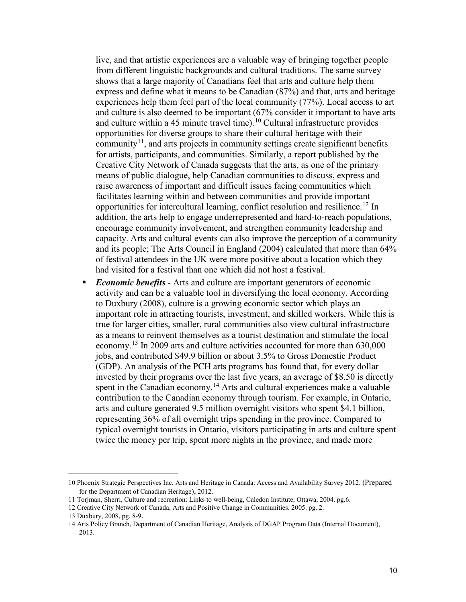live, and that artistic experiences are a valuable way of bringing together people from different linguistic backgrounds and cultural traditions. The same survey shows that a large majority of Canadians feel that arts and culture help them express and define what it means to be Canadian (87%) and that, arts and heritage experiences help them feel part of the local community (77%). Local access to art and culture is also deemed to be important (67% consider it important to have arts and culture within a 45 minute travel time).<sup>10</sup> Cultural infrastructure provides opportunities for diverse groups to share their cultural heritage with their community<sup>11</sup>, and arts projects in community settings create significant benefits for artists, participants, and communities. Similarly, a report published by the Creative City Network of Canada suggests that the arts, as one of the primary means of public dialogue, help Canadian communities to discuss, express and raise awareness of important and difficult issues facing communities which facilitates learning within and between communities and provide important opportunities for intercultural learning, conflict resolution and resilience.<sup>12</sup> In addition, the arts help to engage underrepresented and hard-to-reach populations, encourage community involvement, and strengthen community leadership and capacity. Arts and cultural events can also improve the perception of a community and its people; The Arts Council in England (2004) calculated that more than 64% of festival attendees in the UK were more positive about a location which they had visited for a festival than one which did not host a festival.

 *Economic benefits* - Arts and culture are important generators of economic activity and can be a valuable tool in diversifying the local economy. According to Duxbury (2008), culture is a growing economic sector which plays an important role in attracting tourists, investment, and skilled workers. While this is true for larger cities, smaller, rural communities also view cultural infrastructure as a means to reinvent themselves as a tourist destination and stimulate the local economy.13 In 2009 arts and culture activities accounted for more than 630,000 jobs, and contributed \$49.9 billion or about 3.5% to Gross Domestic Product (GDP). An analysis of the PCH arts programs has found that, for every dollar invested by their programs over the last five years, an average of \$8.50 is directly spent in the Canadian economy.<sup>14</sup> Arts and cultural experiences make a valuable contribution to the Canadian economy through tourism. For example, in Ontario, arts and culture generated 9.5 million overnight visitors who spent \$4.1 billion, representing 36% of all overnight trips spending in the province. Compared to typical overnight tourists in Ontario, visitors participating in arts and culture spent twice the money per trip, spent more nights in the province, and made more

<sup>10</sup> Phoenix Strategic Perspectives Inc. Arts and Heritage in Canada: Access and Availability Survey 2012. (Prepared for the Department of Canadian Heritage), 2012.

<sup>11</sup> Torjman, Sherri, Culture and recreation: Links to well-being, Caledon Institute, Ottawa, 2004. pg.6.

<sup>12</sup> Creative City Network of Canada, Arts and Positive Change in Communities. 2005. pg. 2.

<sup>13</sup> Duxbury, 2008, pg. 8-9.

<sup>14</sup> Arts Policy Branch, Department of Canadian Heritage, Analysis of DGAP Program Data (Internal Document), 2013.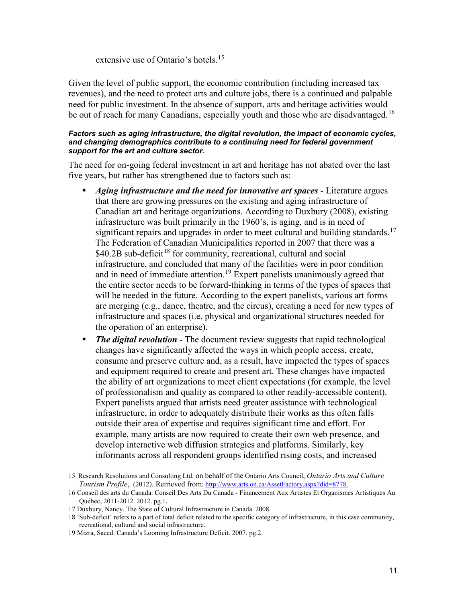extensive use of Ontario's hotels.<sup>15</sup>

Given the level of public support, the economic contribution (including increased tax revenues), and the need to protect arts and culture jobs, there is a continued and palpable need for public investment. In the absence of support, arts and heritage activities would be out of reach for many Canadians, especially youth and those who are disadvantaged.<sup>16</sup>

#### *Factors such as aging infrastructure, the digital revolution, the impact of economic cycles, and changing demographics contribute to a continuing need for federal government support for the art and culture sector.*

The need for on-going federal investment in art and heritage has not abated over the last five years, but rather has strengthened due to factors such as:

- *Aging infrastructure and the need for innovative art spaces* Literature argues that there are growing pressures on the existing and aging infrastructure of Canadian art and heritage organizations. According to Duxbury (2008), existing infrastructure was built primarily in the 1960's, is aging, and is in need of significant repairs and upgrades in order to meet cultural and building standards.<sup>17</sup> The Federation of Canadian Municipalities reported in 2007 that there was a  $$40.2B$  sub-deficit<sup>18</sup> for community, recreational, cultural and social infrastructure, and concluded that many of the facilities were in poor condition and in need of immediate attention.<sup>19</sup> Expert panelists unanimously agreed that the entire sector needs to be forward-thinking in terms of the types of spaces that will be needed in the future. According to the expert panelists, various art forms are merging (e.g., dance, theatre, and the circus), creating a need for new types of infrastructure and spaces (i.e. physical and organizational structures needed for the operation of an enterprise).
- *The digital revolution* The document review suggests that rapid technological changes have significantly affected the ways in which people access, create, consume and preserve culture and, as a result, have impacted the types of spaces and equipment required to create and present art. These changes have impacted the ability of art organizations to meet client expectations (for example, the level of professionalism and quality as compared to other readily-accessible content). Expert panelists argued that artists need greater assistance with technological infrastructure, in order to adequately distribute their works as this often falls outside their area of expertise and requires significant time and effort. For example, many artists are now required to create their own web presence, and develop interactive web diffusion strategies and platforms. Similarly, key informants across all respondent groups identified rising costs, and increased

<sup>15</sup> Research Resolutions and Consulting Ltd. on behalf of the Ontario Arts Council, *Ontario Arts and Culture Tourism Profile*, (2012). Retrieved from: [http://www.arts.on.ca/AssetFactory.aspx?did=8778.](http://www.arts.on.ca/AssetFactory.aspx?did=8778)

<sup>16</sup> Conseil des arts du Canada. Conseil Des Arts Du Canada - Financement Aux Artistes Et Organismes Artistiques Au Québec, 2011-2012. 2012. pg.1.

<sup>17</sup> Duxbury, Nancy. The State of Cultural Infrastructure in Canada. 2008.

<sup>18</sup> 'Sub-deficit' refers to a part of total deficit related to the specific category of infrastructure, in this case community, recreational, cultural and social infrastructure.

<sup>19</sup> Mizra, Saeed. Canada's Looming Infrastructure Deficit. 2007. pg.2.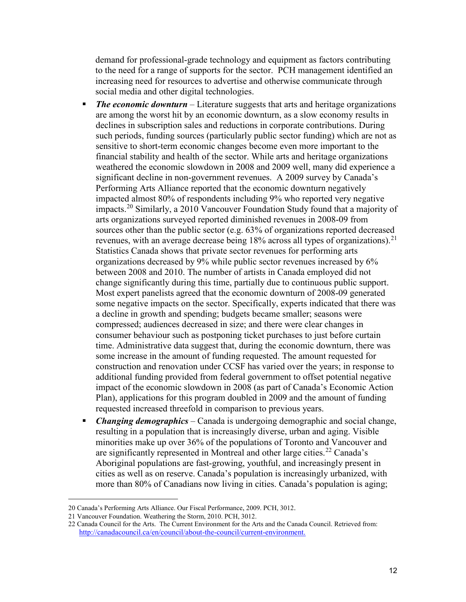demand for professional-grade technology and equipment as factors contributing to the need for a range of supports for the sector. PCH management identified an increasing need for resources to advertise and otherwise communicate through social media and other digital technologies.

- **The economic downturn** Literature suggests that arts and heritage organizations are among the worst hit by an economic downturn, as a slow economy results in declines in subscription sales and reductions in corporate contributions. During such periods, funding sources (particularly public sector funding) which are not as sensitive to short-term economic changes become even more important to the financial stability and health of the sector. While arts and heritage organizations weathered the economic slowdown in 2008 and 2009 well, many did experience a significant decline in non-government revenues. A 2009 survey by Canada's Performing Arts Alliance reported that the economic downturn negatively impacted almost 80% of respondents including 9% who reported very negative impacts.20 Similarly, a 2010 Vancouver Foundation Study found that a majority of arts organizations surveyed reported diminished revenues in 2008-09 from sources other than the public sector (e.g. 63% of organizations reported decreased revenues, with an average decrease being 18% across all types of organizations).<sup>21</sup> Statistics Canada shows that private sector revenues for performing arts organizations decreased by 9% while public sector revenues increased by 6% between 2008 and 2010. The number of artists in Canada employed did not change significantly during this time, partially due to continuous public support. Most expert panelists agreed that the economic downturn of 2008-09 generated some negative impacts on the sector. Specifically, experts indicated that there was a decline in growth and spending; budgets became smaller; seasons were compressed; audiences decreased in size; and there were clear changes in consumer behaviour such as postponing ticket purchases to just before curtain time. Administrative data suggest that, during the economic downturn, there was some increase in the amount of funding requested. The amount requested for construction and renovation under CCSF has varied over the years; in response to additional funding provided from federal government to offset potential negative impact of the economic slowdown in 2008 (as part of Canada's Economic Action Plan), applications for this program doubled in 2009 and the amount of funding requested increased threefold in comparison to previous years.
- *Changing demographics*  Canada is undergoing demographic and social change, resulting in a population that is increasingly diverse, urban and aging. Visible minorities make up over 36% of the populations of Toronto and Vancouver and are significantly represented in Montreal and other large cities.<sup>22</sup> Canada's Aboriginal populations are fast-growing, youthful, and increasingly present in cities as well as on reserve. Canada's population is increasingly urbanized, with more than 80% of Canadians now living in cities. Canada's population is aging;

<sup>20</sup> Canada's Performing Arts Alliance. Our Fiscal Performance, 2009. PCH, 3012.

<sup>21</sup> Vancouver Foundation. Weathering the Storm, 2010. PCH, 3012.

<sup>22</sup> Canada Council for the Arts. The Current Environment for the Arts and the Canada Council. Retrieved from: [http://canadacouncil.ca/en/council/about-the-council/current-environment.](http://canadacouncil.ca/en/council/about-the-council/current-environment)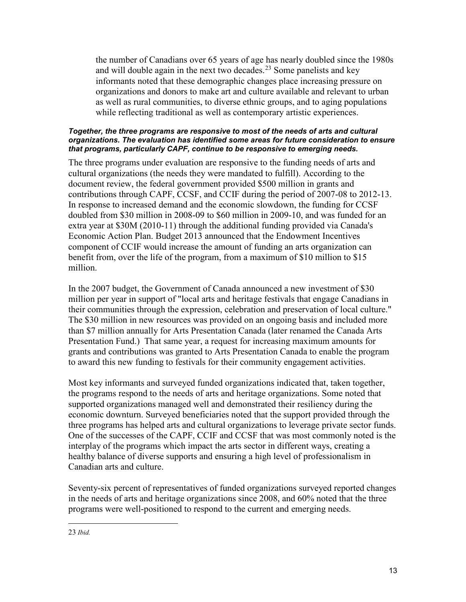the number of Canadians over 65 years of age has nearly doubled since the 1980s and will double again in the next two decades.<sup>23</sup> Some panelists and key informants noted that these demographic changes place increasing pressure on organizations and donors to make art and culture available and relevant to urban as well as rural communities, to diverse ethnic groups, and to aging populations while reflecting traditional as well as contemporary artistic experiences.

#### *Together, the three programs are responsive to most of the needs of arts and cultural organizations. The evaluation has identified some areas for future consideration to ensure that programs, particularly CAPF, continue to be responsive to emerging needs.*

The three programs under evaluation are responsive to the funding needs of arts and cultural organizations (the needs they were mandated to fulfill). According to the document review, the federal government provided \$500 million in grants and contributions through CAPF, CCSF, and CCIF during the period of 2007-08 to 2012-13. In response to increased demand and the economic slowdown, the funding for CCSF doubled from \$30 million in 2008-09 to \$60 million in 2009-10, and was funded for an extra year at \$30M (2010-11) through the additional funding provided via Canada's Economic Action Plan. Budget 2013 announced that the Endowment Incentives component of CCIF would increase the amount of funding an arts organization can benefit from, over the life of the program, from a maximum of \$10 million to \$15 million.

In the 2007 budget, the Government of Canada announced a new investment of \$30 million per year in support of "local arts and heritage festivals that engage Canadians in their communities through the expression, celebration and preservation of local culture." The \$30 million in new resources was provided on an ongoing basis and included more than \$7 million annually for Arts Presentation Canada (later renamed the Canada Arts Presentation Fund.) That same year, a request for increasing maximum amounts for grants and contributions was granted to Arts Presentation Canada to enable the program to award this new funding to festivals for their community engagement activities.

Most key informants and surveyed funded organizations indicated that, taken together, the programs respond to the needs of arts and heritage organizations. Some noted that supported organizations managed well and demonstrated their resiliency during the economic downturn. Surveyed beneficiaries noted that the support provided through the three programs has helped arts and cultural organizations to leverage private sector funds. One of the successes of the CAPF, CCIF and CCSF that was most commonly noted is the interplay of the programs which impact the arts sector in different ways, creating a healthy balance of diverse supports and ensuring a high level of professionalism in Canadian arts and culture.

Seventy-six percent of representatives of funded organizations surveyed reported changes in the needs of arts and heritage organizations since 2008, and 60% noted that the three programs were well-positioned to respond to the current and emerging needs.

<sup>23</sup> *Ibid.*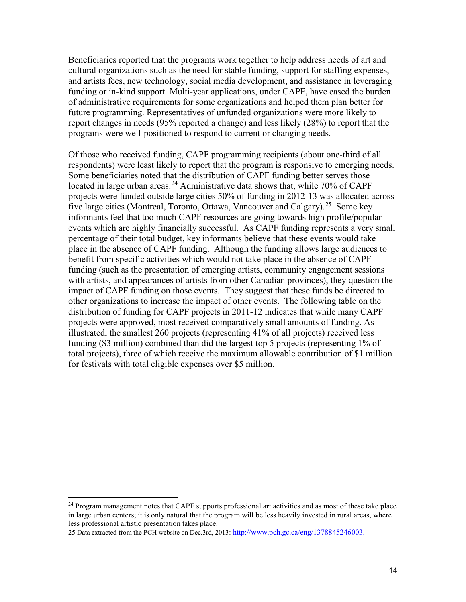Beneficiaries reported that the programs work together to help address needs of art and cultural organizations such as the need for stable funding, support for staffing expenses, and artists fees, new technology, social media development, and assistance in leveraging funding or in-kind support. Multi-year applications, under CAPF, have eased the burden of administrative requirements for some organizations and helped them plan better for future programming. Representatives of unfunded organizations were more likely to report changes in needs (95% reported a change) and less likely (28%) to report that the programs were well-positioned to respond to current or changing needs.

Of those who received funding, CAPF programming recipients (about one-third of all respondents) were least likely to report that the program is responsive to emerging needs. Some beneficiaries noted that the distribution of CAPF funding better serves those located in large urban areas.<sup>24</sup> Administrative data shows that, while 70% of CAPF projects were funded outside large cities 50% of funding in 2012-13 was allocated across five large cities (Montreal, Toronto, Ottawa, Vancouver and Calgary).<sup>25</sup> Some key informants feel that too much CAPF resources are going towards high profile/popular events which are highly financially successful. As CAPF funding represents a very small percentage of their total budget, key informants believe that these events would take place in the absence of CAPF funding. Although the funding allows large audiences to benefit from specific activities which would not take place in the absence of CAPF funding (such as the presentation of emerging artists, community engagement sessions with artists, and appearances of artists from other Canadian provinces), they question the impact of CAPF funding on those events. They suggest that these funds be directed to other organizations to increase the impact of other events. The following table on the distribution of funding for CAPF projects in 2011-12 indicates that while many CAPF projects were approved, most received comparatively small amounts of funding. As illustrated, the smallest 260 projects (representing 41% of all projects) received less funding (\$3 million) combined than did the largest top 5 projects (representing 1% of total projects), three of which receive the maximum allowable contribution of \$1 million for festivals with total eligible expenses over \$5 million.

<sup>&</sup>lt;sup>24</sup> Program management notes that CAPF supports professional art activities and as most of these take place in large urban centers; it is only natural that the program will be less heavily invested in rural areas, where less professional artistic presentation takes place.

<sup>25</sup> Data extracted from the PCH website on Dec.3rd, 2013: [http://www.pch.gc.ca/eng/1378845246003.](http://www.pch.gc.ca/eng/1378845246003)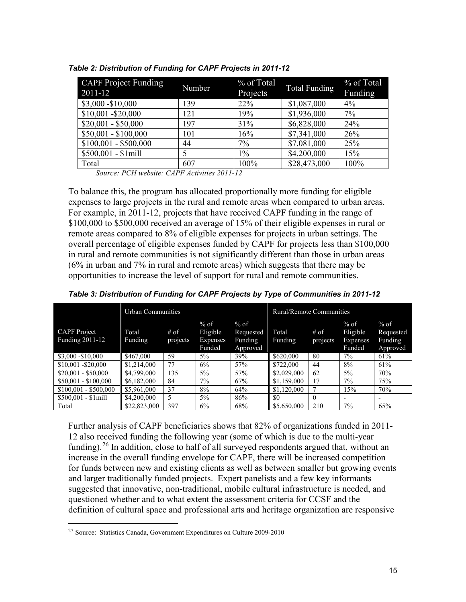| <b>CAPF Project Funding</b><br>2011-12 | Number | % of Total<br>Projects | Total Funding | % of Total<br>Funding |
|----------------------------------------|--------|------------------------|---------------|-----------------------|
| \$3,000 - \$10,000                     | 139    | 22%                    | \$1,087,000   | $4\%$                 |
| \$10,001 - \$20,000                    | 121    | 19%                    | \$1,936,000   | 7%                    |
| $$20,001 - $50,000$                    | 197    | 31%                    | \$6,828,000   | 24%                   |
| $$50,001 - $100,000$                   | 101    | 16%                    | \$7,341,000   | 26%                   |
| $$100,001 - $500,000$                  | 44     | 7%                     | \$7,081,000   | 25%                   |
| $$500,001 - $1$ mill                   |        | $1\%$                  | \$4,200,000   | 15%                   |
| Total                                  | 607    | 100%                   | \$28,473,000  | 100%                  |

*Table 2: Distribution of Funding for CAPF Projects in 2011-12*

*Source: PCH website: CAPF Activities 2011-12*

To balance this, the program has allocated proportionally more funding for eligible expenses to large projects in the rural and remote areas when compared to urban areas. For example, in 2011-12, projects that have received CAPF funding in the range of \$100,000 to \$500,000 received an average of 15% of their eligible expenses in rural or remote areas compared to 8% of eligible expenses for projects in urban settings. The overall percentage of eligible expenses funded by CAPF for projects less than \$100,000 in rural and remote communities is not significantly different than those in urban areas (6% in urban and 7% in rural and remote areas) which suggests that there may be opportunities to increase the level of support for rural and remote communities.

|                                               | <b>Urban Communities</b> |                    |                                                 |                                            | Rural/Remote Communities |                    |                                                 |                                            |
|-----------------------------------------------|--------------------------|--------------------|-------------------------------------------------|--------------------------------------------|--------------------------|--------------------|-------------------------------------------------|--------------------------------------------|
| <b>CAPF</b> Project<br><b>Funding 2011-12</b> | Total<br><b>Funding</b>  | $#$ of<br>projects | $%$ of<br>Eligible<br><b>Expenses</b><br>Funded | $%$ of<br>Requested<br>Funding<br>Approved | Total<br>Funding         | $#$ of<br>projects | $%$ of<br>Eligible<br><b>Expenses</b><br>Funded | $%$ of<br>Requested<br>Funding<br>Approved |
| \$3,000 - \$10,000                            | \$467,000                | 59                 | $5\%$                                           | 39%                                        | \$620,000                | 80                 | $7\%$                                           | 61%                                        |
| \$10,001 - \$20,000                           | \$1,214,000              | 77                 | 6%                                              | 57%                                        | \$722,000                | 44                 | 8%                                              | 61%                                        |
| $$20,001 - $50,000$                           | \$4,799,000              | 135                | 5%                                              | 57%                                        | \$2,029,000              | 62                 | $5\%$                                           | 70%                                        |
| $$50,001 - $100,000$                          | \$6,182,000              | 84                 | 7%                                              | 67%                                        | \$1,159,000              | 17                 | 7%                                              | 75%                                        |
| $$100,001 - $500,000$                         | \$5,961,000              | 37                 | 8%                                              | 64%                                        | \$1,120,000              | 7                  | 15%                                             | 70%                                        |
| $$500,001 - $1$ mill                          | \$4,200,000              | 5                  | $5\%$                                           | 86%                                        | \$0                      | $\Omega$           | $\overline{\phantom{0}}$                        |                                            |
| Total                                         | \$22,823,000             | 397                | 6%                                              | 68%                                        | \$5,650,000              | 210                | 7%                                              | 65%                                        |

*Table 3: Distribution of Funding for CAPF Projects by Type of Communities in 2011-12*

Further analysis of CAPF beneficiaries shows that 82% of organizations funded in 2011- 12 also received funding the following year (some of which is due to the multi-year funding).<sup>26</sup> In addition, close to half of all surveyed respondents argued that, without an increase in the overall funding envelope for CAPF, there will be increased competition for funds between new and existing clients as well as between smaller but growing events and larger traditionally funded projects. Expert panelists and a few key informants suggested that innovative, non-traditional, mobile cultural infrastructure is needed, and questioned whether and to what extent the assessment criteria for CCSF and the definition of cultural space and professional arts and heritage organization are responsive

 $27$  Source: Statistics Canada, Government Expenditures on Culture 2009-2010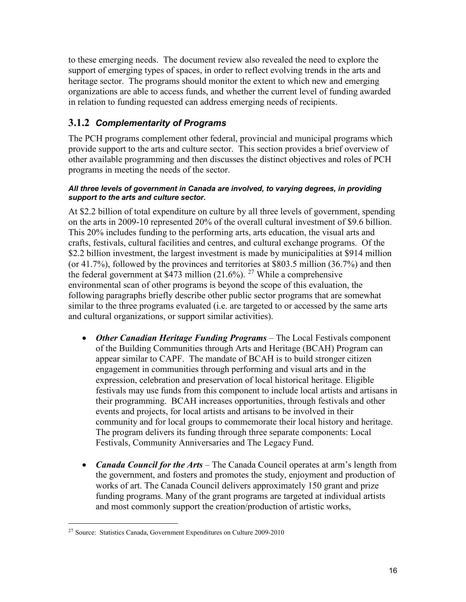to these emerging needs. The document review also revealed the need to explore the support of emerging types of spaces, in order to reflect evolving trends in the arts and heritage sector. The programs should monitor the extent to which new and emerging organizations are able to access funds, and whether the current level of funding awarded in relation to funding requested can address emerging needs of recipients.

## **3.1.2** *Complementarity of Programs*

The PCH programs complement other federal, provincial and municipal programs which provide support to the arts and culture sector. This section provides a brief overview of other available programming and then discusses the distinct objectives and roles of PCH programs in meeting the needs of the sector.

#### *All three levels of government in Canada are involved, to varying degrees, in providing support to the arts and culture sector.*

At \$2.2 billion of total expenditure on culture by all three levels of government, spending on the arts in 2009-10 represented 20% of the overall cultural investment of \$9.6 billion. This 20% includes funding to the performing arts, arts education, the visual arts and crafts, festivals, cultural facilities and centres, and cultural exchange programs. Of the \$2.2 billion investment, the largest investment is made by municipalities at \$914 million (or 41.7%), followed by the provinces and territories at \$803.5 million (36.7%) and then the federal government at  $$473$  million (21.6%). <sup>27</sup> While a comprehensive environmental scan of other programs is beyond the scope of this evaluation, the following paragraphs briefly describe other public sector programs that are somewhat similar to the three programs evaluated (i.e. are targeted to or accessed by the same arts and cultural organizations, or support similar activities).

- *Other Canadian Heritage Funding Programs* The Local Festivals component of the Building Communities through Arts and Heritage (BCAH) Program can appear similar to CAPF. The mandate of BCAH is to build stronger citizen engagement in communities through performing and visual arts and in the expression, celebration and preservation of local historical heritage. Eligible festivals may use funds from this component to include local artists and artisans in their programming. BCAH increases opportunities, through festivals and other events and projects, for local artists and artisans to be involved in their community and for local groups to commemorate their local history and heritage. The program delivers its funding through three separate components: Local Festivals, Community Anniversaries and The Legacy Fund.
- *Canada Council for the Arts* The Canada Council operates at arm's length from the government, and fosters and promotes the study, enjoyment and production of works of art. The Canada Council delivers approximately 150 grant and prize funding programs. Many of the grant programs are targeted at individual artists and most commonly support the creation/production of artistic works,

<sup>27</sup> Source: Statistics Canada, Government Expenditures on Culture 2009-2010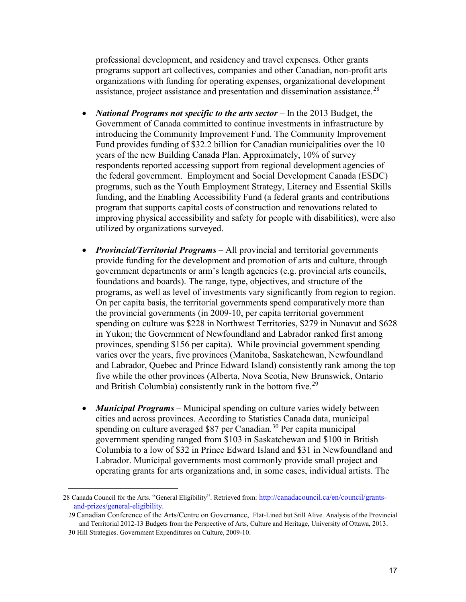professional development, and residency and travel expenses. Other grants programs support art collectives, companies and other Canadian, non-profit arts organizations with funding for operating expenses, organizational development assistance, project assistance and presentation and dissemination assistance.<sup>28</sup>

- *National Programs not specific to the arts sector* In the 2013 Budget, the Government of Canada committed to continue investments in infrastructure by introducing the Community Improvement Fund. The Community Improvement Fund provides funding of \$32.2 billion for Canadian municipalities over the 10 years of the new Building Canada Plan. Approximately, 10% of survey respondents reported accessing support from regional development agencies of the federal government. Employment and Social Development Canada (ESDC) programs, such as the Youth Employment Strategy, Literacy and Essential Skills funding, and the Enabling Accessibility Fund (a federal grants and contributions program that supports capital costs of construction and renovations related to improving physical accessibility and safety for people with disabilities), were also utilized by organizations surveyed.
- *Provincial/Territorial Programs* All provincial and territorial governments provide funding for the development and promotion of arts and culture, through government departments or arm's length agencies (e.g. provincial arts councils, foundations and boards). The range, type, objectives, and structure of the programs, as well as level of investments vary significantly from region to region. On per capita basis, the territorial governments spend comparatively more than the provincial governments (in 2009-10, per capita territorial government spending on culture was \$228 in Northwest Territories, \$279 in Nunavut and \$628 in Yukon; the Government of Newfoundland and Labrador ranked first among provinces, spending \$156 per capita). While provincial government spending varies over the years, five provinces (Manitoba, Saskatchewan, Newfoundland and Labrador, Quebec and Prince Edward Island) consistently rank among the top five while the other provinces (Alberta, Nova Scotia, New Brunswick, Ontario and British Columbia) consistently rank in the bottom five.<sup>29</sup>
- *Municipal Programs* Municipal spending on culture varies widely between cities and across provinces. According to Statistics Canada data, municipal spending on culture averaged \$87 per Canadian.<sup>30</sup> Per capita municipal government spending ranged from \$103 in Saskatchewan and \$100 in British Columbia to a low of \$32 in Prince Edward Island and \$31 in Newfoundland and Labrador. Municipal governments most commonly provide small project and operating grants for arts organizations and, in some cases, individual artists. The

<sup>28</sup> [Canada Council for the Arts. "General Eligibility".](http://canadacouncil.ca/en/council/grants-and-prizes/general-eligibility) Retrieved from: http://canadacouncil.ca/en/council/grantsand-prizes/general-eligibility.

<sup>29</sup> Canadian Conference of the Arts/Centre on Governance, Flat-Lined but Still Alive. Analysis of the Provincial and Territorial 2012-13 Budgets from the Perspective of Arts, Culture and Heritage, University of Ottawa, 2013. 30 Hill Strategies. Government Expenditures on Culture, 2009-10.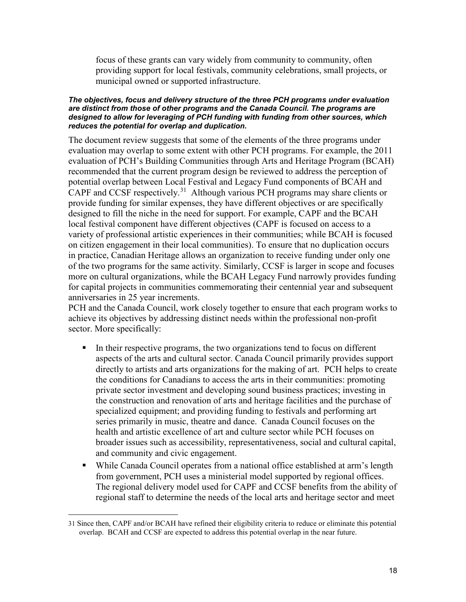focus of these grants can vary widely from community to community, often providing support for local festivals, community celebrations, small projects, or municipal owned or supported infrastructure.

#### *The objectives, focus and delivery structure of the three PCH programs under evaluation are distinct from those of other programs and the Canada Council. The programs are designed to allow for leveraging of PCH funding with funding from other sources, which reduces the potential for overlap and duplication.*

The document review suggests that some of the elements of the three programs under evaluation may overlap to some extent with other PCH programs. For example, the 2011 evaluation of PCH's Building Communities through Arts and Heritage Program (BCAH) recommended that the current program design be reviewed to address the perception of potential overlap between Local Festival and Legacy Fund components of BCAH and CAPF and CCSF respectively.<sup>31</sup> Although various PCH programs may share clients or provide funding for similar expenses, they have different objectives or are specifically designed to fill the niche in the need for support. For example, CAPF and the BCAH local festival component have different objectives (CAPF is focused on access to a variety of professional artistic experiences in their communities; while BCAH is focused on citizen engagement in their local communities). To ensure that no duplication occurs in practice, Canadian Heritage allows an organization to receive funding under only one of the two programs for the same activity. Similarly, CCSF is larger in scope and focuses more on cultural organizations, while the BCAH Legacy Fund narrowly provides funding for capital projects in communities commemorating their centennial year and subsequent anniversaries in 25 year increments.

PCH and the Canada Council, work closely together to ensure that each program works to achieve its objectives by addressing distinct needs within the professional non-profit sector. More specifically:

- In their respective programs, the two organizations tend to focus on different aspects of the arts and cultural sector. Canada Council primarily provides support directly to artists and arts organizations for the making of art. PCH helps to create the conditions for Canadians to access the arts in their communities: promoting private sector investment and developing sound business practices; investing in the construction and renovation of arts and heritage facilities and the purchase of specialized equipment; and providing funding to festivals and performing art series primarily in music, theatre and dance. Canada Council focuses on the health and artistic excellence of art and culture sector while PCH focuses on broader issues such as accessibility, representativeness, social and cultural capital, and community and civic engagement.
- While Canada Council operates from a national office established at arm's length from government, PCH uses a ministerial model supported by regional offices. The regional delivery model used for CAPF and CCSF benefits from the ability of regional staff to determine the needs of the local arts and heritage sector and meet

<sup>31</sup> Since then, CAPF and/or BCAH have refined their eligibility criteria to reduce or eliminate this potential overlap. BCAH and CCSF are expected to address this potential overlap in the near future.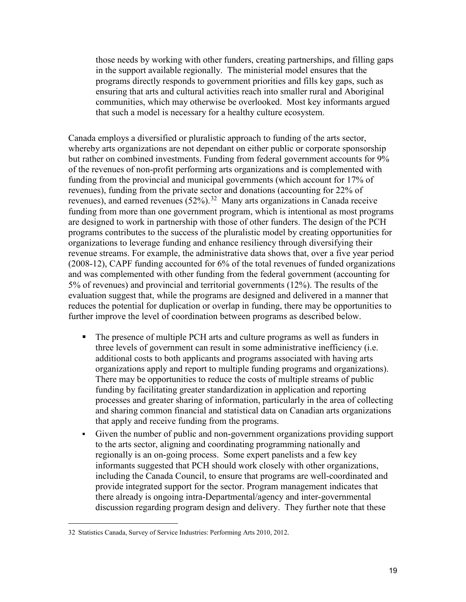those needs by working with other funders, creating partnerships, and filling gaps in the support available regionally. The ministerial model ensures that the programs directly responds to government priorities and fills key gaps, such as ensuring that arts and cultural activities reach into smaller rural and Aboriginal communities, which may otherwise be overlooked. Most key informants argued that such a model is necessary for a healthy culture ecosystem.

Canada employs a diversified or pluralistic approach to funding of the arts sector, whereby arts organizations are not dependant on either public or corporate sponsorship but rather on combined investments. Funding from federal government accounts for 9% of the revenues of non-profit performing arts organizations and is complemented with funding from the provincial and municipal governments (which account for 17% of revenues), funding from the private sector and donations (accounting for 22% of revenues), and earned revenues (52%).32 Many arts organizations in Canada receive funding from more than one government program, which is intentional as most programs are designed to work in partnership with those of other funders. The design of the PCH programs contributes to the success of the pluralistic model by creating opportunities for organizations to leverage funding and enhance resiliency through diversifying their revenue streams. For example, the administrative data shows that, over a five year period (2008-12), CAPF funding accounted for 6% of the total revenues of funded organizations and was complemented with other funding from the federal government (accounting for 5% of revenues) and provincial and territorial governments (12%). The results of the evaluation suggest that, while the programs are designed and delivered in a manner that reduces the potential for duplication or overlap in funding, there may be opportunities to further improve the level of coordination between programs as described below.

- The presence of multiple PCH arts and culture programs as well as funders in three levels of government can result in some administrative inefficiency (i.e. additional costs to both applicants and programs associated with having arts organizations apply and report to multiple funding programs and organizations). There may be opportunities to reduce the costs of multiple streams of public funding by facilitating greater standardization in application and reporting processes and greater sharing of information, particularly in the area of collecting and sharing common financial and statistical data on Canadian arts organizations that apply and receive funding from the programs.
- Given the number of public and non-government organizations providing support to the arts sector, aligning and coordinating programming nationally and regionally is an on-going process. Some expert panelists and a few key informants suggested that PCH should work closely with other organizations, including the Canada Council, to ensure that programs are well-coordinated and provide integrated support for the sector. Program management indicates that there already is ongoing intra-Departmental/agency and inter-governmental discussion regarding program design and delivery. They further note that these

<sup>32</sup> Statistics Canada, Survey of Service Industries: Performing Arts 2010, 2012.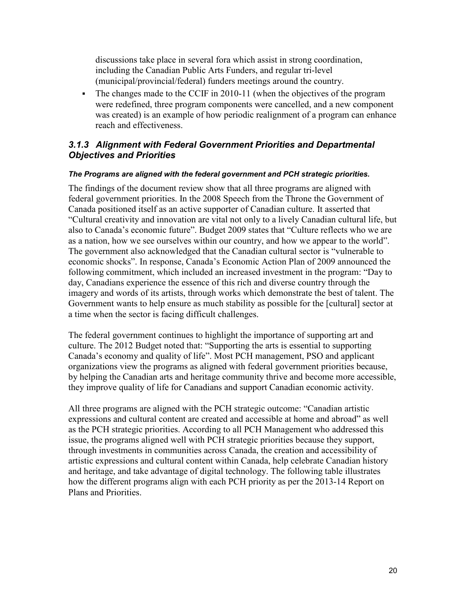discussions take place in several fora which assist in strong coordination, including the Canadian Public Arts Funders, and regular tri-level (municipal/provincial/federal) funders meetings around the country.

• The changes made to the CCIF in 2010-11 (when the objectives of the program were redefined, three program components were cancelled, and a new component was created) is an example of how periodic realignment of a program can enhance reach and effectiveness.

### *3.1.3 Alignment with Federal Government Priorities and Departmental Objectives and Priorities*

#### *The Programs are aligned with the federal government and PCH strategic priorities.*

The findings of the document review show that all three programs are aligned with federal government priorities. In the 2008 Speech from the Throne the Government of Canada positioned itself as an active supporter of Canadian culture. It asserted that "Cultural creativity and innovation are vital not only to a lively Canadian cultural life, but also to Canada's economic future". Budget 2009 states that "Culture reflects who we are as a nation, how we see ourselves within our country, and how we appear to the world". The government also acknowledged that the Canadian cultural sector is "vulnerable to economic shocks". In response, Canada's Economic Action Plan of 2009 announced the following commitment, which included an increased investment in the program: "Day to day, Canadians experience the essence of this rich and diverse country through the imagery and words of its artists, through works which demonstrate the best of talent. The Government wants to help ensure as much stability as possible for the [cultural] sector at a time when the sector is facing difficult challenges.

The federal government continues to highlight the importance of supporting art and culture. The 2012 Budget noted that: "Supporting the arts is essential to supporting Canada's economy and quality of life". Most PCH management, PSO and applicant organizations view the programs as aligned with federal government priorities because, by helping the Canadian arts and heritage community thrive and become more accessible, they improve quality of life for Canadians and support Canadian economic activity.

All three programs are aligned with the PCH strategic outcome: "Canadian artistic expressions and cultural content are created and accessible at home and abroad" as well as the PCH strategic priorities. According to all PCH Management who addressed this issue, the programs aligned well with PCH strategic priorities because they support, through investments in communities across Canada, the creation and accessibility of artistic expressions and cultural content within Canada, help celebrate Canadian history and heritage, and take advantage of digital technology. The following table illustrates how the different programs align with each PCH priority as per the 2013-14 Report on Plans and Priorities.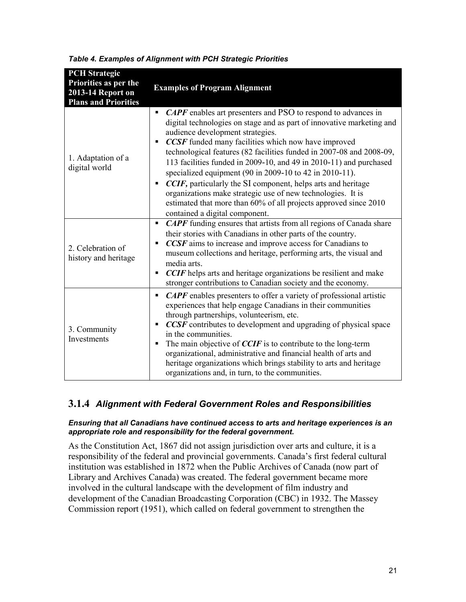| <b>PCH</b> Strategic<br>Priorities as per the<br>2013-14 Report on<br><b>Plans and Priorities</b> | <b>Examples of Program Alignment</b>                                                                                                                                                                                                                                                                                                                                                                                                                                                                                                                                                                                                                                                                         |
|---------------------------------------------------------------------------------------------------|--------------------------------------------------------------------------------------------------------------------------------------------------------------------------------------------------------------------------------------------------------------------------------------------------------------------------------------------------------------------------------------------------------------------------------------------------------------------------------------------------------------------------------------------------------------------------------------------------------------------------------------------------------------------------------------------------------------|
| 1. Adaptation of a<br>digital world                                                               | <b>CAPF</b> enables art presenters and PSO to respond to advances in<br>٠<br>digital technologies on stage and as part of innovative marketing and<br>audience development strategies.<br><b>CCSF</b> funded many facilities which now have improved<br>٠<br>technological features (82 facilities funded in 2007-08 and 2008-09,<br>113 facilities funded in 2009-10, and 49 in 2010-11) and purchased<br>specialized equipment (90 in 2009-10 to 42 in 2010-11).<br>CCIF, particularly the SI component, helps arts and heritage<br>٠<br>organizations make strategic use of new technologies. It is<br>estimated that more than 60% of all projects approved since 2010<br>contained a digital component. |
| 2. Celebration of<br>history and heritage                                                         | <b>CAPF</b> funding ensures that artists from all regions of Canada share<br>٠<br>their stories with Canadians in other parts of the country.<br>CCSF aims to increase and improve access for Canadians to<br>museum collections and heritage, performing arts, the visual and<br>media arts.<br><b>CCIF</b> helps arts and heritage organizations be resilient and make<br>stronger contributions to Canadian society and the economy.                                                                                                                                                                                                                                                                      |
| 3. Community<br>Investments                                                                       | <b>CAPF</b> enables presenters to offer a variety of professional artistic<br>٠<br>experiences that help engage Canadians in their communities<br>through partnerships, volunteerism, etc.<br>CCSF contributes to development and upgrading of physical space<br>П<br>in the communities.<br>The main objective of $CCIF$ is to contribute to the long-term<br>٠<br>organizational, administrative and financial health of arts and<br>heritage organizations which brings stability to arts and heritage<br>organizations and, in turn, to the communities.                                                                                                                                                 |

*Table 4. Examples of Alignment with PCH Strategic Priorities*

### **3.1.4** *Alignment with Federal Government Roles and Responsibilities*

#### *Ensuring that all Canadians have continued access to arts and heritage experiences is an appropriate role and responsibility for the federal government.*

As the Constitution Act, 1867 did not assign jurisdiction over arts and culture, it is a responsibility of the federal and provincial governments. Canada's first federal cultural institution was established in 1872 when the Public Archives of Canada (now part of Library and Archives Canada) was created. The federal government became more involved in the cultural landscape with the development of film industry and development of the Canadian Broadcasting Corporation (CBC) in 1932. The Massey Commission report (1951), which called on federal government to strengthen the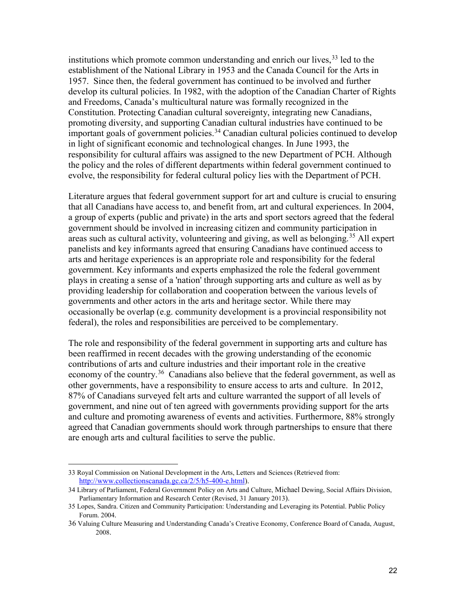institutions which promote common understanding and enrich our lives,  $33$  led to the establishment of the National Library in 1953 and the Canada Council for the Arts in 1957. Since then, the federal government has continued to be involved and further develop its cultural policies. In 1982, with the adoption of the Canadian Charter of Rights and Freedoms, Canada's multicultural nature was formally recognized in the Constitution. Protecting Canadian cultural sovereignty, integrating new Canadians, promoting diversity, and supporting Canadian cultural industries have continued to be important goals of government policies.<sup>34</sup> Canadian cultural policies continued to develop in light of significant economic and technological changes. In June 1993, the responsibility for cultural affairs was assigned to the new Department of PCH. Although the policy and the roles of different departments within federal government continued to evolve, the responsibility for federal cultural policy lies with the Department of PCH.

Literature argues that federal government support for art and culture is crucial to ensuring that all Canadians have access to, and benefit from, art and cultural experiences. In 2004, a group of experts (public and private) in the arts and sport sectors agreed that the federal government should be involved in increasing citizen and community participation in areas such as cultural activity, volunteering and giving, as well as belonging.<sup>35</sup> All expert panelists and key informants agreed that ensuring Canadians have continued access to arts and heritage experiences is an appropriate role and responsibility for the federal government. Key informants and experts emphasized the role the federal government plays in creating a sense of a 'nation' through supporting arts and culture as well as by providing leadership for collaboration and cooperation between the various levels of governments and other actors in the arts and heritage sector. While there may occasionally be overlap (e.g. community development is a provincial responsibility not federal), the roles and responsibilities are perceived to be complementary.

The role and responsibility of the federal government in supporting arts and culture has been reaffirmed in recent decades with the growing understanding of the economic contributions of arts and culture industries and their important role in the creative economy of the country.<sup>36</sup> Canadians also believe that the federal government, as well as other governments, have a responsibility to ensure access to arts and culture. In 2012, 87% of Canadians surveyed felt arts and culture warranted the support of all levels of government, and nine out of ten agreed with governments providing support for the arts and culture and promoting awareness of events and activities. Furthermore, 88% strongly agreed that Canadian governments should work through partnerships to ensure that there are enough arts and cultural facilities to serve the public.

<sup>33</sup> Royal Commission on National Development in the Arts, Letters and Sciences (Retrieved from: [http://www.collectionscanada.gc.ca/2/5/h5-400-e.html\)](http://www.collectionscanada.gc.ca/2/5/h5-400-e.html).

<sup>34</sup> Library of Parliament, Federal Government Policy on Arts and Culture, Michael Dewing, Social Affairs Division, Parliamentary Information and Research Center (Revised, 31 January 2013).

<sup>35</sup> Lopes, Sandra. Citizen and Community Participation: Understanding and Leveraging its Potential. Public Policy Forum. 2004.

<sup>36</sup> Valuing Culture Measuring and Understanding Canada's Creative Economy, Conference Board of Canada, August, 2008.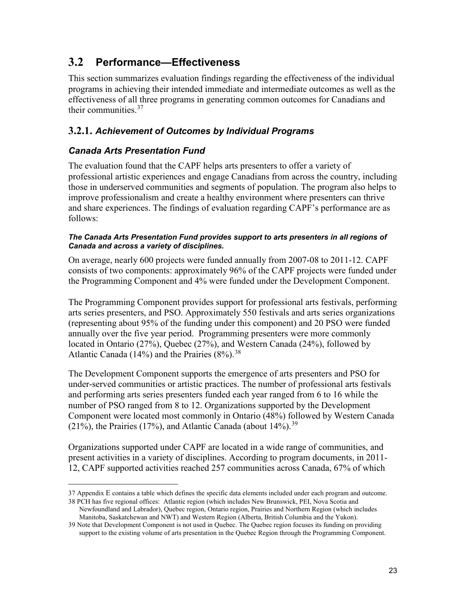## <span id="page-32-0"></span>**3.2 Performance—Effectiveness**

This section summarizes evaluation findings regarding the effectiveness of the individual programs in achieving their intended immediate and intermediate outcomes as well as the effectiveness of all three programs in generating common outcomes for Canadians and their communities. 37

### **3.2.1.** *Achievement of Outcomes by Individual Programs*

### *Canada Arts Presentation Fund*

The evaluation found that the CAPF helps arts presenters to offer a variety of professional artistic experiences and engage Canadians from across the country, including those in underserved communities and segments of population. The program also helps to improve professionalism and create a healthy environment where presenters can thrive and share experiences. The findings of evaluation regarding CAPF's performance are as follows:

#### *The Canada Arts Presentation Fund provides support to arts presenters in all regions of Canada and across a variety of disciplines.*

On average, nearly 600 projects were funded annually from 2007-08 to 2011-12. CAPF consists of two components: approximately 96% of the CAPF projects were funded under the Programming Component and 4% were funded under the Development Component.

The Programming Component provides support for professional arts festivals, performing arts series presenters, and PSO. Approximately 550 festivals and arts series organizations (representing about 95% of the funding under this component) and 20 PSO were funded annually over the five year period. Programming presenters were more commonly located in Ontario (27%), Quebec (27%), and Western Canada (24%), followed by Atlantic Canada (14%) and the Prairies  $(8\%)$ .<sup>38</sup>

The Development Component supports the emergence of arts presenters and PSO for under-served communities or artistic practices. The number of professional arts festivals and performing arts series presenters funded each year ranged from 6 to 16 while the number of PSO ranged from 8 to 12. Organizations supported by the Development Component were located most commonly in Ontario (48%) followed by Western Canada (21%), the Prairies (17%), and Atlantic Canada (about  $14\%$ ).<sup>39</sup>

Organizations supported under CAPF are located in a wide range of communities, and present activities in a variety of disciplines. According to program documents, in 2011- 12, CAPF supported activities reached 257 communities across Canada, 67% of which

<sup>37</sup> Appendix E contains a table which defines the specific data elements included under each program and outcome.

<sup>38</sup> PCH has five regional offices: Atlantic region (which includes New Brunswick, PEI, Nova Scotia and Newfoundland and Labrador), Quebec region, Ontario region, Prairies and Northern Region (which includes Manitoba, Saskatchewan and NWT) and Western Region (Alberta, British Columbia and the Yukon).

<sup>39</sup> Note that Development Component is not used in Quebec. The Quebec region focuses its funding on providing support to the existing volume of arts presentation in the Quebec Region through the Programming Component.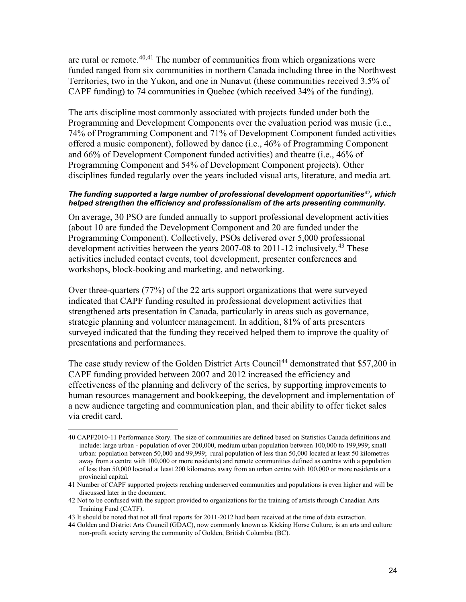are rural or remote. $40,41$  The number of communities from which organizations were funded ranged from six communities in northern Canada including three in the Northwest Territories, two in the Yukon, and one in Nunavut (these communities received 3.5% of CAPF funding) to 74 communities in Quebec (which received 34% of the funding).

The arts discipline most commonly associated with projects funded under both the Programming and Development Components over the evaluation period was music (i.e., 74% of Programming Component and 71% of Development Component funded activities offered a music component), followed by dance (i.e., 46% of Programming Component and 66% of Development Component funded activities) and theatre (i.e., 46% of Programming Component and 54% of Development Component projects). Other disciplines funded regularly over the years included visual arts, literature, and media art.

#### *The funding supported a large number of professional development opportunities*<sup>42</sup>*, which helped strengthen the efficiency and professionalism of the arts presenting community.*

On average, 30 PSO are funded annually to support professional development activities (about 10 are funded the Development Component and 20 are funded under the Programming Component). Collectively, PSOs delivered over 5,000 professional development activities between the years 2007-08 to 2011-12 inclusively.<sup>43</sup> These activities included contact events, tool development, presenter conferences and workshops, block-booking and marketing, and networking.

Over three-quarters (77%) of the 22 arts support organizations that were surveyed indicated that CAPF funding resulted in professional development activities that strengthened arts presentation in Canada, particularly in areas such as governance, strategic planning and volunteer management. In addition, 81% of arts presenters surveyed indicated that the funding they received helped them to improve the quality of presentations and performances.

The case study review of the Golden District Arts Council<sup>44</sup> demonstrated that \$57,200 in CAPF funding provided between 2007 and 2012 increased the efficiency and effectiveness of the planning and delivery of the series, by supporting improvements to human resources management and bookkeeping, the development and implementation of a new audience targeting and communication plan, and their ability to offer ticket sales via credit card.

<sup>40</sup> CAPF2010-11 Performance Story. The size of communities are defined based on Statistics Canada definitions and include: large urban - population of over 200,000, medium urban population between 100,000 to 199,999; small urban: population between 50,000 and 99,999; rural population of less than 50,000 located at least 50 kilometres away from a centre with 100,000 or more residents) and remote communities defined as centres with a population of less than 50,000 located at least 200 kilometres away from an urban centre with 100,000 or more residents or a provincial capital.

<sup>41</sup> Number of CAPF supported projects reaching underserved communities and populations is even higher and will be discussed later in the document.

<sup>42</sup> Not to be confused with the support provided to organizations for the training of artists through Canadian Arts Training Fund (CATF).

<sup>43</sup> It should be noted that not all final reports for 2011-2012 had been received at the time of data extraction.

<sup>44</sup> Golden and District Arts Council (GDAC), now commonly known as Kicking Horse Culture, is an arts and culture non-profit society serving the community of Golden, British Columbia (BC).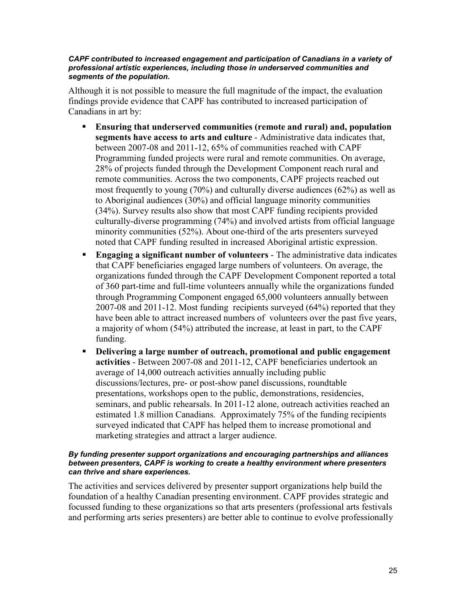#### *CAPF contributed to increased engagement and participation of Canadians in a variety of professional artistic experiences, including those in underserved communities and segments of the population.*

Although it is not possible to measure the full magnitude of the impact, the evaluation findings provide evidence that CAPF has contributed to increased participation of Canadians in art by:

- **Ensuring that underserved communities (remote and rural) and, population segments have access to arts and culture** - Administrative data indicates that, between 2007-08 and 2011-12, 65% of communities reached with CAPF Programming funded projects were rural and remote communities. On average, 28% of projects funded through the Development Component reach rural and remote communities. Across the two components, CAPF projects reached out most frequently to young (70%) and culturally diverse audiences (62%) as well as to Aboriginal audiences (30%) and official language minority communities (34%). Survey results also show that most CAPF funding recipients provided culturally-diverse programming (74%) and involved artists from official language minority communities (52%). About one-third of the arts presenters surveyed noted that CAPF funding resulted in increased Aboriginal artistic expression.
- **Engaging a significant number of volunteers** The administrative data indicates that CAPF beneficiaries engaged large numbers of volunteers. On average, the organizations funded through the CAPF Development Component reported a total of 360 part-time and full-time volunteers annually while the organizations funded through Programming Component engaged 65,000 volunteers annually between 2007-08 and 2011-12. Most funding recipients surveyed (64%) reported that they have been able to attract increased numbers of volunteers over the past five years, a majority of whom (54%) attributed the increase, at least in part, to the CAPF funding.
- **Delivering a large number of outreach, promotional and public engagement activities** - Between 2007-08 and 2011-12, CAPF beneficiaries undertook an average of 14,000 outreach activities annually including public discussions/lectures, pre- or post-show panel discussions, roundtable presentations, workshops open to the public, demonstrations, residencies, seminars, and public rehearsals. In 2011-12 alone, outreach activities reached an estimated 1.8 million Canadians. Approximately 75% of the funding recipients surveyed indicated that CAPF has helped them to increase promotional and marketing strategies and attract a larger audience.

#### *By funding presenter support organizations and encouraging partnerships and alliances between presenters, CAPF is working to create a healthy environment where presenters can thrive and share experiences.*

The activities and services delivered by presenter support organizations help build the foundation of a healthy Canadian presenting environment. CAPF provides strategic and focussed funding to these organizations so that arts presenters (professional arts festivals and performing arts series presenters) are better able to continue to evolve professionally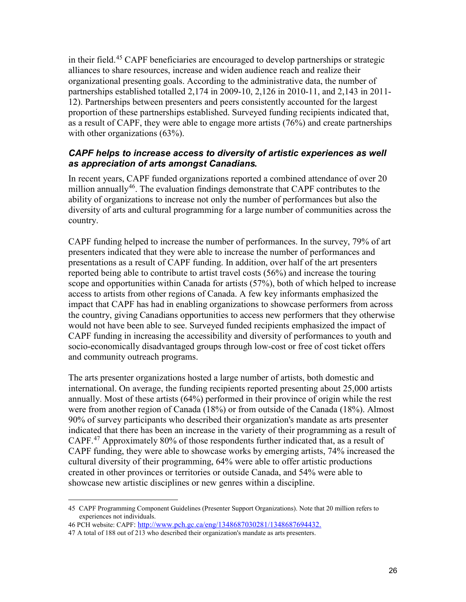in their field.45 CAPF beneficiaries are encouraged to develop partnerships or strategic alliances to share resources, increase and widen audience reach and realize their organizational presenting goals. According to the administrative data, the number of partnerships established totalled 2,174 in 2009-10, 2,126 in 2010-11, and 2,143 in 2011- 12). Partnerships between presenters and peers consistently accounted for the largest proportion of these partnerships established. Surveyed funding recipients indicated that, as a result of CAPF, they were able to engage more artists (76%) and create partnerships with other organizations (63%).

#### *CAPF helps to increase access to diversity of artistic experiences as well as appreciation of arts amongst Canadians.*

In recent years, CAPF funded organizations reported a combined attendance of over 20 million annually<sup>46</sup>. The evaluation findings demonstrate that CAPF contributes to the ability of organizations to increase not only the number of performances but also the diversity of arts and cultural programming for a large number of communities across the country.

CAPF funding helped to increase the number of performances. In the survey, 79% of art presenters indicated that they were able to increase the number of performances and presentations as a result of CAPF funding. In addition, over half of the art presenters reported being able to contribute to artist travel costs (56%) and increase the touring scope and opportunities within Canada for artists (57%), both of which helped to increase access to artists from other regions of Canada. A few key informants emphasized the impact that CAPF has had in enabling organizations to showcase performers from across the country, giving Canadians opportunities to access new performers that they otherwise would not have been able to see. Surveyed funded recipients emphasized the impact of CAPF funding in increasing the accessibility and diversity of performances to youth and socio-economically disadvantaged groups through low-cost or free of cost ticket offers and community outreach programs.

The arts presenter organizations hosted a large number of artists, both domestic and international. On average, the funding recipients reported presenting about 25,000 artists annually. Most of these artists (64%) performed in their province of origin while the rest were from another region of Canada (18%) or from outside of the Canada (18%). Almost 90% of survey participants who described their organization's mandate as arts presenter indicated that there has been an increase in the variety of their programming as a result of CAPF.<sup>47</sup> Approximately 80% of those respondents further indicated that, as a result of CAPF funding, they were able to showcase works by emerging artists, 74% increased the cultural diversity of their programming, 64% were able to offer artistic productions created in other provinces or territories or outside Canada, and 54% were able to showcase new artistic disciplines or new genres within a discipline.

<sup>45</sup> CAPF Programming Component Guidelines (Presenter Support Organizations). Note that 20 million refers to experiences not individuals.

<sup>46</sup> PCH website: CAPF: [http://www.pch.gc.ca/eng/1348687030281/1348687694432.](http://www.pch.gc.ca/eng/1348687030281/1348687694432)

<sup>47</sup> A total of 188 out of 213 who described their organization's mandate as arts presenters.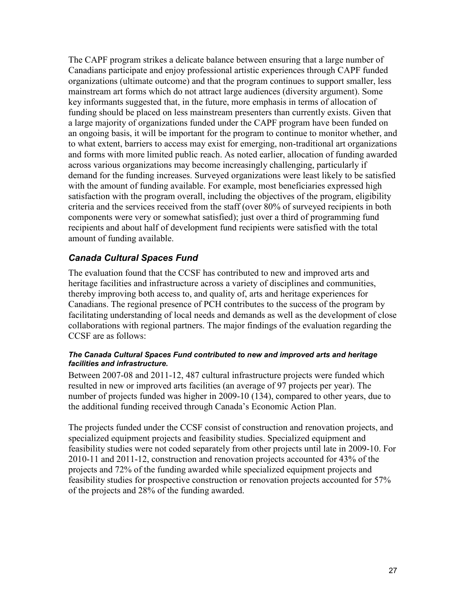The CAPF program strikes a delicate balance between ensuring that a large number of Canadians participate and enjoy professional artistic experiences through CAPF funded organizations (ultimate outcome) and that the program continues to support smaller, less mainstream art forms which do not attract large audiences (diversity argument). Some key informants suggested that, in the future, more emphasis in terms of allocation of funding should be placed on less mainstream presenters than currently exists. Given that a large majority of organizations funded under the CAPF program have been funded on an ongoing basis, it will be important for the program to continue to monitor whether, and to what extent, barriers to access may exist for emerging, non-traditional art organizations and forms with more limited public reach. As noted earlier, allocation of funding awarded across various organizations may become increasingly challenging, particularly if demand for the funding increases. Surveyed organizations were least likely to be satisfied with the amount of funding available. For example, most beneficiaries expressed high satisfaction with the program overall, including the objectives of the program, eligibility criteria and the services received from the staff (over 80% of surveyed recipients in both components were very or somewhat satisfied); just over a third of programming fund recipients and about half of development fund recipients were satisfied with the total amount of funding available.

### *Canada Cultural Spaces Fund*

The evaluation found that the CCSF has contributed to new and improved arts and heritage facilities and infrastructure across a variety of disciplines and communities, thereby improving both access to, and quality of, arts and heritage experiences for Canadians. The regional presence of PCH contributes to the success of the program by facilitating understanding of local needs and demands as well as the development of close collaborations with regional partners. The major findings of the evaluation regarding the CCSF are as follows:

#### *The Canada Cultural Spaces Fund contributed to new and improved arts and heritage facilities and infrastructure.*

Between 2007-08 and 2011-12, 487 cultural infrastructure projects were funded which resulted in new or improved arts facilities (an average of 97 projects per year). The number of projects funded was higher in 2009-10 (134), compared to other years, due to the additional funding received through Canada's Economic Action Plan.

The projects funded under the CCSF consist of construction and renovation projects, and specialized equipment projects and feasibility studies. Specialized equipment and feasibility studies were not coded separately from other projects until late in 2009-10. For 2010-11 and 2011-12, construction and renovation projects accounted for 43% of the projects and 72% of the funding awarded while specialized equipment projects and feasibility studies for prospective construction or renovation projects accounted for 57% of the projects and 28% of the funding awarded.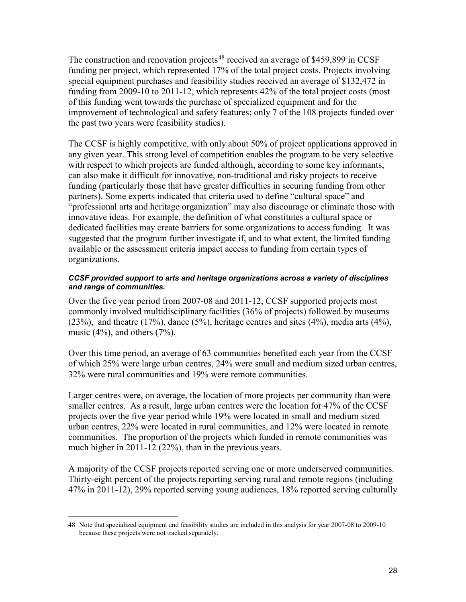The construction and renovation projects<sup>48</sup> received an average of \$459,899 in CCSF funding per project, which represented 17% of the total project costs. Projects involving special equipment purchases and feasibility studies received an average of \$132,472 in funding from 2009-10 to 2011-12, which represents 42% of the total project costs (most of this funding went towards the purchase of specialized equipment and for the improvement of technological and safety features; only 7 of the 108 projects funded over the past two years were feasibility studies).

The CCSF is highly competitive, with only about 50% of project applications approved in any given year. This strong level of competition enables the program to be very selective with respect to which projects are funded although, according to some key informants, can also make it difficult for innovative, non-traditional and risky projects to receive funding (particularly those that have greater difficulties in securing funding from other partners). Some experts indicated that criteria used to define "cultural space" and "professional arts and heritage organization" may also discourage or eliminate those with innovative ideas. For example, the definition of what constitutes a cultural space or dedicated facilities may create barriers for some organizations to access funding. It was suggested that the program further investigate if, and to what extent, the limited funding available or the assessment criteria impact access to funding from certain types of organizations.

#### *CCSF provided support to arts and heritage organizations across a variety of disciplines and range of communities.*

Over the five year period from 2007-08 and 2011-12, CCSF supported projects most commonly involved multidisciplinary facilities (36% of projects) followed by museums (23%), and theatre (17%), dance (5%), heritage centres and sites (4%), media arts (4%), music  $(4\%)$ , and others  $(7\%)$ .

Over this time period, an average of 63 communities benefited each year from the CCSF of which 25% were large urban centres, 24% were small and medium sized urban centres, 32% were rural communities and 19% were remote communities.

Larger centres were, on average, the location of more projects per community than were smaller centres. As a result, large urban centres were the location for 47% of the CCSF projects over the five year period while 19% were located in small and medium sized urban centres, 22% were located in rural communities, and 12% were located in remote communities. The proportion of the projects which funded in remote communities was much higher in 2011-12 (22%), than in the previous years.

A majority of the CCSF projects reported serving one or more underserved communities. Thirty-eight percent of the projects reporting serving rural and remote regions (including 47% in 2011-12), 29% reported serving young audiences, 18% reported serving culturally

<sup>48</sup> Note that specialized equipment and feasibility studies are included in this analysis for year 2007-08 to 2009-10 because these projects were not tracked separately.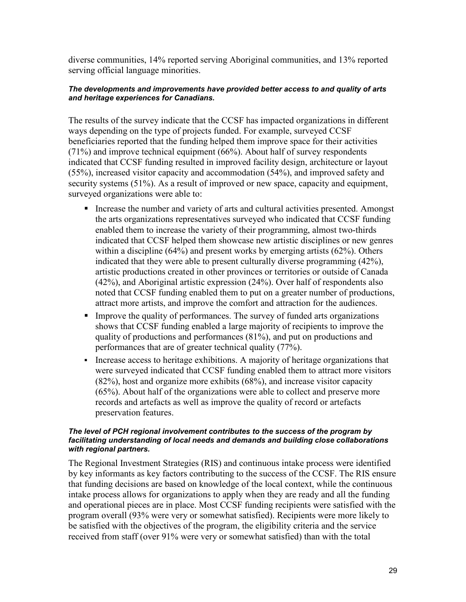diverse communities, 14% reported serving Aboriginal communities, and 13% reported serving official language minorities.

#### *The developments and improvements have provided better access to and quality of arts and heritage experiences for Canadians.*

The results of the survey indicate that the CCSF has impacted organizations in different ways depending on the type of projects funded. For example, surveyed CCSF beneficiaries reported that the funding helped them improve space for their activities (71%) and improve technical equipment (66%). About half of survey respondents indicated that CCSF funding resulted in improved facility design, architecture or layout (55%), increased visitor capacity and accommodation (54%), and improved safety and security systems (51%). As a result of improved or new space, capacity and equipment, surveyed organizations were able to:

- Increase the number and variety of arts and cultural activities presented. Amongst the arts organizations representatives surveyed who indicated that CCSF funding enabled them to increase the variety of their programming, almost two-thirds indicated that CCSF helped them showcase new artistic disciplines or new genres within a discipline (64%) and present works by emerging artists (62%). Others indicated that they were able to present culturally diverse programming (42%), artistic productions created in other provinces or territories or outside of Canada (42%), and Aboriginal artistic expression (24%). Over half of respondents also noted that CCSF funding enabled them to put on a greater number of productions, attract more artists, and improve the comfort and attraction for the audiences.
- Improve the quality of performances. The survey of funded arts organizations shows that CCSF funding enabled a large majority of recipients to improve the quality of productions and performances (81%), and put on productions and performances that are of greater technical quality (77%).
- Increase access to heritage exhibitions. A majority of heritage organizations that were surveyed indicated that CCSF funding enabled them to attract more visitors (82%), host and organize more exhibits (68%), and increase visitor capacity (65%). About half of the organizations were able to collect and preserve more records and artefacts as well as improve the quality of record or artefacts preservation features.

#### *The level of PCH regional involvement contributes to the success of the program by facilitating understanding of local needs and demands and building close collaborations with regional partners.*

The Regional Investment Strategies (RIS) and continuous intake process were identified by key informants as key factors contributing to the success of the CCSF. The RIS ensure that funding decisions are based on knowledge of the local context, while the continuous intake process allows for organizations to apply when they are ready and all the funding and operational pieces are in place. Most CCSF funding recipients were satisfied with the program overall (93% were very or somewhat satisfied). Recipients were more likely to be satisfied with the objectives of the program, the eligibility criteria and the service received from staff (over 91% were very or somewhat satisfied) than with the total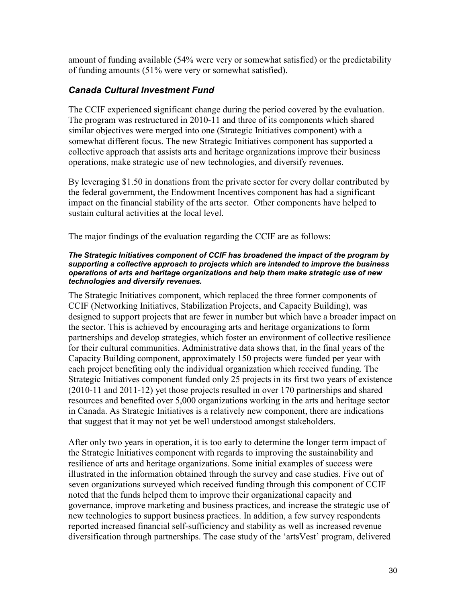amount of funding available (54% were very or somewhat satisfied) or the predictability of funding amounts (51% were very or somewhat satisfied).

### *Canada Cultural Investment Fund*

The CCIF experienced significant change during the period covered by the evaluation. The program was restructured in 2010-11 and three of its components which shared similar objectives were merged into one (Strategic Initiatives component) with a somewhat different focus. The new Strategic Initiatives component has supported a collective approach that assists arts and heritage organizations improve their business operations, make strategic use of new technologies, and diversify revenues.

By leveraging \$1.50 in donations from the private sector for every dollar contributed by the federal government, the Endowment Incentives component has had a significant impact on the financial stability of the arts sector. Other components have helped to sustain cultural activities at the local level.

The major findings of the evaluation regarding the CCIF are as follows:

#### *The Strategic Initiatives component of CCIF has broadened the impact of the program by supporting a collective approach to projects which are intended to improve the business operations of arts and heritage organizations and help them make strategic use of new technologies and diversify revenues.*

The Strategic Initiatives component, which replaced the three former components of CCIF (Networking Initiatives, Stabilization Projects, and Capacity Building), was designed to support projects that are fewer in number but which have a broader impact on the sector. This is achieved by encouraging arts and heritage organizations to form partnerships and develop strategies, which foster an environment of collective resilience for their cultural communities. Administrative data shows that, in the final years of the Capacity Building component, approximately 150 projects were funded per year with each project benefiting only the individual organization which received funding. The Strategic Initiatives component funded only 25 projects in its first two years of existence (2010-11 and 2011-12) yet those projects resulted in over 170 partnerships and shared resources and benefited over 5,000 organizations working in the arts and heritage sector in Canada. As Strategic Initiatives is a relatively new component, there are indications that suggest that it may not yet be well understood amongst stakeholders.

After only two years in operation, it is too early to determine the longer term impact of the Strategic Initiatives component with regards to improving the sustainability and resilience of arts and heritage organizations. Some initial examples of success were illustrated in the information obtained through the survey and case studies. Five out of seven organizations surveyed which received funding through this component of CCIF noted that the funds helped them to improve their organizational capacity and governance, improve marketing and business practices, and increase the strategic use of new technologies to support business practices. In addition, a few survey respondents reported increased financial self-sufficiency and stability as well as increased revenue diversification through partnerships. The case study of the 'artsVest' program, delivered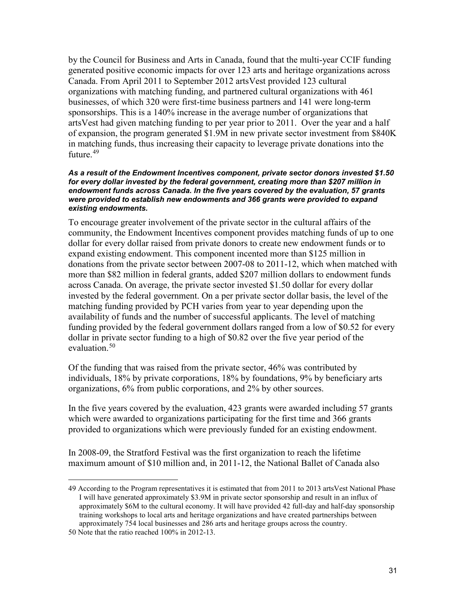by the Council for Business and Arts in Canada, found that the multi-year CCIF funding generated positive economic impacts for over 123 arts and heritage organizations across Canada. From April 2011 to September 2012 artsVest provided 123 cultural organizations with matching funding, and partnered cultural organizations with 461 businesses, of which 320 were first-time business partners and 141 were long-term sponsorships. This is a 140% increase in the average number of organizations that artsVest had given matching funding to per year prior to 2011. Over the year and a half of expansion, the program generated \$1.9M in new private sector investment from \$840K in matching funds, thus increasing their capacity to leverage private donations into the future. $49$ 

#### *As a result of the Endowment Incentives component, private sector donors invested \$1.50 for every dollar invested by the federal government, creating more than \$207 million in endowment funds across Canada. In the five years covered by the evaluation, 57 grants were provided to establish new endowments and 366 grants were provided to expand existing endowments.*

To encourage greater involvement of the private sector in the cultural affairs of the community, the Endowment Incentives component provides matching funds of up to one dollar for every dollar raised from private donors to create new endowment funds or to expand existing endowment. This component incented more than \$125 million in donations from the private sector between 2007-08 to 2011-12, which when matched with more than \$82 million in federal grants, added \$207 million dollars to endowment funds across Canada. On average, the private sector invested \$1.50 dollar for every dollar invested by the federal government. On a per private sector dollar basis, the level of the matching funding provided by PCH varies from year to year depending upon the availability of funds and the number of successful applicants. The level of matching funding provided by the federal government dollars ranged from a low of \$0.52 for every dollar in private sector funding to a high of \$0.82 over the five year period of the evaluation. 50

Of the funding that was raised from the private sector, 46% was contributed by individuals, 18% by private corporations, 18% by foundations, 9% by beneficiary arts organizations, 6% from public corporations, and 2% by other sources.

In the five years covered by the evaluation, 423 grants were awarded including 57 grants which were awarded to organizations participating for the first time and 366 grants provided to organizations which were previously funded for an existing endowment.

In 2008-09, the Stratford Festival was the first organization to reach the lifetime maximum amount of \$10 million and, in 2011-12, the National Ballet of Canada also

<sup>49</sup> According to the Program representatives it is estimated that from 2011 to 2013 artsVest National Phase I will have generated approximately \$3.9M in private sector sponsorship and result in an influx of approximately \$6M to the cultural economy. It will have provided 42 full-day and half-day sponsorship training workshops to local arts and heritage organizations and have created partnerships between approximately 754 local businesses and 286 arts and heritage groups across the country.

<sup>50</sup> Note that the ratio reached 100% in 2012-13.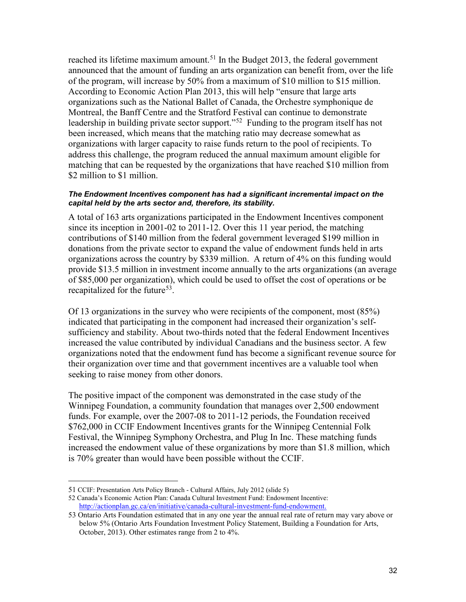reached its lifetime maximum amount.<sup>51</sup> In the Budget 2013, the federal government announced that the amount of funding an arts organization can benefit from, over the life of the program, will increase by 50% from a maximum of \$10 million to \$15 million. According to Economic Action Plan 2013, this will help "ensure that large arts organizations such as the National Ballet of Canada, the Orchestre symphonique de Montreal, the Banff Centre and the Stratford Festival can continue to demonstrate leadership in building private sector support."<sup>52</sup> Funding to the program itself has not been increased, which means that the matching ratio may decrease somewhat as organizations with larger capacity to raise funds return to the pool of recipients. To address this challenge, the program reduced the annual maximum amount eligible for matching that can be requested by the organizations that have reached \$10 million from \$2 million to \$1 million.

#### *The Endowment Incentives component has had a significant incremental impact on the capital held by the arts sector and, therefore, its stability.*

A total of 163 arts organizations participated in the Endowment Incentives component since its inception in 2001-02 to 2011-12. Over this 11 year period, the matching contributions of \$140 million from the federal government leveraged \$199 million in donations from the private sector to expand the value of endowment funds held in arts organizations across the country by \$339 million. A return of 4% on this funding would provide \$13.5 million in investment income annually to the arts organizations (an average of \$85,000 per organization), which could be used to offset the cost of operations or be recapitalized for the future<sup>53</sup>.

Of 13 organizations in the survey who were recipients of the component, most (85%) indicated that participating in the component had increased their organization's selfsufficiency and stability. About two-thirds noted that the federal Endowment Incentives increased the value contributed by individual Canadians and the business sector. A few organizations noted that the endowment fund has become a significant revenue source for their organization over time and that government incentives are a valuable tool when seeking to raise money from other donors.

The positive impact of the component was demonstrated in the case study of the Winnipeg Foundation, a community foundation that manages over 2,500 endowment funds. For example, over the 2007-08 to 2011-12 periods, the Foundation received \$762,000 in CCIF Endowment Incentives grants for the Winnipeg Centennial Folk Festival, the Winnipeg Symphony Orchestra, and Plug In Inc. These matching funds increased the endowment value of these organizations by more than \$1.8 million, which is 70% greater than would have been possible without the CCIF.

<sup>51</sup> CCIF: Presentation Arts Policy Branch - Cultural Affairs, July 2012 (slide 5)

<sup>52</sup> Canada's Economic Action Plan: Canada Cultural Investment Fund: Endowment Incentive: [http://actionplan.gc.ca/en/initiative/canada-cultural-investment-fund-endowment.](http://actionplan.gc.ca/en/initiative/canada-cultural-investment-fund-endowment)

<sup>53</sup> Ontario Arts Foundation estimated that in any one year the annual real rate of return may vary above or below 5% (Ontario Arts Foundation Investment Policy Statement, Building a Foundation for Arts, October, 2013). Other estimates range from 2 to 4%.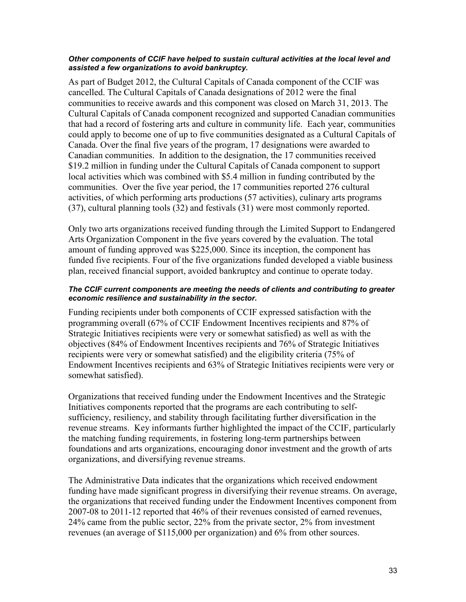#### *Other components of CCIF have helped to sustain cultural activities at the local level and assisted a few organizations to avoid bankruptcy.*

As part of Budget 2012, the Cultural Capitals of Canada component of the CCIF was cancelled. The Cultural Capitals of Canada designations of 2012 were the final communities to receive awards and this component was closed on March 31, 2013. The Cultural Capitals of Canada component recognized and supported Canadian communities that had a record of fostering arts and culture in community life. Each year, communities could apply to become one of up to five communities designated as a Cultural Capitals of Canada. Over the final five years of the program, 17 designations were awarded to Canadian communities. In addition to the designation, the 17 communities received \$19.2 million in funding under the Cultural Capitals of Canada component to support local activities which was combined with \$5.4 million in funding contributed by the communities. Over the five year period, the 17 communities reported 276 cultural activities, of which performing arts productions (57 activities), culinary arts programs (37), cultural planning tools (32) and festivals (31) were most commonly reported.

Only two arts organizations received funding through the Limited Support to Endangered Arts Organization Component in the five years covered by the evaluation. The total amount of funding approved was \$225,000. Since its inception, the component has funded five recipients. Four of the five organizations funded developed a viable business plan, received financial support, avoided bankruptcy and continue to operate today.

#### *The CCIF current components are meeting the needs of clients and contributing to greater economic resilience and sustainability in the sector.*

Funding recipients under both components of CCIF expressed satisfaction with the programming overall (67% of CCIF Endowment Incentives recipients and 87% of Strategic Initiatives recipients were very or somewhat satisfied) as well as with the objectives (84% of Endowment Incentives recipients and 76% of Strategic Initiatives recipients were very or somewhat satisfied) and the eligibility criteria (75% of Endowment Incentives recipients and 63% of Strategic Initiatives recipients were very or somewhat satisfied).

Organizations that received funding under the Endowment Incentives and the Strategic Initiatives components reported that the programs are each contributing to selfsufficiency, resiliency, and stability through facilitating further diversification in the revenue streams. Key informants further highlighted the impact of the CCIF, particularly the matching funding requirements, in fostering long-term partnerships between foundations and arts organizations, encouraging donor investment and the growth of arts organizations, and diversifying revenue streams.

The Administrative Data indicates that the organizations which received endowment funding have made significant progress in diversifying their revenue streams. On average, the organizations that received funding under the Endowment Incentives component from 2007-08 to 2011-12 reported that 46% of their revenues consisted of earned revenues, 24% came from the public sector, 22% from the private sector, 2% from investment revenues (an average of \$115,000 per organization) and 6% from other sources.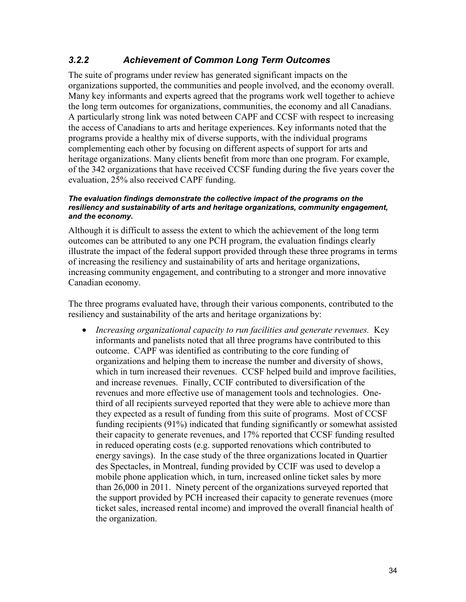### *3.2.2 Achievement of Common Long Term Outcomes*

The suite of programs under review has generated significant impacts on the organizations supported, the communities and people involved, and the economy overall. Many key informants and experts agreed that the programs work well together to achieve the long term outcomes for organizations, communities, the economy and all Canadians. A particularly strong link was noted between CAPF and CCSF with respect to increasing the access of Canadians to arts and heritage experiences. Key informants noted that the programs provide a healthy mix of diverse supports, with the individual programs complementing each other by focusing on different aspects of support for arts and heritage organizations. Many clients benefit from more than one program. For example, of the 342 organizations that have received CCSF funding during the five years cover the evaluation, 25% also received CAPF funding.

#### *The evaluation findings demonstrate the collective impact of the programs on the resiliency and sustainability of arts and heritage organizations, community engagement, and the economy.*

Although it is difficult to assess the extent to which the achievement of the long term outcomes can be attributed to any one PCH program, the evaluation findings clearly illustrate the impact of the federal support provided through these three programs in terms of increasing the resiliency and sustainability of arts and heritage organizations, increasing community engagement, and contributing to a stronger and more innovative Canadian economy.

The three programs evaluated have, through their various components, contributed to the resiliency and sustainability of the arts and heritage organizations by:

• *Increasing organizational capacity to run facilities and generate revenues.* Key informants and panelists noted that all three programs have contributed to this outcome. CAPF was identified as contributing to the core funding of organizations and helping them to increase the number and diversity of shows, which in turn increased their revenues. CCSF helped build and improve facilities, and increase revenues. Finally, CCIF contributed to diversification of the revenues and more effective use of management tools and technologies. Onethird of all recipients surveyed reported that they were able to achieve more than they expected as a result of funding from this suite of programs. Most of CCSF funding recipients (91%) indicated that funding significantly or somewhat assisted their capacity to generate revenues, and 17% reported that CCSF funding resulted in reduced operating costs (e.g. supported renovations which contributed to energy savings). In the case study of the three organizations located in Quartier des Spectacles, in Montreal, funding provided by CCIF was used to develop a mobile phone application which, in turn, increased online ticket sales by more than 26,000 in 2011. Ninety percent of the organizations surveyed reported that the support provided by PCH increased their capacity to generate revenues (more ticket sales, increased rental income) and improved the overall financial health of the organization.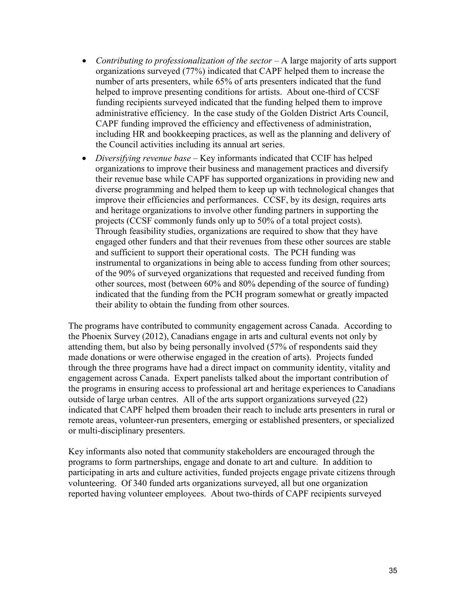- *Contributing to professionalization of the sector –* A large majority of arts support organizations surveyed (77%) indicated that CAPF helped them to increase the number of arts presenters, while 65% of arts presenters indicated that the fund helped to improve presenting conditions for artists. About one-third of CCSF funding recipients surveyed indicated that the funding helped them to improve administrative efficiency. In the case study of the Golden District Arts Council, CAPF funding improved the efficiency and effectiveness of administration, including HR and bookkeeping practices, as well as the planning and delivery of the Council activities including its annual art series.
- *Diversifying revenue base –* Key informants indicated that CCIF has helped organizations to improve their business and management practices and diversify their revenue base while CAPF has supported organizations in providing new and diverse programming and helped them to keep up with technological changes that improve their efficiencies and performances. CCSF, by its design, requires arts and heritage organizations to involve other funding partners in supporting the projects (CCSF commonly funds only up to 50% of a total project costs). Through feasibility studies, organizations are required to show that they have engaged other funders and that their revenues from these other sources are stable and sufficient to support their operational costs. The PCH funding was instrumental to organizations in being able to access funding from other sources; of the 90% of surveyed organizations that requested and received funding from other sources, most (between 60% and 80% depending of the source of funding) indicated that the funding from the PCH program somewhat or greatly impacted their ability to obtain the funding from other sources.

The programs have contributed to community engagement across Canada. According to the Phoenix Survey (2012), Canadians engage in arts and cultural events not only by attending them, but also by being personally involved (57% of respondents said they made donations or were otherwise engaged in the creation of arts). Projects funded through the three programs have had a direct impact on community identity, vitality and engagement across Canada. Expert panelists talked about the important contribution of the programs in ensuring access to professional art and heritage experiences to Canadians outside of large urban centres. All of the arts support organizations surveyed (22) indicated that CAPF helped them broaden their reach to include arts presenters in rural or remote areas, volunteer-run presenters, emerging or established presenters, or specialized or multi-disciplinary presenters.

Key informants also noted that community stakeholders are encouraged through the programs to form partnerships, engage and donate to art and culture. In addition to participating in arts and culture activities, funded projects engage private citizens through volunteering. Of 340 funded arts organizations surveyed, all but one organization reported having volunteer employees. About two-thirds of CAPF recipients surveyed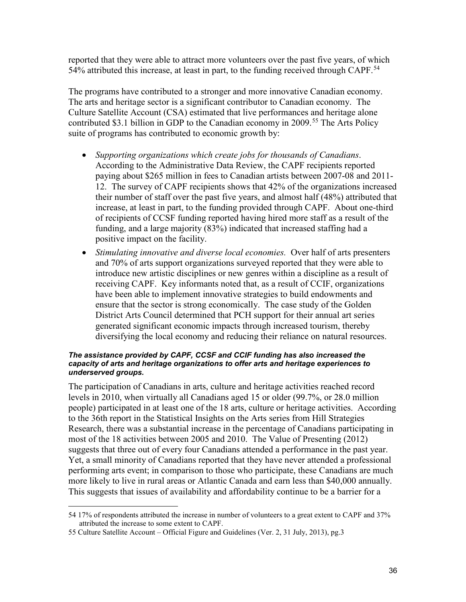reported that they were able to attract more volunteers over the past five years, of which 54% attributed this increase, at least in part, to the funding received through CAPF.<sup>54</sup>

The programs have contributed to a stronger and more innovative Canadian economy. The arts and heritage sector is a significant contributor to Canadian economy. The Culture Satellite Account (CSA) estimated that live performances and heritage alone contributed \$3.1 billion in GDP to the Canadian economy in 2009.<sup>55</sup> The Arts Policy suite of programs has contributed to economic growth by:

- *Supporting organizations which create jobs for thousands of Canadians*. According to the Administrative Data Review, the CAPF recipients reported paying about \$265 million in fees to Canadian artists between 2007-08 and 2011- 12. The survey of CAPF recipients shows that 42% of the organizations increased their number of staff over the past five years, and almost half (48%) attributed that increase, at least in part, to the funding provided through CAPF. About one-third of recipients of CCSF funding reported having hired more staff as a result of the funding, and a large majority (83%) indicated that increased staffing had a positive impact on the facility.
- *Stimulating innovative and diverse local economies.* Over half of arts presenters and 70% of arts support organizations surveyed reported that they were able to introduce new artistic disciplines or new genres within a discipline as a result of receiving CAPF. Key informants noted that, as a result of CCIF, organizations have been able to implement innovative strategies to build endowments and ensure that the sector is strong economically. The case study of the Golden District Arts Council determined that PCH support for their annual art series generated significant economic impacts through increased tourism, thereby diversifying the local economy and reducing their reliance on natural resources.

#### *The assistance provided by CAPF, CCSF and CCIF funding has also increased the capacity of arts and heritage organizations to offer arts and heritage experiences to underserved groups.*

The participation of Canadians in arts, culture and heritage activities reached record levels in 2010, when virtually all Canadians aged 15 or older (99.7%, or 28.0 million people) participated in at least one of the 18 arts, culture or heritage activities. According to the 36th report in the Statistical Insights on the Arts series from Hill Strategies Research, there was a substantial increase in the percentage of Canadians participating in most of the 18 activities between 2005 and 2010. The Value of Presenting (2012) suggests that three out of every four Canadians attended a performance in the past year. Yet, a small minority of Canadians reported that they have never attended a professional performing arts event; in comparison to those who participate, these Canadians are much more likely to live in rural areas or Atlantic Canada and earn less than \$40,000 annually. This suggests that issues of availability and affordability continue to be a barrier for a

<sup>54</sup> 17% of respondents attributed the increase in number of volunteers to a great extent to CAPF and 37% attributed the increase to some extent to CAPF.

<sup>55</sup> Culture Satellite Account – Official Figure and Guidelines (Ver. 2, 31 July, 2013), pg.3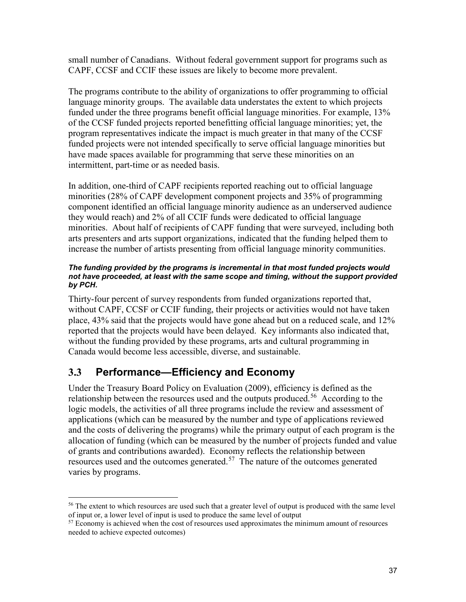small number of Canadians. Without federal government support for programs such as CAPF, CCSF and CCIF these issues are likely to become more prevalent.

The programs contribute to the ability of organizations to offer programming to official language minority groups. The available data understates the extent to which projects funded under the three programs benefit official language minorities. For example, 13% of the CCSF funded projects reported benefitting official language minorities; yet, the program representatives indicate the impact is much greater in that many of the CCSF funded projects were not intended specifically to serve official language minorities but have made spaces available for programming that serve these minorities on an intermittent, part-time or as needed basis.

In addition, one-third of CAPF recipients reported reaching out to official language minorities (28% of CAPF development component projects and 35% of programming component identified an official language minority audience as an underserved audience they would reach) and 2% of all CCIF funds were dedicated to official language minorities. About half of recipients of CAPF funding that were surveyed, including both arts presenters and arts support organizations, indicated that the funding helped them to increase the number of artists presenting from official language minority communities.

#### *The funding provided by the programs is incremental in that most funded projects would not have proceeded, at least with the same scope and timing, without the support provided by PCH.*

Thirty-four percent of survey respondents from funded organizations reported that, without CAPF, CCSF or CCIF funding, their projects or activities would not have taken place, 43% said that the projects would have gone ahead but on a reduced scale, and 12% reported that the projects would have been delayed. Key informants also indicated that, without the funding provided by these programs, arts and cultural programming in Canada would become less accessible, diverse, and sustainable.

# <span id="page-46-0"></span>**3.3 Performance—Efficiency and Economy**

Under the Treasury Board Policy on Evaluation (2009), efficiency is defined as the relationship between the resources used and the outputs produced.<sup>56</sup> According to the logic models, the activities of all three programs include the review and assessment of applications (which can be measured by the number and type of applications reviewed and the costs of delivering the programs) while the primary output of each program is the allocation of funding (which can be measured by the number of projects funded and value of grants and contributions awarded). Economy reflects the relationship between resources used and the outcomes generated.<sup>57</sup> The nature of the outcomes generated varies by programs.

<sup>&</sup>lt;sup>56</sup> The extent to which resources are used such that a greater level of output is produced with the same level of input or, a lower level of input is used to produce the same level of output

<sup>&</sup>lt;sup>57</sup> Economy is achieved when the cost of resources used approximates the minimum amount of resources needed to achieve expected outcomes)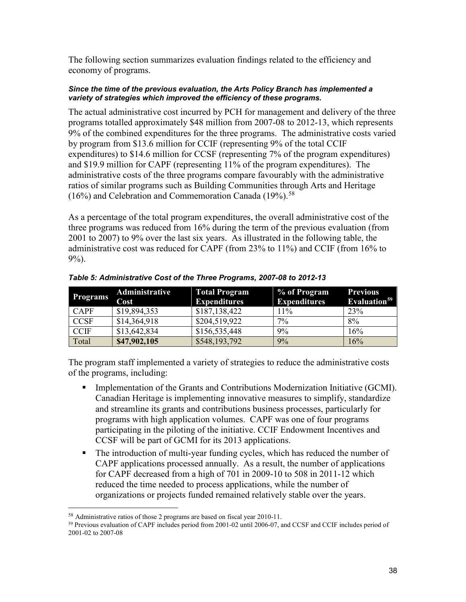The following section summarizes evaluation findings related to the efficiency and economy of programs.

#### *Since the time of the previous evaluation, the Arts Policy Branch has implemented a variety of strategies which improved the efficiency of these programs.*

The actual administrative cost incurred by PCH for management and delivery of the three programs totalled approximately \$48 million from 2007-08 to 2012-13, which represents 9% of the combined expenditures for the three programs. The administrative costs varied by program from \$13.6 million for CCIF (representing 9% of the total CCIF expenditures) to \$14.6 million for CCSF (representing 7% of the program expenditures) and \$19.9 million for CAPF (representing 11% of the program expenditures). The administrative costs of the three programs compare favourably with the administrative ratios of similar programs such as Building Communities through Arts and Heritage  $(16%)$  and Celebration and Commemoration Canada  $(19%)$ .<sup>58</sup>

As a percentage of the total program expenditures, the overall administrative cost of the three programs was reduced from 16% during the term of the previous evaluation (from 2001 to 2007) to 9% over the last six years. As illustrated in the following table, the administrative cost was reduced for CAPF (from 23% to 11%) and CCIF (from 16% to 9%).

| <b>Programs</b> | Administrative<br>Cost | <b>Total Program</b><br><b>Expenditures</b> | % of Program<br><b>Expenditures</b> | <b>Previous</b><br>Evaluation <sup>59</sup> |
|-----------------|------------------------|---------------------------------------------|-------------------------------------|---------------------------------------------|
| <b>CAPF</b>     | \$19,894,353           | \$187,138,422                               | 11%                                 | 23%                                         |
| <b>CCSF</b>     | \$14,364,918           | \$204,519,922                               | $7\%$                               | 8%                                          |
| <b>CCIF</b>     | \$13,642,834           | \$156,535,448                               | 9%                                  | 16%                                         |
| Total           | \$47,902,105           | \$548,193,792                               | 9%                                  | 16%                                         |

*Table 5: Administrative Cost of the Three Programs, 2007-08 to 2012-13* 

The program staff implemented a variety of strategies to reduce the administrative costs of the programs, including:

- **Implementation of the Grants and Contributions Modernization Initiative (GCMI).** Canadian Heritage is implementing innovative measures to simplify, standardize and streamline its grants and contributions business processes, particularly for programs with high application volumes. CAPF was one of four programs participating in the piloting of the initiative. CCIF Endowment Incentives and CCSF will be part of GCMI for its 2013 applications.
- The introduction of multi-year funding cycles, which has reduced the number of CAPF applications processed annually. As a result, the number of applications for CAPF decreased from a high of 701 in 2009-10 to 508 in 2011-12 which reduced the time needed to process applications, while the number of organizations or projects funded remained relatively stable over the years.

<sup>58</sup> Administrative ratios of those 2 programs are based on fiscal year 2010-11.

<sup>59</sup> Previous evaluation of CAPF includes period from 2001-02 until 2006-07, and CCSF and CCIF includes period of 2001-02 to 2007-08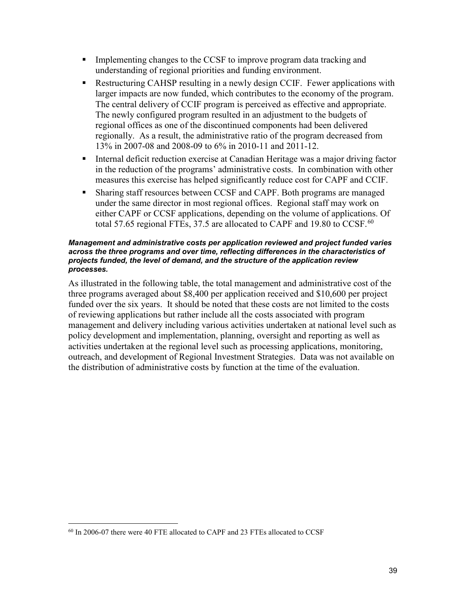- Implementing changes to the CCSF to improve program data tracking and understanding of regional priorities and funding environment.
- Restructuring CAHSP resulting in a newly design CCIF. Fewer applications with larger impacts are now funded, which contributes to the economy of the program. The central delivery of CCIF program is perceived as effective and appropriate. The newly configured program resulted in an adjustment to the budgets of regional offices as one of the discontinued components had been delivered regionally. As a result, the administrative ratio of the program decreased from 13% in 2007-08 and 2008-09 to 6% in 2010-11 and 2011-12.
- **Internal deficit reduction exercise at Canadian Heritage was a major driving factor** in the reduction of the programs' administrative costs. In combination with other measures this exercise has helped significantly reduce cost for CAPF and CCIF.
- Sharing staff resources between CCSF and CAPF. Both programs are managed under the same director in most regional offices. Regional staff may work on either CAPF or CCSF applications, depending on the volume of applications. Of total 57.65 regional FTEs, 37.5 are allocated to CAPF and 19.80 to CCSF.<sup>60</sup>

#### *Management and administrative costs per application reviewed and project funded varies across the three programs and over time, reflecting differences in the characteristics of projects funded, the level of demand, and the structure of the application review processes.*

As illustrated in the following table, the total management and administrative cost of the three programs averaged about \$8,400 per application received and \$10,600 per project funded over the six years. It should be noted that these costs are not limited to the costs of reviewing applications but rather include all the costs associated with program management and delivery including various activities undertaken at national level such as policy development and implementation, planning, oversight and reporting as well as activities undertaken at the regional level such as processing applications, monitoring, outreach, and development of Regional Investment Strategies. Data was not available on the distribution of administrative costs by function at the time of the evaluation.

<sup>60</sup> In 2006-07 there were 40 FTE allocated to CAPF and 23 FTEs allocated to CCSF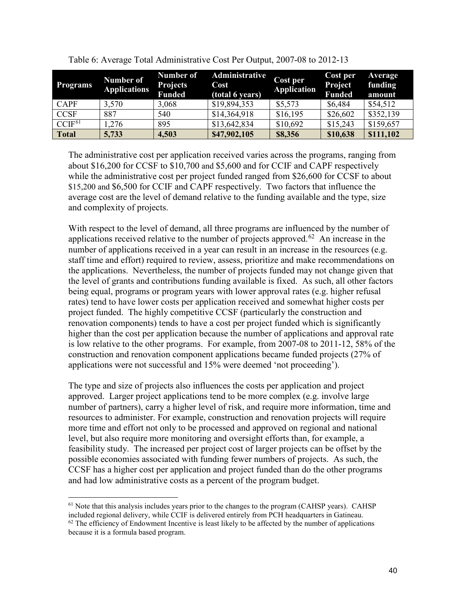| <b>Programs</b> | Number of<br><b>Applications</b> | <b>Number of</b><br><b>Projects</b><br><b>Funded</b> | Administrative<br>Cost<br>(total 6 years) | Cost per<br><b>Application</b> | Cost per<br>Project<br><b>Funded</b> | <b>Average</b><br>funding<br>amount |
|-----------------|----------------------------------|------------------------------------------------------|-------------------------------------------|--------------------------------|--------------------------------------|-------------------------------------|
| <b>CAPF</b>     | 3,570                            | 3,068                                                | \$19,894,353                              | \$5,573                        | \$6,484                              | \$54,512                            |
| <b>CCSF</b>     | 887                              | 540                                                  | \$14,364,918                              | \$16,195                       | \$26,602                             | \$352,139                           |
| $CCIF^{61}$     | 1,276                            | 895                                                  | \$13,642,834                              | \$10,692                       | \$15,243                             | \$159,657                           |
| <b>Total</b>    | 5,733                            | 4,503                                                | \$47,902,105                              | \$8,356                        | \$10,638                             | \$111,102                           |

Table 6: Average Total Administrative Cost Per Output, 2007-08 to 2012-13

The administrative cost per application received varies across the programs, ranging from about \$16,200 for CCSF to \$10,700 and \$5,600 and for CCIF and CAPF respectively while the administrative cost per project funded ranged from \$26,600 for CCSF to about \$15,200 and \$6,500 for CCIF and CAPF respectively. Two factors that influence the average cost are the level of demand relative to the funding available and the type, size and complexity of projects.

With respect to the level of demand, all three programs are influenced by the number of applications received relative to the number of projects approved.<sup> $62$ </sup> An increase in the number of applications received in a year can result in an increase in the resources (e.g. staff time and effort) required to review, assess, prioritize and make recommendations on the applications. Nevertheless, the number of projects funded may not change given that the level of grants and contributions funding available is fixed. As such, all other factors being equal, programs or program years with lower approval rates (e.g. higher refusal rates) tend to have lower costs per application received and somewhat higher costs per project funded. The highly competitive CCSF (particularly the construction and renovation components) tends to have a cost per project funded which is significantly higher than the cost per application because the number of applications and approval rate is low relative to the other programs. For example, from 2007-08 to 2011-12, 58% of the construction and renovation component applications became funded projects (27% of applications were not successful and 15% were deemed 'not proceeding').

The type and size of projects also influences the costs per application and project approved. Larger project applications tend to be more complex (e.g. involve large number of partners), carry a higher level of risk, and require more information, time and resources to administer. For example, construction and renovation projects will require more time and effort not only to be processed and approved on regional and national level, but also require more monitoring and oversight efforts than, for example, a feasibility study. The increased per project cost of larger projects can be offset by the possible economies associated with funding fewer numbers of projects. As such, the CCSF has a higher cost per application and project funded than do the other programs and had low administrative costs as a percent of the program budget.

<sup>&</sup>lt;sup>61</sup> Note that this analysis includes years prior to the changes to the program (CAHSP years). CAHSP included regional delivery, while CCIF is delivered entirely from PCH headquarters in Gatineau.  $62$  The efficiency of Endowment Incentive is least likely to be affected by the number of applications because it is a formula based program.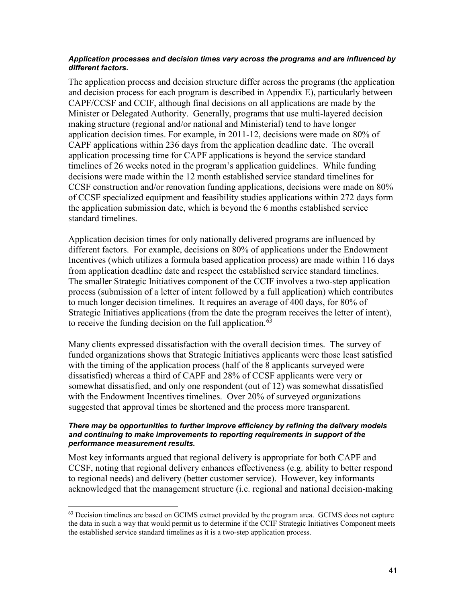#### *Application processes and decision times vary across the programs and are influenced by different factors.*

The application process and decision structure differ across the programs (the application and decision process for each program is described in Appendix E), particularly between CAPF/CCSF and CCIF, although final decisions on all applications are made by the Minister or Delegated Authority. Generally, programs that use multi-layered decision making structure (regional and/or national and Ministerial) tend to have longer application decision times. For example, in 2011-12, decisions were made on 80% of CAPF applications within 236 days from the application deadline date. The overall application processing time for CAPF applications is beyond the service standard timelines of 26 weeks noted in the program's application guidelines. While funding decisions were made within the 12 month established service standard timelines for CCSF construction and/or renovation funding applications, decisions were made on 80% of CCSF specialized equipment and feasibility studies applications within 272 days form the application submission date, which is beyond the 6 months established service standard timelines.

Application decision times for only nationally delivered programs are influenced by different factors. For example, decisions on 80% of applications under the Endowment Incentives (which utilizes a formula based application process) are made within 116 days from application deadline date and respect the established service standard timelines. The smaller Strategic Initiatives component of the CCIF involves a two-step application process (submission of a letter of intent followed by a full application) which contributes to much longer decision timelines. It requires an average of 400 days, for 80% of Strategic Initiatives applications (from the date the program receives the letter of intent), to receive the funding decision on the full application.<sup>63</sup>

Many clients expressed dissatisfaction with the overall decision times. The survey of funded organizations shows that Strategic Initiatives applicants were those least satisfied with the timing of the application process (half of the 8 applicants surveyed were dissatisfied) whereas a third of CAPF and 28% of CCSF applicants were very or somewhat dissatisfied, and only one respondent (out of 12) was somewhat dissatisfied with the Endowment Incentives timelines. Over 20% of surveyed organizations suggested that approval times be shortened and the process more transparent.

#### *There may be opportunities to further improve efficiency by refining the delivery models and continuing to make improvements to reporting requirements in support of the performance measurement results.*

Most key informants argued that regional delivery is appropriate for both CAPF and CCSF, noting that regional delivery enhances effectiveness (e.g. ability to better respond to regional needs) and delivery (better customer service). However, key informants acknowledged that the management structure (i.e. regional and national decision-making

<sup>&</sup>lt;sup>63</sup> Decision timelines are based on GCIMS extract provided by the program area. GCIMS does not capture the data in such a way that would permit us to determine if the CCIF Strategic Initiatives Component meets the established service standard timelines as it is a two-step application process.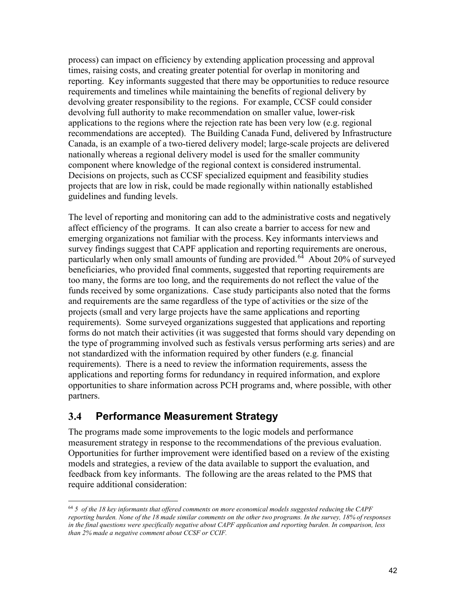process) can impact on efficiency by extending application processing and approval times, raising costs, and creating greater potential for overlap in monitoring and reporting. Key informants suggested that there may be opportunities to reduce resource requirements and timelines while maintaining the benefits of regional delivery by devolving greater responsibility to the regions. For example, CCSF could consider devolving full authority to make recommendation on smaller value, lower-risk applications to the regions where the rejection rate has been very low (e.g. regional recommendations are accepted). The Building Canada Fund, delivered by Infrastructure Canada, is an example of a two-tiered delivery model; large-scale projects are delivered nationally whereas a regional delivery model is used for the smaller community component where knowledge of the regional context is considered instrumental. Decisions on projects, such as CCSF specialized equipment and feasibility studies projects that are low in risk, could be made regionally within nationally established guidelines and funding levels.

The level of reporting and monitoring can add to the administrative costs and negatively affect efficiency of the programs. It can also create a barrier to access for new and emerging organizations not familiar with the process. Key informants interviews and survey findings suggest that CAPF application and reporting requirements are onerous, particularly when only small amounts of funding are provided.<sup>64</sup> About 20% of surveyed beneficiaries, who provided final comments, suggested that reporting requirements are too many, the forms are too long, and the requirements do not reflect the value of the funds received by some organizations. Case study participants also noted that the forms and requirements are the same regardless of the type of activities or the size of the projects (small and very large projects have the same applications and reporting requirements). Some surveyed organizations suggested that applications and reporting forms do not match their activities (it was suggested that forms should vary depending on the type of programming involved such as festivals versus performing arts series) and are not standardized with the information required by other funders (e.g. financial requirements). There is a need to review the information requirements, assess the applications and reporting forms for redundancy in required information, and explore opportunities to share information across PCH programs and, where possible, with other partners.

## <span id="page-51-0"></span>**3.4 Performance Measurement Strategy**

The programs made some improvements to the logic models and performance measurement strategy in response to the recommendations of the previous evaluation. Opportunities for further improvement were identified based on a review of the existing models and strategies, a review of the data available to support the evaluation, and feedback from key informants. The following are the areas related to the PMS that require additional consideration:

<sup>64</sup> *5 of the 18 key informants that offered comments on more economical models suggested reducing the CAPF reporting burden. None of the 18 made similar comments on the other two programs. In the survey, 18% of responses in the final questions were specifically negative about CAPF application and reporting burden. In comparison, less than 2% made a negative comment about CCSF or CCIF.*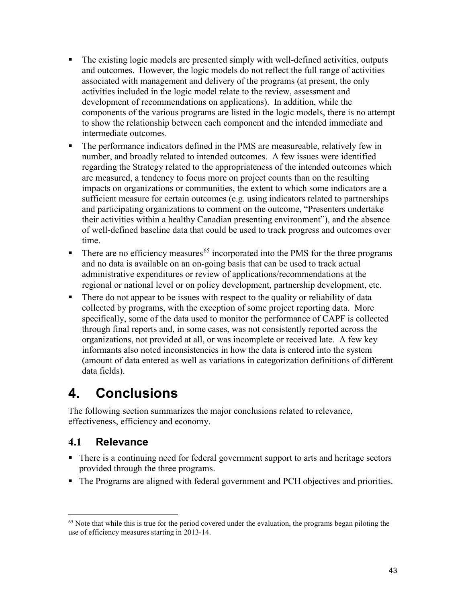- The existing logic models are presented simply with well-defined activities, outputs and outcomes. However, the logic models do not reflect the full range of activities associated with management and delivery of the programs (at present, the only activities included in the logic model relate to the review, assessment and development of recommendations on applications). In addition, while the components of the various programs are listed in the logic models, there is no attempt to show the relationship between each component and the intended immediate and intermediate outcomes.
- The performance indicators defined in the PMS are measureable, relatively few in number, and broadly related to intended outcomes. A few issues were identified regarding the Strategy related to the appropriateness of the intended outcomes which are measured, a tendency to focus more on project counts than on the resulting impacts on organizations or communities, the extent to which some indicators are a sufficient measure for certain outcomes (e.g. using indicators related to partnerships and participating organizations to comment on the outcome, "Presenters undertake their activities within a healthy Canadian presenting environment"), and the absence of well-defined baseline data that could be used to track progress and outcomes over time.
- $\blacksquare$  There are no efficiency measures<sup>65</sup> incorporated into the PMS for the three programs and no data is available on an on-going basis that can be used to track actual administrative expenditures or review of applications/recommendations at the regional or national level or on policy development, partnership development, etc.
- There do not appear to be issues with respect to the quality or reliability of data collected by programs, with the exception of some project reporting data. More specifically, some of the data used to monitor the performance of CAPF is collected through final reports and, in some cases, was not consistently reported across the organizations, not provided at all, or was incomplete or received late. A few key informants also noted inconsistencies in how the data is entered into the system (amount of data entered as well as variations in categorization definitions of different data fields).

# <span id="page-52-0"></span>**4. Conclusions**

The following section summarizes the major conclusions related to relevance, effectiveness, efficiency and economy.

# <span id="page-52-1"></span>**4.1 Relevance**

- There is a continuing need for federal government support to arts and heritage sectors provided through the three programs.
- The Programs are aligned with federal government and PCH objectives and priorities.

<sup>&</sup>lt;sup>65</sup> Note that while this is true for the period covered under the evaluation, the programs began piloting the use of efficiency measures starting in 2013-14.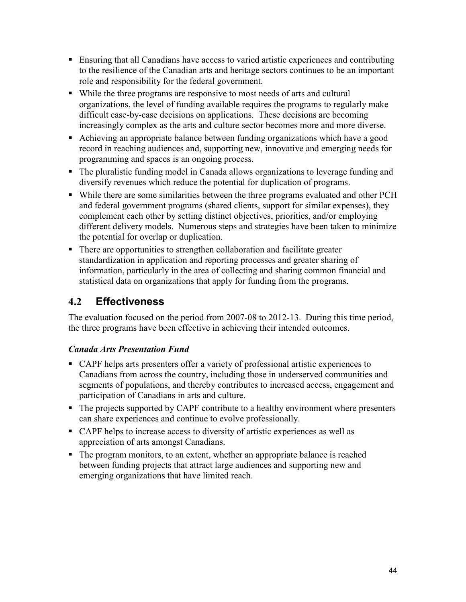- Ensuring that all Canadians have access to varied artistic experiences and contributing to the resilience of the Canadian arts and heritage sectors continues to be an important role and responsibility for the federal government.
- While the three programs are responsive to most needs of arts and cultural organizations, the level of funding available requires the programs to regularly make difficult case-by-case decisions on applications. These decisions are becoming increasingly complex as the arts and culture sector becomes more and more diverse.
- Achieving an appropriate balance between funding organizations which have a good record in reaching audiences and, supporting new, innovative and emerging needs for programming and spaces is an ongoing process.
- The pluralistic funding model in Canada allows organizations to leverage funding and diversify revenues which reduce the potential for duplication of programs.
- While there are some similarities between the three programs evaluated and other PCH and federal government programs (shared clients, support for similar expenses), they complement each other by setting distinct objectives, priorities, and/or employing different delivery models. Numerous steps and strategies have been taken to minimize the potential for overlap or duplication.
- There are opportunities to strengthen collaboration and facilitate greater standardization in application and reporting processes and greater sharing of information, particularly in the area of collecting and sharing common financial and statistical data on organizations that apply for funding from the programs.

# <span id="page-53-0"></span>**4.2 Effectiveness**

The evaluation focused on the period from 2007-08 to 2012-13. During this time period, the three programs have been effective in achieving their intended outcomes.

### *Canada Arts Presentation Fund*

- CAPF helps arts presenters offer a variety of professional artistic experiences to Canadians from across the country, including those in underserved communities and segments of populations, and thereby contributes to increased access, engagement and participation of Canadians in arts and culture.
- The projects supported by CAPF contribute to a healthy environment where presenters can share experiences and continue to evolve professionally.
- CAPF helps to increase access to diversity of artistic experiences as well as appreciation of arts amongst Canadians.
- The program monitors, to an extent, whether an appropriate balance is reached between funding projects that attract large audiences and supporting new and emerging organizations that have limited reach.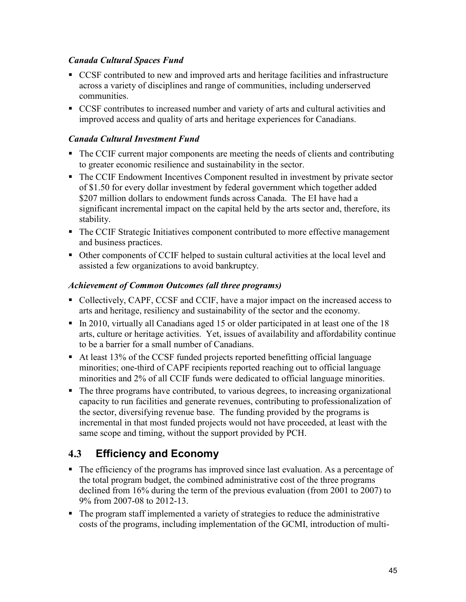### *Canada Cultural Spaces Fund*

- CCSF contributed to new and improved arts and heritage facilities and infrastructure across a variety of disciplines and range of communities, including underserved communities.
- CCSF contributes to increased number and variety of arts and cultural activities and improved access and quality of arts and heritage experiences for Canadians.

### *Canada Cultural Investment Fund*

- The CCIF current major components are meeting the needs of clients and contributing to greater economic resilience and sustainability in the sector.
- The CCIF Endowment Incentives Component resulted in investment by private sector of \$1.50 for every dollar investment by federal government which together added \$207 million dollars to endowment funds across Canada. The EI have had a significant incremental impact on the capital held by the arts sector and, therefore, its stability.
- The CCIF Strategic Initiatives component contributed to more effective management and business practices.
- Other components of CCIF helped to sustain cultural activities at the local level and assisted a few organizations to avoid bankruptcy.

### *Achievement of Common Outcomes (all three programs)*

- Collectively, CAPF, CCSF and CCIF, have a major impact on the increased access to arts and heritage, resiliency and sustainability of the sector and the economy.
- In 2010, virtually all Canadians aged 15 or older participated in at least one of the 18 arts, culture or heritage activities. Yet, issues of availability and affordability continue to be a barrier for a small number of Canadians.
- At least 13% of the CCSF funded projects reported benefitting official language minorities; one-third of CAPF recipients reported reaching out to official language minorities and 2% of all CCIF funds were dedicated to official language minorities.
- The three programs have contributed, to various degrees, to increasing organizational capacity to run facilities and generate revenues, contributing to professionalization of the sector, diversifying revenue base. The funding provided by the programs is incremental in that most funded projects would not have proceeded, at least with the same scope and timing, without the support provided by PCH.

## <span id="page-54-0"></span>**4.3 Efficiency and Economy**

- The efficiency of the programs has improved since last evaluation. As a percentage of the total program budget, the combined administrative cost of the three programs declined from 16% during the term of the previous evaluation (from 2001 to 2007) to 9% from 2007-08 to 2012-13.
- The program staff implemented a variety of strategies to reduce the administrative costs of the programs, including implementation of the GCMI, introduction of multi-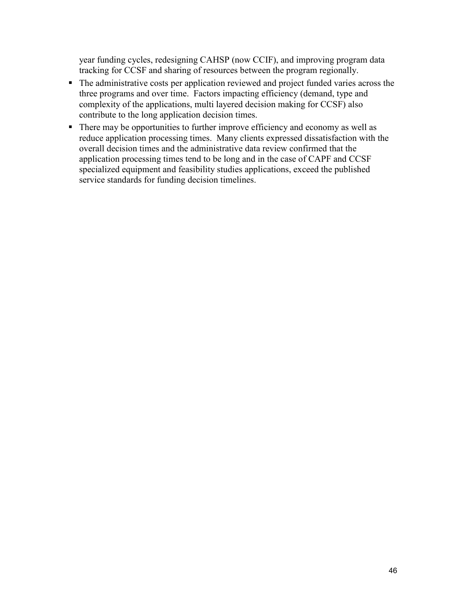year funding cycles, redesigning CAHSP (now CCIF), and improving program data tracking for CCSF and sharing of resources between the program regionally.

- The administrative costs per application reviewed and project funded varies across the three programs and over time. Factors impacting efficiency (demand, type and complexity of the applications, multi layered decision making for CCSF) also contribute to the long application decision times.
- There may be opportunities to further improve efficiency and economy as well as reduce application processing times. Many clients expressed dissatisfaction with the overall decision times and the administrative data review confirmed that the application processing times tend to be long and in the case of CAPF and CCSF specialized equipment and feasibility studies applications, exceed the published service standards for funding decision timelines.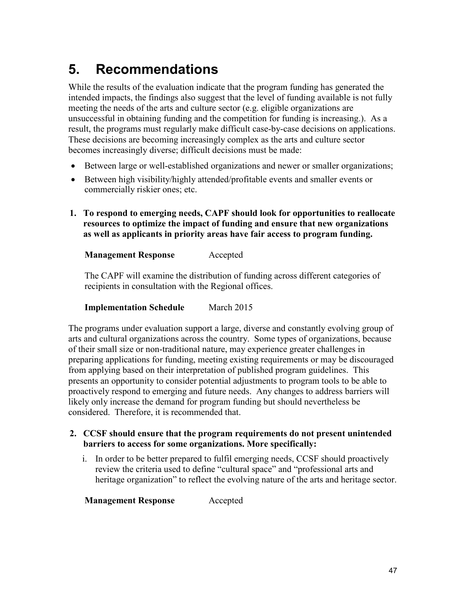# <span id="page-56-0"></span>**5. Recommendations**

While the results of the evaluation indicate that the program funding has generated the intended impacts, the findings also suggest that the level of funding available is not fully meeting the needs of the arts and culture sector (e.g. eligible organizations are unsuccessful in obtaining funding and the competition for funding is increasing.). As a result, the programs must regularly make difficult case-by-case decisions on applications. These decisions are becoming increasingly complex as the arts and culture sector becomes increasingly diverse; difficult decisions must be made:

- Between large or well-established organizations and newer or smaller organizations;
- Between high visibility/highly attended/profitable events and smaller events or commercially riskier ones; etc.
- **1. To respond to emerging needs, CAPF should look for opportunities to reallocate resources to optimize the impact of funding and ensure that new organizations as well as applicants in priority areas have fair access to program funding.**

### **Management Response** Accepted

The CAPF will examine the distribution of funding across different categories of recipients in consultation with the Regional offices.

#### **Implementation Schedule** March 2015

The programs under evaluation support a large, diverse and constantly evolving group of arts and cultural organizations across the country. Some types of organizations, because of their small size or non-traditional nature, may experience greater challenges in preparing applications for funding, meeting existing requirements or may be discouraged from applying based on their interpretation of published program guidelines. This presents an opportunity to consider potential adjustments to program tools to be able to proactively respond to emerging and future needs. Any changes to address barriers will likely only increase the demand for program funding but should nevertheless be considered. Therefore, it is recommended that.

#### **2. CCSF should ensure that the program requirements do not present unintended barriers to access for some organizations. More specifically:**

i. In order to be better prepared to fulfil emerging needs, CCSF should proactively review the criteria used to define "cultural space" and "professional arts and heritage organization" to reflect the evolving nature of the arts and heritage sector.

**Management Response** Accepted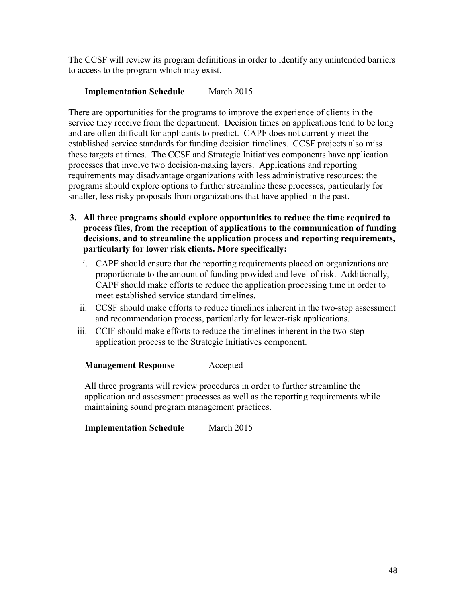The CCSF will review its program definitions in order to identify any unintended barriers to access to the program which may exist.

### **Implementation Schedule** March 2015

There are opportunities for the programs to improve the experience of clients in the service they receive from the department. Decision times on applications tend to be long and are often difficult for applicants to predict. CAPF does not currently meet the established service standards for funding decision timelines. CCSF projects also miss these targets at times. The CCSF and Strategic Initiatives components have application processes that involve two decision-making layers. Applications and reporting requirements may disadvantage organizations with less administrative resources; the programs should explore options to further streamline these processes, particularly for smaller, less risky proposals from organizations that have applied in the past.

- **3. All three programs should explore opportunities to reduce the time required to process files, from the reception of applications to the communication of funding decisions, and to streamline the application process and reporting requirements, particularly for lower risk clients. More specifically:**
	- i. CAPF should ensure that the reporting requirements placed on organizations are proportionate to the amount of funding provided and level of risk. Additionally, CAPF should make efforts to reduce the application processing time in order to meet established service standard timelines.
	- ii. CCSF should make efforts to reduce timelines inherent in the two-step assessment and recommendation process, particularly for lower-risk applications.
	- iii. CCIF should make efforts to reduce the timelines inherent in the two-step application process to the Strategic Initiatives component.

### **Management Response** Accepted

All three programs will review procedures in order to further streamline the application and assessment processes as well as the reporting requirements while maintaining sound program management practices.

**Implementation Schedule** March 2015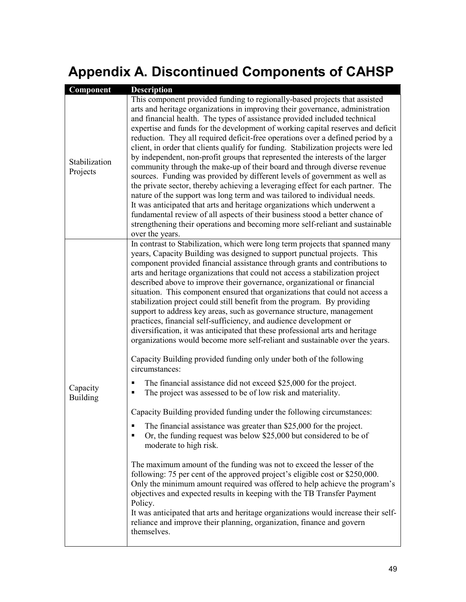# <span id="page-58-0"></span>**Appendix A. Discontinued Components of CAHSP**

| Component                   | <b>Description</b>                                                                                                                                                                                                                                                                                                                                                                                                                                                                                                                                                                                                                                                                                                                                                                                                                                                                                                                                                                                                                                                                                                                                                                |
|-----------------------------|-----------------------------------------------------------------------------------------------------------------------------------------------------------------------------------------------------------------------------------------------------------------------------------------------------------------------------------------------------------------------------------------------------------------------------------------------------------------------------------------------------------------------------------------------------------------------------------------------------------------------------------------------------------------------------------------------------------------------------------------------------------------------------------------------------------------------------------------------------------------------------------------------------------------------------------------------------------------------------------------------------------------------------------------------------------------------------------------------------------------------------------------------------------------------------------|
| Stabilization<br>Projects   | This component provided funding to regionally-based projects that assisted<br>arts and heritage organizations in improving their governance, administration<br>and financial health. The types of assistance provided included technical<br>expertise and funds for the development of working capital reserves and deficit<br>reduction. They all required deficit-free operations over a defined period by a<br>client, in order that clients qualify for funding. Stabilization projects were led<br>by independent, non-profit groups that represented the interests of the larger<br>community through the make-up of their board and through diverse revenue<br>sources. Funding was provided by different levels of government as well as<br>the private sector, thereby achieving a leveraging effect for each partner. The<br>nature of the support was long term and was tailored to individual needs.<br>It was anticipated that arts and heritage organizations which underwent a<br>fundamental review of all aspects of their business stood a better chance of<br>strengthening their operations and becoming more self-reliant and sustainable<br>over the years. |
|                             | In contrast to Stabilization, which were long term projects that spanned many<br>years, Capacity Building was designed to support punctual projects. This<br>component provided financial assistance through grants and contributions to<br>arts and heritage organizations that could not access a stabilization project<br>described above to improve their governance, organizational or financial<br>situation. This component ensured that organizations that could not access a<br>stabilization project could still benefit from the program. By providing<br>support to address key areas, such as governance structure, management<br>practices, financial self-sufficiency, and audience development or<br>diversification, it was anticipated that these professional arts and heritage<br>organizations would become more self-reliant and sustainable over the years.                                                                                                                                                                                                                                                                                                |
| Capacity<br><b>Building</b> | Capacity Building provided funding only under both of the following<br>circumstances:<br>The financial assistance did not exceed \$25,000 for the project.<br>The project was assessed to be of low risk and materiality.<br>Capacity Building provided funding under the following circumstances:<br>The financial assistance was greater than \$25,000 for the project.<br>п<br>Or, the funding request was below \$25,000 but considered to be of<br>moderate to high risk.<br>The maximum amount of the funding was not to exceed the lesser of the<br>following: 75 per cent of the approved project's eligible cost or \$250,000.<br>Only the minimum amount required was offered to help achieve the program's<br>objectives and expected results in keeping with the TB Transfer Payment<br>Policy.<br>It was anticipated that arts and heritage organizations would increase their self-<br>reliance and improve their planning, organization, finance and govern<br>themselves.                                                                                                                                                                                         |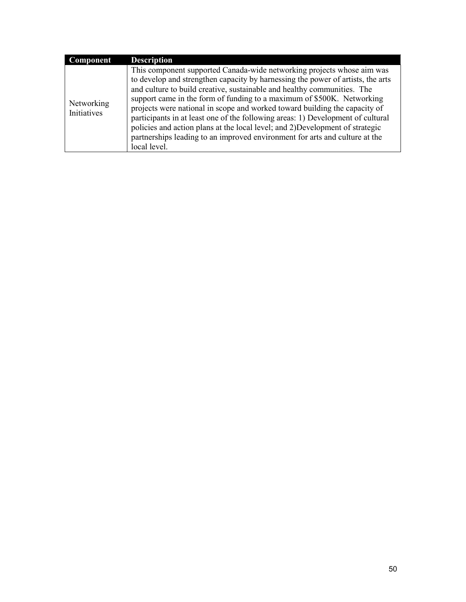| Component                 |
|---------------------------|
| Networking<br>Initiatives |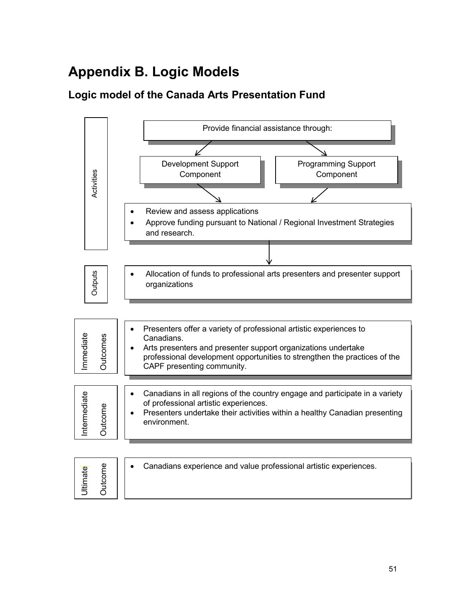# <span id="page-60-0"></span>**Appendix B. Logic Models**

# <span id="page-60-1"></span>**Logic model of the Canada Arts Presentation Fund**

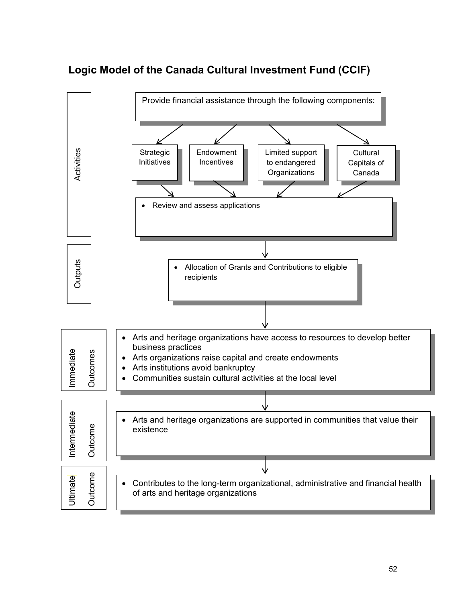

# <span id="page-61-0"></span>**Logic Model of the Canada Cultural Investment Fund (CCIF)**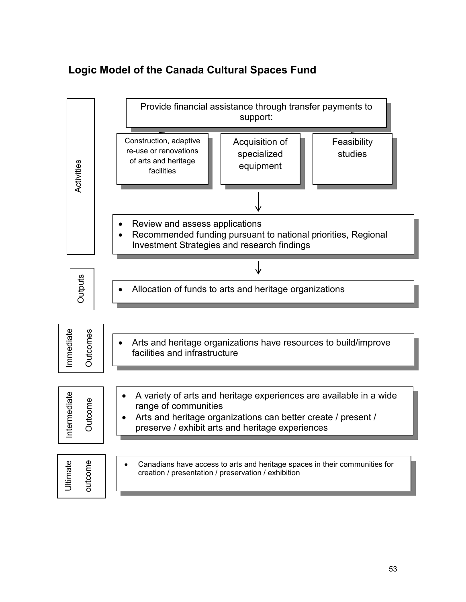# <span id="page-62-0"></span>**Logic Model of the Canada Cultural Spaces Fund**

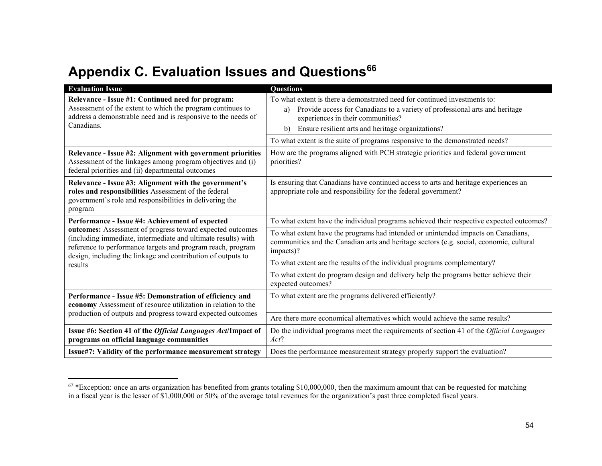# **Appendix C. Evaluation Issues and Questions<sup>66</sup>**

<span id="page-63-0"></span>

| <b>Evaluation Issue</b>                                                                                                                                                                                                                                   | <b>Questions</b>                                                                                                                                                                                                                                                                                                                                |
|-----------------------------------------------------------------------------------------------------------------------------------------------------------------------------------------------------------------------------------------------------------|-------------------------------------------------------------------------------------------------------------------------------------------------------------------------------------------------------------------------------------------------------------------------------------------------------------------------------------------------|
| Relevance - Issue #1: Continued need for program:<br>Assessment of the extent to which the program continues to<br>address a demonstrable need and is responsive to the needs of<br>Canadians.                                                            | To what extent is there a demonstrated need for continued investments to:<br>Provide access for Canadians to a variety of professional arts and heritage<br>a)<br>experiences in their communities?<br>Ensure resilient arts and heritage organizations?<br>b)<br>To what extent is the suite of programs responsive to the demonstrated needs? |
| Relevance - Issue #2: Alignment with government priorities<br>Assessment of the linkages among program objectives and (i)<br>federal priorities and (ii) departmental outcomes                                                                            | How are the programs aligned with PCH strategic priorities and federal government<br>priorities?                                                                                                                                                                                                                                                |
| Relevance - Issue #3: Alignment with the government's<br>roles and responsibilities Assessment of the federal<br>government's role and responsibilities in delivering the<br>program                                                                      | Is ensuring that Canadians have continued access to arts and heritage experiences an<br>appropriate role and responsibility for the federal government?                                                                                                                                                                                         |
| Performance - Issue #4: Achievement of expected                                                                                                                                                                                                           | To what extent have the individual programs achieved their respective expected outcomes?                                                                                                                                                                                                                                                        |
| outcomes: Assessment of progress toward expected outcomes<br>(including immediate, intermediate and ultimate results) with<br>reference to performance targets and program reach, program<br>design, including the linkage and contribution of outputs to | To what extent have the programs had intended or unintended impacts on Canadians,<br>communities and the Canadian arts and heritage sectors (e.g. social, economic, cultural<br>impacts)?                                                                                                                                                       |
| results                                                                                                                                                                                                                                                   | To what extent are the results of the individual programs complementary?                                                                                                                                                                                                                                                                        |
|                                                                                                                                                                                                                                                           | To what extent do program design and delivery help the programs better achieve their<br>expected outcomes?                                                                                                                                                                                                                                      |
| Performance - Issue #5: Demonstration of efficiency and<br>economy Assessment of resource utilization in relation to the                                                                                                                                  | To what extent are the programs delivered efficiently?                                                                                                                                                                                                                                                                                          |
| production of outputs and progress toward expected outcomes                                                                                                                                                                                               | Are there more economical alternatives which would achieve the same results?                                                                                                                                                                                                                                                                    |
| Issue #6: Section 41 of the <i>Official Languages Act</i> /Impact of<br>programs on official language communities                                                                                                                                         | Do the individual programs meet the requirements of section 41 of the Official Languages<br>Act?                                                                                                                                                                                                                                                |
| Issue#7: Validity of the performance measurement strategy                                                                                                                                                                                                 | Does the performance measurement strategy properly support the evaluation?                                                                                                                                                                                                                                                                      |

 $67$  \*Exception: once an arts organization has benefited from grants totaling \$10,000,000, then the maximum amount that can be requested for matching in a fiscal year is the lesser of \$1,000,000 or 50% of the average total revenues for the organization's past three completed fiscal years.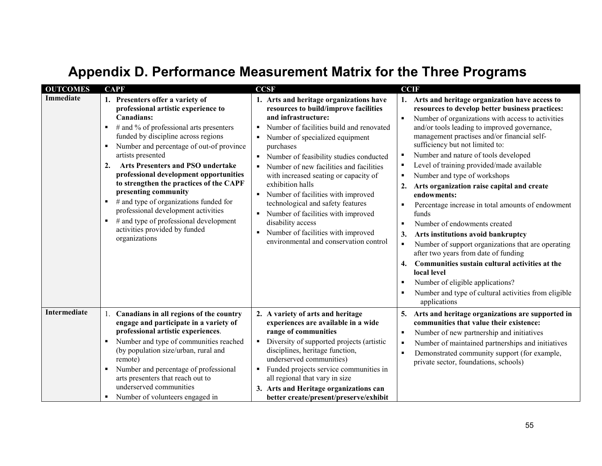# **Appendix D. Performance Measurement Matrix for the Three Programs**

<span id="page-64-0"></span>

| <b>OUTCOMES</b>  | <b>CAPF</b>                                                                                                                                                                                                                                                                                                                                                                                                                                                                                                                                                                                                            | <b>CCSF</b>                                                                                                                                                                                                                                                                                                                                                                                                                                                                                                                                                                                                     | <b>CCIF</b>                                                                                                                                                                                                                                                                                                                                                                                                                                                                                                                                                                                                                                                                                                                                                                                                                                                                                                                                                                                                                 |
|------------------|------------------------------------------------------------------------------------------------------------------------------------------------------------------------------------------------------------------------------------------------------------------------------------------------------------------------------------------------------------------------------------------------------------------------------------------------------------------------------------------------------------------------------------------------------------------------------------------------------------------------|-----------------------------------------------------------------------------------------------------------------------------------------------------------------------------------------------------------------------------------------------------------------------------------------------------------------------------------------------------------------------------------------------------------------------------------------------------------------------------------------------------------------------------------------------------------------------------------------------------------------|-----------------------------------------------------------------------------------------------------------------------------------------------------------------------------------------------------------------------------------------------------------------------------------------------------------------------------------------------------------------------------------------------------------------------------------------------------------------------------------------------------------------------------------------------------------------------------------------------------------------------------------------------------------------------------------------------------------------------------------------------------------------------------------------------------------------------------------------------------------------------------------------------------------------------------------------------------------------------------------------------------------------------------|
| <b>Immediate</b> | 1. Presenters offer a variety of<br>professional artistic experience to<br>Canadians:<br># and % of professional arts presenters<br>٠<br>funded by discipline across regions<br>Number and percentage of out-of province<br>٠<br>artists presented<br><b>Arts Presenters and PSO undertake</b><br>$\overline{2}$ .<br>professional development opportunities<br>to strengthen the practices of the CAPF<br>presenting community<br># and type of organizations funded for<br>٠<br>professional development activities<br># and type of professional development<br>٠<br>activities provided by funded<br>organizations | 1. Arts and heritage organizations have<br>resources to build/improve facilities<br>and infrastructure:<br>Number of facilities build and renovated<br>٠<br>Number of specialized equipment<br>٠<br>purchases<br>Number of feasibility studies conducted<br>$\blacksquare$<br>Number of new facilities and facilities<br>with increased seating or capacity of<br>exhibition halls<br>• Number of facilities with improved<br>technological and safety features<br>Number of facilities with improved<br>disability access<br>Number of facilities with improved<br>٠<br>environmental and conservation control | 1. Arts and heritage organization have access to<br>resources to develop better business practices:<br>Number of organizations with access to activities<br>$\blacksquare$<br>and/or tools leading to improved governance,<br>management practises and/or financial self-<br>sufficiency but not limited to:<br>Number and nature of tools developed<br>٠<br>Level of training provided/made available<br>п<br>Number and type of workshops<br>$\blacksquare$<br>Arts organization raise capital and create<br>2.<br>endowments:<br>Percentage increase in total amounts of endowment<br>$\blacksquare$<br>funds<br>Number of endowments created<br>٠<br>Arts institutions avoid bankruptcy<br>3.<br>Number of support organizations that are operating<br>$\blacksquare$<br>after two years from date of funding<br>Communities sustain cultural activities at the<br>4.<br>local level<br>Number of eligible applications?<br>$\blacksquare$<br>Number and type of cultural activities from eligible<br>٠<br>applications |
| Intermediate     | Canadians in all regions of the country<br>engage and participate in a variety of<br>professional artistic experiences.<br>Number and type of communities reached<br>٠<br>(by population size/urban, rural and<br>remote)<br>Number and percentage of professional<br>arts presenters that reach out to<br>underserved communities<br>Number of volunteers engaged in<br>٠                                                                                                                                                                                                                                             | 2. A variety of arts and heritage<br>experiences are available in a wide<br>range of communities<br>Diversity of supported projects (artistic<br>$\blacksquare$<br>disciplines, heritage function,<br>underserved communities)<br>Funded projects service communities in<br>٠<br>all regional that vary in size<br>3. Arts and Heritage organizations can<br>better create/present/preserve/exhibit                                                                                                                                                                                                             | Arts and heritage organizations are supported in<br>5.<br>communities that value their existence:<br>Number of new partnership and initiatives<br>$\blacksquare$<br>Number of maintained partnerships and initiatives<br>٠<br>Demonstrated community support (for example,<br>$\blacksquare$<br>private sector, foundations, schools)                                                                                                                                                                                                                                                                                                                                                                                                                                                                                                                                                                                                                                                                                       |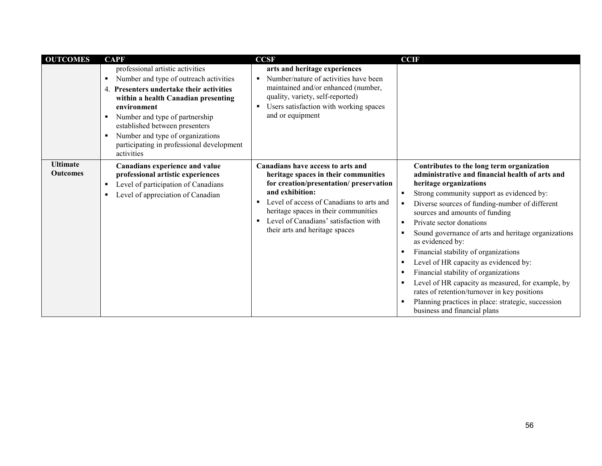| <b>OUTCOMES</b>                    | <b>CAPF</b>                                                                                                                                                                                                                                                                                                                                                       | <b>CCSF</b>                                                                                                                                                                                                                                                                                                | <b>CCIF</b>                                                                                                                                                                                                                                                                                                                                                                                                                                                                                                                                                                                                                                                                                                                      |
|------------------------------------|-------------------------------------------------------------------------------------------------------------------------------------------------------------------------------------------------------------------------------------------------------------------------------------------------------------------------------------------------------------------|------------------------------------------------------------------------------------------------------------------------------------------------------------------------------------------------------------------------------------------------------------------------------------------------------------|----------------------------------------------------------------------------------------------------------------------------------------------------------------------------------------------------------------------------------------------------------------------------------------------------------------------------------------------------------------------------------------------------------------------------------------------------------------------------------------------------------------------------------------------------------------------------------------------------------------------------------------------------------------------------------------------------------------------------------|
|                                    | professional artistic activities<br>Number and type of outreach activities<br>٠<br>Presenters undertake their activities<br>4.<br>within a health Canadian presenting<br>environment<br>Number and type of partnership<br>٠<br>established between presenters<br>Number and type of organizations<br>٠<br>participating in professional development<br>activities | arts and heritage experiences<br>Number/nature of activities have been<br>٠<br>maintained and/or enhanced (number,<br>quality, variety, self-reported)<br>Users satisfaction with working spaces<br>٠<br>and or equipment                                                                                  |                                                                                                                                                                                                                                                                                                                                                                                                                                                                                                                                                                                                                                                                                                                                  |
| <b>Ultimate</b><br><b>Outcomes</b> | Canadians experience and value<br>professional artistic experiences<br>Level of participation of Canadians<br>٠<br>Level of appreciation of Canadian<br>٠                                                                                                                                                                                                         | Canadians have access to arts and<br>heritage spaces in their communities<br>for creation/presentation/preservation<br>and exhibition:<br>Level of access of Canadians to arts and<br>٠<br>heritage spaces in their communities<br>Level of Canadians' satisfaction with<br>their arts and heritage spaces | Contributes to the long term organization<br>administrative and financial health of arts and<br>heritage organizations<br>Strong community support as evidenced by:<br>٠<br>Diverse sources of funding-number of different<br>٠<br>sources and amounts of funding<br>Private sector donations<br>$\blacksquare$<br>Sound governance of arts and heritage organizations<br>$\blacksquare$<br>as evidenced by:<br>Financial stability of organizations<br>Level of HR capacity as evidenced by:<br>Financial stability of organizations<br>Level of HR capacity as measured, for example, by<br>rates of retention/turnover in key positions<br>Planning practices in place: strategic, succession<br>business and financial plans |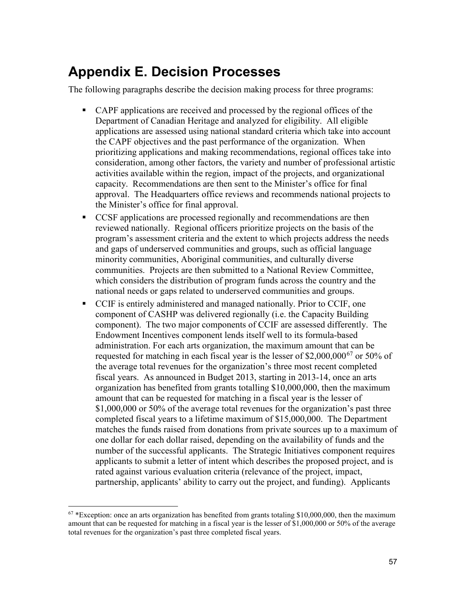# <span id="page-66-0"></span>**Appendix E. Decision Processes**

The following paragraphs describe the decision making process for three programs:

- CAPF applications are received and processed by the regional offices of the Department of Canadian Heritage and analyzed for eligibility. All eligible applications are assessed using national standard criteria which take into account the CAPF objectives and the past performance of the organization. When prioritizing applications and making recommendations, regional offices take into consideration, among other factors, the variety and number of professional artistic activities available within the region, impact of the projects, and organizational capacity. Recommendations are then sent to the Minister's office for final approval. The Headquarters office reviews and recommends national projects to the Minister's office for final approval.
- CCSF applications are processed regionally and recommendations are then reviewed nationally. Regional officers prioritize projects on the basis of the program's assessment criteria and the extent to which projects address the needs and gaps of underserved communities and groups, such as official language minority communities, Aboriginal communities, and culturally diverse communities. Projects are then submitted to a National Review Committee, which considers the distribution of program funds across the country and the national needs or gaps related to underserved communities and groups.
- CCIF is entirely administered and managed nationally. Prior to CCIF, one component of CASHP was delivered regionally (i.e. the Capacity Building component). The two major components of CCIF are assessed differently. The Endowment Incentives component lends itself well to its formula-based administration. For each arts organization, the maximum amount that can be requested for matching in each fiscal year is the lesser of \$2,000,000<sup>67</sup> or 50% of the average total revenues for the organization's three most recent completed fiscal years. As announced in Budget 2013, starting in 2013-14, once an arts organization has benefited from grants totalling \$10,000,000, then the maximum amount that can be requested for matching in a fiscal year is the lesser of \$1,000,000 or 50% of the average total revenues for the organization's past three completed fiscal years to a lifetime maximum of \$15,000,000. The Department matches the funds raised from donations from private sources up to a maximum of one dollar for each dollar raised, depending on the availability of funds and the number of the successful applicants. The Strategic Initiatives component requires applicants to submit a letter of intent which describes the proposed project, and is rated against various evaluation criteria (relevance of the project, impact, partnership, applicants' ability to carry out the project, and funding). Applicants

 $67$  \*Exception: once an arts organization has benefited from grants totaling \$10,000,000, then the maximum amount that can be requested for matching in a fiscal year is the lesser of \$1,000,000 or 50% of the average total revenues for the organization's past three completed fiscal years.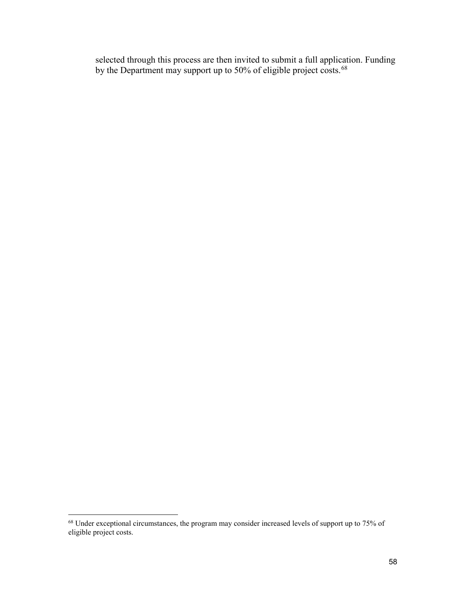selected through this process are then invited to submit a full application. Funding by the Department may support up to 50% of eligible project costs.<sup>68</sup>

<sup>68</sup> Under exceptional circumstances, the program may consider increased levels of support up to 75% of eligible project costs.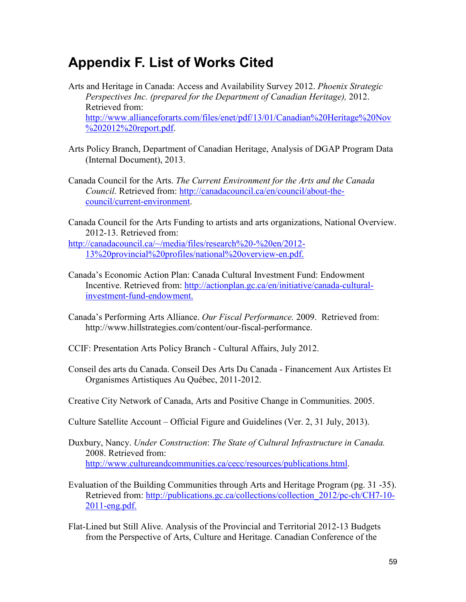# <span id="page-68-0"></span>**Appendix F. List of Works Cited**

- Arts and Heritage in Canada: Access and Availability Survey 2012. *Phoenix Strategic Perspectives Inc. (prepared for the Department of Canadian Heritage),* 2012. Retrieved from: [http://www.allianceforarts.com/files/enet/pdf/13/01/Canadian%20Heritage%20Nov](http://www.allianceforarts.com/files/enet/pdf/13/01/Canadian%20Heritage%20Nov%202012%20report.pdf) %202012%20report.pdf.
- Arts Policy Branch, Department of Canadian Heritage, Analysis of DGAP Program Data (Internal Document), 2013.
- Canada Council for the Arts. *The Current Environment for the Arts and the Canada Council.* [Retrieved from: http://canadacouncil.ca/en/council/about-the](http://canadacouncil.ca/en/council/about-thecouncil/current-environment)council/current-environment.
- Canada Council for the Arts Funding to artists and arts organizations, National Overview. 2012-13. Retrieved from:

[http://canadacouncil.ca/~/media/files/research%20-%20en/2012-](http://canadacouncil.ca/~/media/files/research%20-%20en/2012-13%20provincial%20profiles/national%20overview-en.pdf) 13%20provincial%20profiles/national%20overview-en.pdf.

- Canada's Economic Action Plan: Canada Cultural Investment Fund: Endowment Incentive. Retrieved from: [http://actionplan.gc.ca/en/initiative/canada-cultural](http://actionplan.gc.ca/en/initiative/canada-culturalinvestment-fund-endowment)investment-fund-endowment.
- Canada's Performing Arts Alliance. *Our Fiscal Performance.* 2009. Retrieved from: [http://www.hillstrategies.com/content/our-fiscal-performance.](http://www.hillstrategies.com/content/our-fiscal-performance)
- CCIF: Presentation Arts Policy Branch Cultural Affairs, July 2012.
- Conseil des arts du Canada. Conseil Des Arts Du Canada Financement Aux Artistes Et Organismes Artistiques Au Québec, 2011-2012.
- Creative City Network of Canada, Arts and Positive Change in Communities. 2005.
- Culture Satellite Account Official Figure and Guidelines (Ver. 2, 31 July, 2013).
- Duxbury, Nancy. *Under Construction*: *The State of Cultural Infrastructure in Canada.*  2008. Retrieved from: [http://www.cultureandcommunities.ca/cecc/resources/publications.html.](http://www.cultureandcommunities.ca/cecc/resources/publications.html)
- Evaluation of the Building Communities through Arts and Heritage Program (pg. 31 -35). Retrieved from: [http://publications.gc.ca/collections/collection\\_2012/pc-ch/CH7-10-](http://publications.gc.ca/collections/collection_2012/pc-ch/CH7-10-2011-eng.pdf) 2011-eng.pdf.
- Flat-Lined but Still Alive. Analysis of the Provincial and Territorial 2012-13 Budgets from the Perspective of Arts, Culture and Heritage. Canadian Conference of the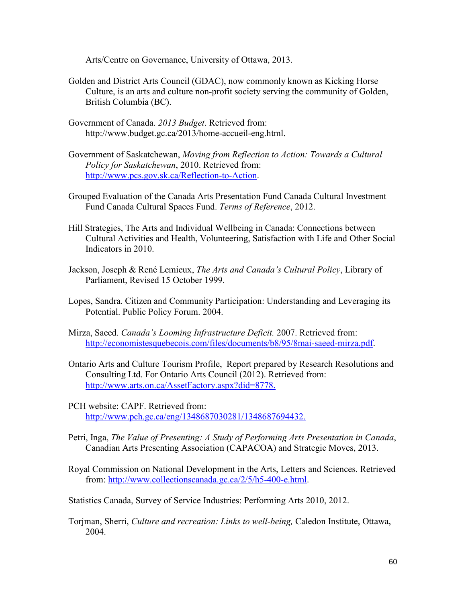Arts/Centre on Governance, University of Ottawa, 2013.

- Golden and District Arts Council (GDAC), now commonly known as Kicking Horse Culture, is an arts and culture non-profit society serving the community of Golden, British Columbia (BC).
- Government of Canada. *2013 Budget*. Retrieved from: <http://www.budget.gc.ca/2013/home-accueil-eng.html>.
- Government of Saskatchewan, *Moving from Reflection to Action: Towards a Cultural Policy for Saskatchewan*, 2010. Retrieved from: [http://www.pcs.gov.sk.ca/Reflection-to-Action.](http://www.pcs.gov.sk.ca/Reflection-to-Action)
- Grouped Evaluation of the Canada Arts Presentation Fund Canada Cultural Investment Fund Canada Cultural Spaces Fund. *Terms of Reference*, 2012.
- Hill Strategies, The Arts and Individual Wellbeing in Canada: Connections between Cultural Activities and Health, Volunteering, Satisfaction with Life and Other Social Indicators in 2010.
- Jackson, Joseph & René Lemieux, *The Arts and Canada's Cultural Policy*, Library of Parliament, Revised 15 October 1999.
- Lopes, Sandra. Citizen and Community Participation: Understanding and Leveraging its Potential. Public Policy Forum. 2004.
- Mirza, Saeed. *Canada's Looming Infrastructure Deficit.* 2007. Retrieved from: <http://economistesquebecois.com/files/documents/b8/95/8mai-saeed-mirza.pdf>.
- Ontario Arts and Culture Tourism Profile, Report prepared by Research Resolutions and Consulting Ltd. For Ontario Arts Council (2012). Retrieved from: [http://www.arts.on.ca/AssetFactory.aspx?did=8778.](http://www.arts.on.ca/AssetFactory.aspx?did=8778)
- PCH website: CAPF. Retrieved from: [http://www.pch.gc.ca/eng/1348687030281/1348687694432.](http://www.pch.gc.ca/eng/1348687030281/1348687694432)
- Petri, Inga, *The Value of Presenting: A Study of Performing Arts Presentation in Canada*, Canadian Arts Presenting Association (CAPACOA) and Strategic Moves, 2013.
- Royal Commission on National Development in the Arts, Letters and Sciences. Retrieved from: [http://www.collectionscanada.gc.ca/2/5/h5-400-e.html.](http://www.collectionscanada.gc.ca/2/5/h5-400-e.html)
- Statistics Canada, Survey of Service Industries: Performing Arts 2010, 2012.
- Torjman, Sherri, *Culture and recreation: Links to well-being,* Caledon Institute, Ottawa, 2004.